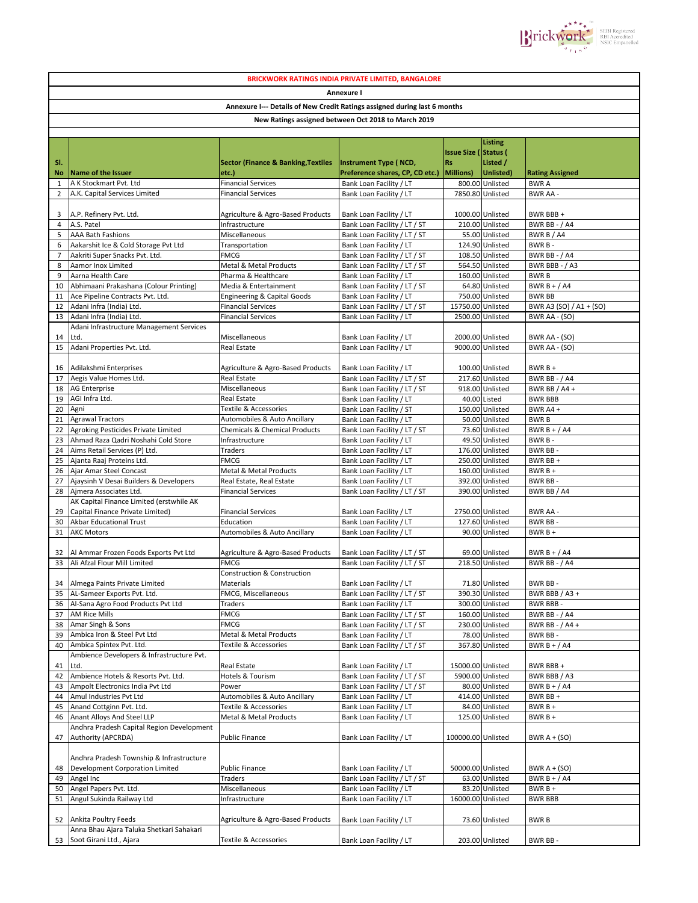

|                                |                                                                             |                                                                           | <b>BRICKWORK RATINGS INDIA PRIVATE LIMITED, BANGALORE</b>    |                             |                                      |                                        |
|--------------------------------|-----------------------------------------------------------------------------|---------------------------------------------------------------------------|--------------------------------------------------------------|-----------------------------|--------------------------------------|----------------------------------------|
|                                |                                                                             |                                                                           | Annexure I                                                   |                             |                                      |                                        |
|                                |                                                                             | Annexure I--- Details of New Credit Ratings assigned during last 6 months |                                                              |                             |                                      |                                        |
|                                |                                                                             |                                                                           | New Ratings assigned between Oct 2018 to March 2019          |                             |                                      |                                        |
|                                |                                                                             |                                                                           |                                                              |                             |                                      |                                        |
|                                |                                                                             |                                                                           |                                                              |                             | <b>Listing</b>                       |                                        |
|                                |                                                                             |                                                                           |                                                              | <b>Issue Size (Status (</b> |                                      |                                        |
| SI.                            |                                                                             | <b>Sector (Finance &amp; Banking, Textiles</b>                            | Instrument Type (NCD,                                        | <b>Rs</b>                   | Listed /                             |                                        |
| No                             | Name of the Issuer                                                          | etc.)                                                                     | Preference shares, CP, CD etc.)                              | Millions)                   | Unlisted)                            | <b>Rating Assigned</b>                 |
| $\mathbf{1}$<br>$\overline{2}$ | A K Stockmart Pvt. Ltd<br>A.K. Capital Services Limited                     | <b>Financial Services</b><br><b>Financial Services</b>                    | Bank Loan Facility / LT<br>Bank Loan Facility / LT           |                             | 800.00 Unlisted<br>7850.80 Unlisted  | <b>BWRA</b><br><b>BWR AA -</b>         |
|                                |                                                                             |                                                                           |                                                              |                             |                                      |                                        |
| 3                              | A.P. Refinery Pvt. Ltd.                                                     | Agriculture & Agro-Based Products                                         | Bank Loan Facility / LT                                      |                             | 1000.00 Unlisted                     | BWR BBB+                               |
| 4                              | A.S. Patel                                                                  | Infrastructure                                                            | Bank Loan Facility / LT / ST                                 |                             | 210.00 Unlisted                      | <b>BWR BB - / A4</b>                   |
| 5                              | <b>AAA Bath Fashions</b>                                                    | Miscellaneous                                                             | Bank Loan Facility / LT / ST                                 |                             | 55.00 Unlisted                       | BWR B / A4                             |
| 6                              | Aakarshit Ice & Cold Storage Pvt Ltd                                        | Transportation                                                            | Bank Loan Facility / LT                                      |                             | 124.90 Unlisted                      | BWR B-                                 |
| $\overline{7}$<br>8            | Aakriti Super Snacks Pvt. Ltd.<br>Aamor Inox Limited                        | <b>FMCG</b><br>Metal & Metal Products                                     | Bank Loan Facility / LT / ST<br>Bank Loan Facility / LT / ST |                             | 108.50 Unlisted<br>564.50 Unlisted   | <b>BWR BB - / A4</b><br>BWR BBB - / A3 |
| 9                              | Aarna Health Care                                                           | Pharma & Healthcare                                                       | Bank Loan Facility / LT                                      |                             | 160.00 Unlisted                      | <b>BWRB</b>                            |
| 10                             | Abhimaani Prakashana (Colour Printing)                                      | Media & Entertainment                                                     | Bank Loan Facility / LT / ST                                 |                             | 64.80 Unlisted                       | BWR $B + / A4$                         |
| 11                             | Ace Pipeline Contracts Pvt. Ltd.                                            | Engineering & Capital Goods                                               | Bank Loan Facility / LT                                      |                             | 750.00 Unlisted                      | <b>BWR BB</b>                          |
| 12                             | Adani Infra (India) Ltd.                                                    | <b>Financial Services</b>                                                 | Bank Loan Facility / LT / ST                                 | 15750.00 Unlisted           |                                      | BWR A3 (SO) / A1 + (SO)                |
| 13                             | Adani Infra (India) Ltd.                                                    | <b>Financial Services</b>                                                 | Bank Loan Facility / LT                                      |                             | 2500.00 Unlisted                     | BWR AA - (SO)                          |
|                                | Adani Infrastructure Management Services<br>Ltd.                            |                                                                           |                                                              |                             |                                      |                                        |
| 14<br>15                       | Adani Properties Pvt. Ltd.                                                  | Miscellaneous<br>Real Estate                                              | Bank Loan Facility / LT<br>Bank Loan Facility / LT           |                             | 2000.00 Unlisted<br>9000.00 Unlisted | BWR AA - (SO)<br>BWR AA - (SO)         |
|                                |                                                                             |                                                                           |                                                              |                             |                                      |                                        |
| 16                             | Adilakshmi Enterprises                                                      | Agriculture & Agro-Based Products                                         | Bank Loan Facility / LT                                      |                             | 100.00 Unlisted                      | $BWRB+$                                |
| 17                             | Aegis Value Homes Ltd.                                                      | Real Estate                                                               | Bank Loan Facility / LT / ST                                 |                             | 217.60 Unlisted                      | <b>BWR BB - / A4</b>                   |
| 18                             | <b>AG Enterprise</b>                                                        | Miscellaneous                                                             | Bank Loan Facility / LT / ST                                 |                             | 918.00 Unlisted                      | BWR BB / A4 +                          |
| 19                             | AGI Infra Ltd.                                                              | Real Estate                                                               | Bank Loan Facility / LT                                      |                             | 40.00 Listed                         | <b>BWR BBB</b>                         |
| 20<br>21                       | Agni<br><b>Agrawal Tractors</b>                                             | <b>Textile &amp; Accessories</b><br>Automobiles & Auto Ancillary          | Bank Loan Facility / ST<br>Bank Loan Facility / LT           |                             | 150.00 Unlisted<br>50.00 Unlisted    | BWR A4 +<br><b>BWRB</b>                |
| 22                             | Agroking Pesticides Private Limited                                         | <b>Chemicals &amp; Chemical Products</b>                                  | Bank Loan Facility / LT / ST                                 |                             | 73.60 Unlisted                       | BWR $B + / A4$                         |
| 23                             | Ahmad Raza Qadri Noshahi Cold Store                                         | Infrastructure                                                            | Bank Loan Facility / LT                                      |                             | 49.50 Unlisted                       | BWR B-                                 |
| 24                             | Aims Retail Services (P) Ltd.                                               | Traders                                                                   | Bank Loan Facility / LT                                      |                             | 176.00 Unlisted                      | BWR BB-                                |
| 25                             | Ajanta Raaj Proteins Ltd.                                                   | <b>FMCG</b>                                                               | Bank Loan Facility / LT                                      |                             | 250.00 Unlisted                      | BWR BB +                               |
| 26                             | Ajar Amar Steel Concast                                                     | Metal & Metal Products                                                    | Bank Loan Facility / LT                                      |                             | 160.00 Unlisted                      | $BWRB +$                               |
| 27                             | Ajaysinh V Desai Builders & Developers                                      | Real Estate, Real Estate                                                  | Bank Loan Facility / LT                                      |                             | 392.00 Unlisted                      | BWR BB-                                |
| 28                             | Aimera Associates Ltd.<br>AK Capital Finance Limited (erstwhile AK          | <b>Financial Services</b>                                                 | Bank Loan Facility / LT / ST                                 |                             | 390.00 Unlisted                      | BWR BB / A4                            |
| 29                             | Capital Finance Private Limited)                                            | <b>Financial Services</b>                                                 | Bank Loan Facility / LT                                      |                             | 2750.00 Unlisted                     | <b>BWR AA -</b>                        |
| 30                             | <b>Akbar Educational Trust</b>                                              | Education                                                                 | Bank Loan Facility / LT                                      |                             | 127.60 Unlisted                      | BWR BB-                                |
| 31                             | <b>AKC Motors</b>                                                           | Automobiles & Auto Ancillary                                              | Bank Loan Facility / LT                                      |                             | 90.00 Unlisted                       | $BWRB +$                               |
|                                |                                                                             |                                                                           |                                                              |                             |                                      |                                        |
| 32                             | Al Ammar Frozen Foods Exports Pvt Ltd                                       | Agriculture & Agro-Based Products                                         | Bank Loan Facility / LT / ST                                 |                             | 69.00 Unlisted                       | BWR B + $/$ A4                         |
| 33                             | Ali Afzal Flour Mill Limited                                                | <b>FMCG</b><br><b>Construction &amp; Construction</b>                     | Bank Loan Facility / LT / ST                                 |                             | 218.50 Unlisted                      | <b>BWR BB - / A4</b>                   |
|                                | 34 Almega Paints Private Limited                                            | Materials                                                                 | Bank Loan Facility / LT                                      |                             | 71.80 Unlisted                       | BWR BB-                                |
| 35                             | AL-Sameer Exports Pvt. Ltd.                                                 | FMCG, Miscellaneous                                                       | Bank Loan Facility / LT / ST                                 |                             | 390.30 Unlisted                      | BWR BBB $/$ A3 +                       |
| 36                             | Al-Sana Agro Food Products Pvt Ltd                                          | Traders                                                                   | Bank Loan Facility / LT                                      |                             | 300.00 Unlisted                      | BWR BBB-                               |
| 37                             | <b>AM Rice Mills</b>                                                        | <b>FMCG</b>                                                               | Bank Loan Facility / LT / ST                                 |                             | 160.00 Unlisted                      | <b>BWR BB - / A4</b>                   |
| 38                             | Amar Singh & Sons                                                           | <b>FMCG</b>                                                               | Bank Loan Facility / LT / ST                                 |                             | 230.00 Unlisted                      | BWR BB - / A4 +                        |
| 39<br>40                       | Ambica Iron & Steel Pvt Ltd<br>Ambica Spintex Pvt. Ltd.                     | Metal & Metal Products<br>Textile & Accessories                           | Bank Loan Facility / LT<br>Bank Loan Facility / LT / ST      |                             | 78.00 Unlisted<br>367.80 Unlisted    | BWR BB-<br>BWR $B + / A4$              |
|                                | Ambience Developers & Infrastructure Pvt.                                   |                                                                           |                                                              |                             |                                      |                                        |
| 41                             | Ltd.                                                                        | Real Estate                                                               | Bank Loan Facility / LT                                      | 15000.00 Unlisted           |                                      | BWR BBB+                               |
| 42                             | Ambience Hotels & Resorts Pvt. Ltd.                                         | Hotels & Tourism                                                          | Bank Loan Facility / LT / ST                                 |                             | 5900.00 Unlisted                     | BWR BBB / A3                           |
| 43                             | Ampolt Electronics India Pvt Ltd                                            | Power                                                                     | Bank Loan Facility / LT / ST                                 |                             | 80.00 Unlisted                       | BWR $B + / A4$                         |
| 44                             | Amul Industries Pvt Ltd                                                     | Automobiles & Auto Ancillary                                              | Bank Loan Facility / LT                                      |                             | 414.00 Unlisted                      | BWR BB+                                |
| 45                             | Anand Cottginn Pvt. Ltd.                                                    | Textile & Accessories                                                     | Bank Loan Facility / LT                                      |                             | 84.00 Unlisted                       | $BWRB +$                               |
| 46                             | Anant Alloys And Steel LLP<br>Andhra Pradesh Capital Region Development     | Metal & Metal Products                                                    | Bank Loan Facility / LT                                      |                             | 125.00 Unlisted                      | BWR B +                                |
| 47                             | Authority (APCRDA)                                                          | <b>Public Finance</b>                                                     | Bank Loan Facility / LT                                      | 100000.00 Unlisted          |                                      | BWR $A + (SO)$                         |
|                                |                                                                             |                                                                           |                                                              |                             |                                      |                                        |
|                                | Andhra Pradesh Township & Infrastructure<br>Development Corporation Limited | <b>Public Finance</b>                                                     | Bank Loan Facility / LT                                      | 50000.00 Unlisted           |                                      | BWR $A + (SO)$                         |
| 48<br>49                       | Angel Inc                                                                   | Traders                                                                   | Bank Loan Facility / LT / ST                                 |                             | 63.00 Unlisted                       | BWR $B + / A4$                         |
| 50                             | Angel Papers Pvt. Ltd.                                                      | Miscellaneous                                                             | Bank Loan Facility / LT                                      |                             | 83.20 Unlisted                       | $BWRB +$                               |
| 51                             | Angul Sukinda Railway Ltd                                                   | Infrastructure                                                            | Bank Loan Facility / LT                                      | 16000.00 Unlisted           |                                      | <b>BWR BBB</b>                         |
| 52                             | Ankita Poultry Feeds                                                        | Agriculture & Agro-Based Products                                         | Bank Loan Facility / LT                                      |                             | 73.60 Unlisted                       | <b>BWRB</b>                            |
|                                | Anna Bhau Ajara Taluka Shetkari Sahakari                                    |                                                                           |                                                              |                             |                                      |                                        |
|                                | 53 Soot Girani Ltd., Ajara                                                  | Textile & Accessories                                                     | Bank Loan Facility / LT                                      |                             | 203.00 Unlisted                      | BWR BB-                                |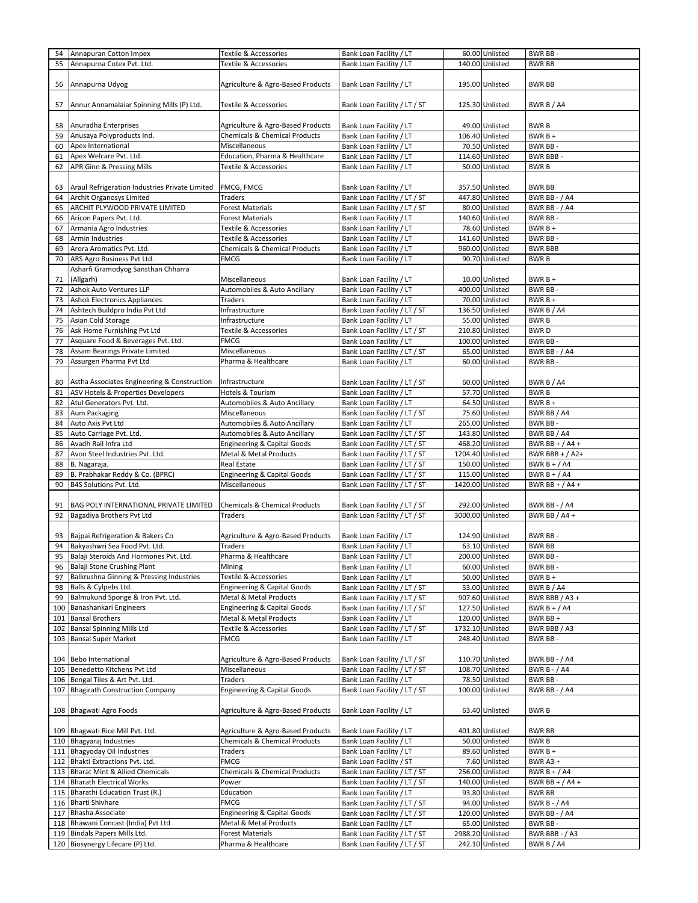| 54  | Annapuran Cotton Impex                         | Textile & Accessories                    | Bank Loan Facility / LT      |                  | 60.00 Unlisted  | BWR BB-              |
|-----|------------------------------------------------|------------------------------------------|------------------------------|------------------|-----------------|----------------------|
| 55  | Annapurna Cotex Pvt. Ltd.                      | Textile & Accessories                    | Bank Loan Facility / LT      |                  | 140.00 Unlisted | <b>BWR BB</b>        |
|     |                                                |                                          |                              |                  |                 |                      |
|     |                                                |                                          |                              |                  |                 |                      |
| 56  | Annapurna Udyog                                | Agriculture & Agro-Based Products        | Bank Loan Facility / LT      |                  | 195.00 Unlisted | <b>BWR BB</b>        |
|     |                                                |                                          |                              |                  |                 |                      |
|     |                                                |                                          |                              |                  |                 |                      |
| 57  | Annur Annamalaiar Spinning Mills (P) Ltd.      | Textile & Accessories                    | Bank Loan Facility / LT / ST |                  | 125.30 Unlisted | BWR B / A4           |
|     |                                                |                                          |                              |                  |                 |                      |
| 58  | Anuradha Enterprises                           | Agriculture & Agro-Based Products        | Bank Loan Facility / LT      |                  | 49.00 Unlisted  | <b>BWRB</b>          |
|     |                                                |                                          |                              |                  |                 |                      |
| 59  | Anusaya Polyproducts Ind.                      | <b>Chemicals &amp; Chemical Products</b> | Bank Loan Facility / LT      |                  | 106.40 Unlisted | BWR B +              |
| 60  | Apex International                             | Miscellaneous                            | Bank Loan Facility / LT      |                  | 70.50 Unlisted  | BWR BB-              |
| 61  | Apex Welcare Pvt. Ltd.                         | Education, Pharma & Healthcare           | Bank Loan Facility / LT      |                  | 114.60 Unlisted | <b>BWR BBB-</b>      |
| 62  | <b>APR Ginn &amp; Pressing Mills</b>           | Textile & Accessories                    | Bank Loan Facility / LT      |                  | 50.00 Unlisted  | <b>BWRB</b>          |
|     |                                                |                                          |                              |                  |                 |                      |
|     |                                                |                                          |                              |                  |                 |                      |
| 63  | Araul Refrigeration Industries Private Limited | FMCG, FMCG                               | Bank Loan Facility / LT      |                  | 357.50 Unlisted | <b>BWR BB</b>        |
| 64  | Archit Organosys Limited                       | Traders                                  | Bank Loan Facility / LT / ST |                  | 447.80 Unlisted | <b>BWR BB - / A4</b> |
|     |                                                |                                          |                              |                  |                 |                      |
| 65  | ARCHIT PLYWOOD PRIVATE LIMITED                 | <b>Forest Materials</b>                  | Bank Loan Facility / LT / ST |                  | 80.00 Unlisted  | <b>BWR BB - / A4</b> |
| 66  | Aricon Papers Pvt. Ltd.                        | <b>Forest Materials</b>                  | Bank Loan Facility / LT      |                  | 140.60 Unlisted | BWR BB-              |
| 67  | Armania Agro Industries                        | Textile & Accessories                    | Bank Loan Facility / LT      |                  | 78.60 Unlisted  | $BWRB +$             |
|     |                                                |                                          |                              |                  |                 |                      |
| 68  | Armin Industries                               | Textile & Accessories                    | Bank Loan Facility / LT      |                  | 141.60 Unlisted | BWR BB-              |
| 69  | Arora Aromatics Pvt. Ltd.                      | <b>Chemicals &amp; Chemical Products</b> | Bank Loan Facility / LT      |                  | 960.00 Unlisted | <b>BWR BBB</b>       |
| 70  | ARS Agro Business Pvt Ltd.                     | <b>FMCG</b>                              | Bank Loan Facility / LT      |                  | 90.70 Unlisted  | <b>BWRB</b>          |
|     |                                                |                                          |                              |                  |                 |                      |
|     | Asharfi Gramodyog Sansthan Chharra             |                                          |                              |                  |                 |                      |
| 71  | (Allgarh)                                      | Miscellaneous                            | Bank Loan Facility / LT      |                  | 10.00 Unlisted  | $BWRB +$             |
| 72  | Ashok Auto Ventures LLP                        | Automobiles & Auto Ancillary             | Bank Loan Facility / LT      |                  | 400.00 Unlisted | BWR BB-              |
| 73  | <b>Ashok Electronics Appliances</b>            | Traders                                  | Bank Loan Facility / LT      |                  | 70.00 Unlisted  | $BWRB +$             |
|     |                                                |                                          |                              |                  |                 |                      |
| 74  | Ashtech Buildpro India Pvt Ltd                 | Infrastructure                           | Bank Loan Facility / LT / ST |                  | 136.50 Unlisted | BWR B / A4           |
| 75  | Asian Cold Storage                             | Infrastructure                           | Bank Loan Facility / LT      |                  | 55.00 Unlisted  | <b>BWRB</b>          |
| 76  | Ask Home Furnishing Pvt Ltd                    | Textile & Accessories                    | Bank Loan Facility / LT / ST |                  | 210.80 Unlisted | <b>BWRD</b>          |
|     |                                                |                                          |                              |                  |                 |                      |
| 77  | Asquare Food & Beverages Pvt. Ltd.             | <b>FMCG</b>                              | Bank Loan Facility / LT      |                  | 100.00 Unlisted | BWR BB-              |
| 78  | Assam Bearings Private Limited                 | Miscellaneous                            | Bank Loan Facility / LT / ST |                  | 65.00 Unlisted  | <b>BWR BB - / A4</b> |
| 79  | Assurgen Pharma Pvt Ltd                        | Pharma & Healthcare                      | Bank Loan Facility / LT      |                  | 60.00 Unlisted  | BWR BB-              |
|     |                                                |                                          |                              |                  |                 |                      |
|     |                                                |                                          |                              |                  |                 |                      |
| 80  | Astha Associates Engineering & Construction    | Infrastructure                           | Bank Loan Facility / LT / ST |                  | 60.00 Unlisted  | BWR B / A4           |
| 81  | ASV Hotels & Properties Developers             | Hotels & Tourism                         | Bank Loan Facility / LT      |                  | 57.70 Unlisted  | <b>BWRB</b>          |
| 82  | Atul Generators Pvt. Ltd.                      | Automobiles & Auto Ancillary             | Bank Loan Facility / LT      |                  | 64.50 Unlisted  | $BWRB +$             |
|     |                                                |                                          |                              |                  |                 |                      |
| 83  | Aum Packaging                                  | Miscellaneous                            | Bank Loan Facility / LT / ST |                  | 75.60 Unlisted  | BWR BB / A4          |
| 84  | Auto Axis Pvt Ltd                              | Automobiles & Auto Ancillary             | Bank Loan Facility / LT      |                  | 265.00 Unlisted | BWR BB-              |
| 85  | Auto Carriage Pvt. Ltd.                        | Automobiles & Auto Ancillary             | Bank Loan Facility / LT / ST |                  | 143.80 Unlisted | BWR BB / A4          |
|     |                                                |                                          |                              |                  |                 |                      |
| 86  | Avadh Rail Infra Ltd                           | Engineering & Capital Goods              | Bank Loan Facility / LT / ST |                  | 468.20 Unlisted | BWR BB + $/$ A4 +    |
| 87  | Avon Steel Industries Pvt. Ltd.                | Metal & Metal Products                   | Bank Loan Facility / LT / ST | 1204.40 Unlisted |                 | BWR BBB + $/$ A2+    |
| 88  | B. Nagaraja.                                   | Real Estate                              | Bank Loan Facility / LT / ST |                  | 150.00 Unlisted | BWR B + $/$ A4       |
| 89  |                                                |                                          | Bank Loan Facility / LT / ST |                  | 115.00 Unlisted | BWR $B + / A4$       |
|     | B. Prabhakar Reddy & Co. (BPRC)                | Engineering & Capital Goods              |                              |                  |                 |                      |
| 90  | B4S Solutions Pvt. Ltd.                        | Miscellaneous                            | Bank Loan Facility / LT / ST | 1420.00 Unlisted |                 | BWR BB + $/$ A4 +    |
|     |                                                |                                          |                              |                  |                 |                      |
| 91  | BAG POLY INTERNATIONAL PRIVATE LIMITED         | <b>Chemicals &amp; Chemical Products</b> | Bank Loan Facility / LT / ST |                  | 292.00 Unlisted | <b>BWR BB - / A4</b> |
|     |                                                |                                          |                              |                  |                 |                      |
| 92  | Bagadiya Brothers Pvt Ltd                      | Traders                                  | Bank Loan Facility / LT / ST | 3000.00 Unlisted |                 | BWR BB / A4 +        |
|     |                                                |                                          |                              |                  |                 |                      |
|     | 93 Bajpai Refrigeration & Bakers Co            | Agriculture & Agro-Based Products        | Bank Loan Facility / LT      |                  | 124.90 Unlisted | BWR BB-              |
| 94  | Bakyashwri Sea Food Pvt. Ltd.                  | Traders                                  | Bank Loan Facility / LT      |                  | 63.10 Unlisted  | <b>BWR BB</b>        |
|     |                                                |                                          |                              |                  |                 |                      |
| 95  | Balaji Steroids And Hormones Pvt. Ltd.         | Pharma & Healthcare                      | Bank Loan Facility / LT      |                  | 200.00 Unlisted | BWR BB-              |
| 96  | Balaji Stone Crushing Plant                    | Mining                                   | Bank Loan Facility / LT      |                  | 60.00 Unlisted  | BWR BB-              |
| 97  | Balkrushna Ginning & Pressing Industries       | Textile & Accessories                    | Bank Loan Facility / LT      |                  | 50.00 Unlisted  | BWR B +              |
|     |                                                |                                          |                              |                  |                 |                      |
| 98  | Balls & Cylpebs Ltd.                           | <b>Engineering &amp; Capital Goods</b>   | Bank Loan Facility / LT / ST |                  | 53.00 Unlisted  | BWR B / A4           |
| 99  | Balmukund Sponge & Iron Pvt. Ltd.              | Metal & Metal Products                   | Bank Loan Facility / LT / ST |                  | 907.60 Unlisted | BWR BBB / A3 +       |
| 100 | Banashankari Engineers                         | Engineering & Capital Goods              | Bank Loan Facility / LT / ST |                  | 127.50 Unlisted | BWR $B + / A4$       |
| 101 | <b>Bansal Brothers</b>                         | Metal & Metal Products                   | Bank Loan Facility / LT      |                  | 120.00 Unlisted | BWR BB +             |
|     |                                                |                                          |                              |                  |                 |                      |
| 102 | <b>Bansal Spinning Mills Ltd</b>               | Textile & Accessories                    | Bank Loan Facility / LT / ST | 1732.10 Unlisted |                 | BWR BBB / A3         |
| 103 | <b>Bansal Super Market</b>                     | <b>FMCG</b>                              | Bank Loan Facility / LT      |                  | 248.40 Unlisted | BWR BB-              |
|     |                                                |                                          |                              |                  |                 |                      |
|     | 104 Bebo International                         | Agriculture & Agro-Based Products        | Bank Loan Facility / LT / ST |                  | 110.70 Unlisted | <b>BWR BB - / A4</b> |
|     |                                                |                                          |                              |                  |                 |                      |
| 105 | Benedetto Kitchens Pvt Ltd                     | Miscellaneous                            | Bank Loan Facility / LT / ST |                  | 108.70 Unlisted | <b>BWR B - / A4</b>  |
| 106 | Bengal Tiles & Art Pvt. Ltd.                   | Traders                                  | Bank Loan Facility / LT      |                  | 78.50 Unlisted  | BWR BB-              |
| 107 | <b>Bhagirath Construction Company</b>          | <b>Engineering &amp; Capital Goods</b>   | Bank Loan Facility / LT / ST |                  | 100.00 Unlisted | <b>BWR BB - / A4</b> |
|     |                                                |                                          |                              |                  |                 |                      |
|     |                                                |                                          |                              |                  |                 |                      |
|     | 108 Bhagwati Agro Foods                        | Agriculture & Agro-Based Products        | Bank Loan Facility / LT      |                  | 63.40 Unlisted  | <b>BWRB</b>          |
|     |                                                |                                          |                              |                  |                 |                      |
|     | 109 Bhagwati Rice Mill Pvt. Ltd.               | Agriculture & Agro-Based Products        | Bank Loan Facility / LT      |                  | 401.80 Unlisted | <b>BWR BB</b>        |
|     |                                                |                                          |                              |                  |                 |                      |
|     | 110 Bhagyaraj Industries                       | <b>Chemicals &amp; Chemical Products</b> | Bank Loan Facility / LT      |                  | 50.00 Unlisted  | <b>BWRB</b>          |
|     | 111 Bhagyoday Oil Industries                   | Traders                                  | Bank Loan Facility / LT      |                  | 89.60 Unlisted  | BWR B +              |
| 112 | Bhakti Extractions Pvt. Ltd.                   | <b>FMCG</b>                              | Bank Loan Facility / ST      |                  | 7.60 Unlisted   | BWR A3+              |
|     | 113 Bharat Mint & Allied Chemicals             | <b>Chemicals &amp; Chemical Products</b> | Bank Loan Facility / LT / ST |                  | 256.00 Unlisted | BWR $B + / A4$       |
|     |                                                |                                          |                              |                  |                 |                      |
|     | 114 Bharath Electrical Works                   | Power                                    | Bank Loan Facility / LT / ST |                  | 140.00 Unlisted | BWR BB + $/$ A4 +    |
| 115 | Bharathi Education Trust (R.)                  | Education                                | Bank Loan Facility / LT      |                  | 93.80 Unlisted  | <b>BWR BB</b>        |
| 116 | <b>Bharti Shivhare</b>                         | <b>FMCG</b>                              | Bank Loan Facility / LT / ST |                  | 94.00 Unlisted  | <b>BWR B - / A4</b>  |
| 117 | <b>Bhasha Associate</b>                        | Engineering & Capital Goods              | Bank Loan Facility / LT / ST |                  | 120.00 Unlisted | <b>BWR BB - / A4</b> |
|     |                                                |                                          |                              |                  |                 |                      |
| 118 | Bhawani Concast (India) Pvt Ltd                | Metal & Metal Products                   | Bank Loan Facility / LT      |                  | 65.00 Unlisted  | BWR BB-              |
| 119 | Bindals Papers Mills Ltd.                      | <b>Forest Materials</b>                  | Bank Loan Facility / LT / ST | 2988.20 Unlisted |                 | BWR BBB - / A3       |
|     |                                                |                                          |                              |                  |                 |                      |
|     | 120 Biosynergy Lifecare (P) Ltd.               | Pharma & Healthcare                      | Bank Loan Facility / LT / ST |                  | 242.10 Unlisted | BWR B / A4           |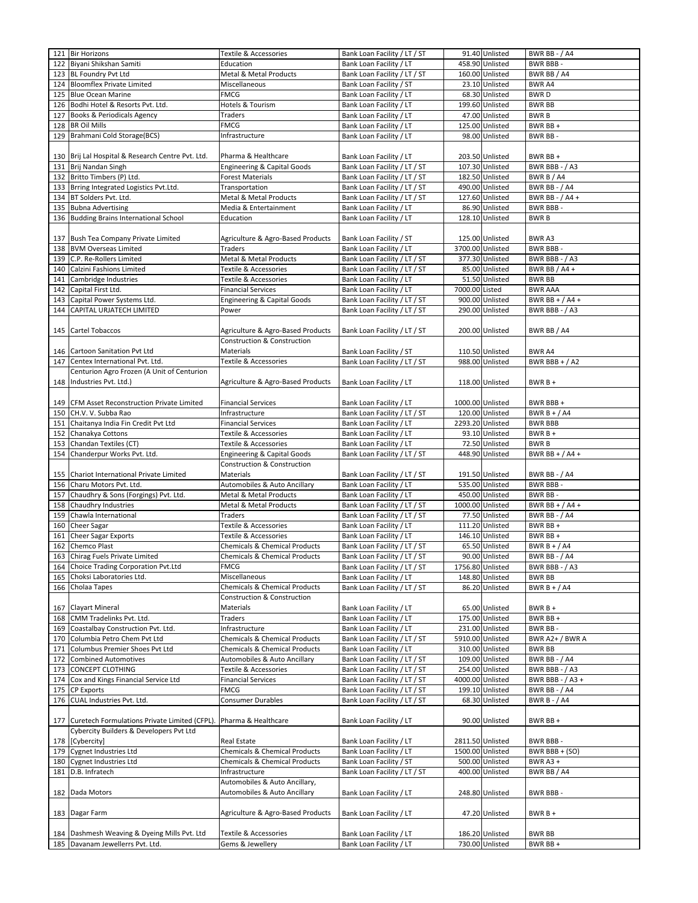|     | 121 Bir Horizons                                                                 | Textile & Accessories                     | Bank Loan Facility / LT / ST                       |                  | 91.40 Unlisted                     | <b>BWR BB - / A4</b>      |
|-----|----------------------------------------------------------------------------------|-------------------------------------------|----------------------------------------------------|------------------|------------------------------------|---------------------------|
| 122 | Biyani Shikshan Samiti                                                           | Education                                 | Bank Loan Facility / LT                            |                  | 458.90 Unlisted                    | <b>BWR BBB-</b>           |
| 123 | <b>BL Foundry Pvt Ltd</b>                                                        | Metal & Metal Products                    | Bank Loan Facility / LT / ST                       |                  | 160.00 Unlisted                    | BWR BB / A4               |
| 124 | <b>Bloomflex Private Limited</b>                                                 | Miscellaneous                             | Bank Loan Facility / ST                            |                  | 23.10 Unlisted                     | <b>BWR A4</b>             |
|     |                                                                                  |                                           |                                                    |                  |                                    |                           |
| 125 | <b>Blue Ocean Marine</b>                                                         | <b>FMCG</b>                               | Bank Loan Facility / LT                            |                  | 68.30 Unlisted                     | <b>BWRD</b>               |
| 126 | Bodhi Hotel & Resorts Pvt. Ltd.                                                  | Hotels & Tourism                          | Bank Loan Facility / LT                            |                  | 199.60 Unlisted                    | <b>BWR BB</b>             |
| 127 | Books & Periodicals Agency                                                       | Traders                                   | Bank Loan Facility / LT                            |                  | 47.00 Unlisted                     | <b>BWRB</b>               |
| 128 | <b>BR Oil Mills</b>                                                              | <b>FMCG</b>                               | Bank Loan Facility / LT                            |                  | 125.00 Unlisted                    | BWR BB+                   |
| 129 | Brahmani Cold Storage(BCS)                                                       | Infrastructure                            | Bank Loan Facility / LT                            |                  | 98.00 Unlisted                     | BWR BB-                   |
|     |                                                                                  |                                           |                                                    |                  |                                    |                           |
|     | 130 Brij Lal Hospital & Research Centre Pvt. Ltd.                                | Pharma & Healthcare                       | Bank Loan Facility / LT                            |                  | 203.50 Unlisted                    | BWR BB +                  |
|     | 131 Brij Nandan Singh                                                            | Engineering & Capital Goods               | Bank Loan Facility / LT / ST                       |                  | 107.30 Unlisted                    | BWR BBB - / A3            |
|     | 132 Britto Timbers (P) Ltd.                                                      | <b>Forest Materials</b>                   | Bank Loan Facility / LT / ST                       |                  | 182.50 Unlisted                    | BWR B / A4                |
| 133 | Brring Integrated Logistics Pvt.Ltd.                                             | Transportation                            | Bank Loan Facility / LT / ST                       |                  | 490.00 Unlisted                    | <b>BWR BB - / A4</b>      |
|     |                                                                                  |                                           |                                                    |                  | 127.60 Unlisted                    |                           |
| 134 | BT Solders Pvt. Ltd.                                                             | Metal & Metal Products                    | Bank Loan Facility / LT / ST                       |                  |                                    | BWR BB - / A4 +           |
| 135 | <b>Bubna Advertising</b>                                                         | Media & Entertainment                     | Bank Loan Facility / LT                            |                  | 86.90 Unlisted                     | BWR BBB -                 |
| 136 | <b>Budding Brains International School</b>                                       | Education                                 | Bank Loan Facility / LT                            |                  | 128.10 Unlisted                    | <b>BWRB</b>               |
|     |                                                                                  |                                           |                                                    |                  |                                    |                           |
| 137 | Bush Tea Company Private Limited                                                 | Agriculture & Agro-Based Products         | Bank Loan Facility / ST                            |                  | 125.00 Unlisted                    | BWR A3                    |
| 138 | <b>BVM Overseas Limited</b>                                                      | <b>Traders</b>                            | Bank Loan Facility / LT                            | 3700.00 Unlisted |                                    | <b>BWR BBB-</b>           |
| 139 | C.P. Re-Rollers Limited                                                          | Metal & Metal Products                    | Bank Loan Facility / LT / ST                       |                  | 377.30 Unlisted                    | BWR BBB - / A3            |
| 140 | Calzini Fashions Limited                                                         | Textile & Accessories                     | Bank Loan Facility / LT / ST                       |                  | 85.00 Unlisted                     | BWR BB $/$ A4 +           |
| 141 | Cambridge Industries                                                             | Textile & Accessories                     | Bank Loan Facility / LT                            |                  | 51.50 Unlisted                     | <b>BWR BB</b>             |
| 142 | Capital First Ltd.                                                               | <b>Financial Services</b>                 | Bank Loan Facility / LT                            | 7000.00 Listed   |                                    | <b>BWR AAA</b>            |
| 143 | Capital Power Systems Ltd.                                                       | Engineering & Capital Goods               | Bank Loan Facility / LT / ST                       |                  | 900.00 Unlisted                    | BWR BB + $/$ A4 +         |
|     |                                                                                  |                                           |                                                    |                  | 290.00 Unlisted                    |                           |
| 144 | CAPITAL URJATECH LIMITED                                                         | Power                                     | Bank Loan Facility / LT / ST                       |                  |                                    | BWR BBB - / A3            |
|     |                                                                                  |                                           |                                                    |                  |                                    |                           |
| 145 | Cartel Tobaccos                                                                  | Agriculture & Agro-Based Products         | Bank Loan Facility / LT / ST                       |                  | 200.00 Unlisted                    | BWR BB / A4               |
|     |                                                                                  | Construction & Construction               |                                                    |                  |                                    |                           |
|     | 146 Cartoon Sanitation Pvt Ltd                                                   | Materials                                 | Bank Loan Facility / ST                            |                  | 110.50 Unlisted                    | BWR A4                    |
| 147 | Centex International Pvt. Ltd.                                                   | Textile & Accessories                     | Bank Loan Facility / LT / ST                       |                  | 988.00 Unlisted                    | BWR BBB + $/$ A2          |
|     | Centurion Agro Frozen (A Unit of Centurion                                       |                                           |                                                    |                  |                                    |                           |
| 148 | Industries Pvt. Ltd.)                                                            | Agriculture & Agro-Based Products         | Bank Loan Facility / LT                            |                  | 118.00 Unlisted                    | $BWRB+$                   |
|     |                                                                                  |                                           |                                                    |                  |                                    |                           |
|     | 149 CFM Asset Reconstruction Private Limited                                     | <b>Financial Services</b>                 | Bank Loan Facility / LT                            | 1000.00 Unlisted |                                    | BWR BBB+                  |
| 150 | CH.V. V. Subba Rao                                                               | Infrastructure                            | Bank Loan Facility / LT / ST                       |                  | 120.00 Unlisted                    | BWR $B + / A4$            |
| 151 | Chaitanya India Fin Credit Pvt Ltd                                               | <b>Financial Services</b>                 | Bank Loan Facility / LT                            |                  | 2293.20 Unlisted                   | <b>BWR BBB</b>            |
| 152 | Chanakya Cottons                                                                 | Textile & Accessories                     | Bank Loan Facility / LT                            |                  | 93.10 Unlisted                     | BWR B +                   |
|     |                                                                                  |                                           |                                                    |                  |                                    |                           |
| 153 | Chandan Textiles (CT)                                                            | Textile & Accessories                     | Bank Loan Facility / LT                            |                  | 72.50 Unlisted                     | <b>BWRB</b>               |
|     |                                                                                  |                                           |                                                    |                  |                                    |                           |
| 154 | Chanderpur Works Pvt. Ltd.                                                       | <b>Engineering &amp; Capital Goods</b>    | Bank Loan Facility / LT / ST                       |                  | 448.90 Unlisted                    | BWR BB + $/$ A4 +         |
|     |                                                                                  | <b>Construction &amp; Construction</b>    |                                                    |                  |                                    |                           |
|     | 155 Chariot International Private Limited                                        | Materials                                 | Bank Loan Facility / LT / ST                       |                  | 191.50 Unlisted                    | <b>BWR BB - / A4</b>      |
| 156 | Charu Motors Pvt. Ltd.                                                           | Automobiles & Auto Ancillary              | Bank Loan Facility / LT                            |                  | 535.00 Unlisted                    | BWR BBB-                  |
| 157 | Chaudhry & Sons (Forgings) Pvt. Ltd.                                             | Metal & Metal Products                    | Bank Loan Facility / LT                            |                  | 450.00 Unlisted                    | BWR BB-                   |
| 158 | Chaudhry Industries                                                              | Metal & Metal Products                    | Bank Loan Facility / LT / ST                       | 1000.00 Unlisted |                                    | BWR BB + $/$ A4 +         |
| 159 | Chawla International                                                             | Traders                                   | Bank Loan Facility / LT / ST                       |                  | 77.50 Unlisted                     | <b>BWR BB - / A4</b>      |
|     |                                                                                  | Textile & Accessories                     |                                                    |                  |                                    |                           |
| 160 | Cheer Sagar                                                                      |                                           | Bank Loan Facility / LT                            |                  | 111.20 Unlisted                    | BWR BB +                  |
| 161 | Cheer Sagar Exports                                                              | Textile & Accessories                     | Bank Loan Facility / LT                            |                  | 146.10 Unlisted                    | BWR BB +                  |
| 162 | Chemco Plast                                                                     | <b>Chemicals &amp; Chemical Products</b>  | Bank Loan Facility / LT / ST                       |                  | 65.50 Unlisted                     | BWR $B + / A4$            |
| 163 | Chirag Fuels Private Limited                                                     | Chemicals & Chemical Products             | Bank Loan Facility / LT / ST                       |                  | 90.00 Unlisted                     | <b>BWR BB - / A4</b>      |
|     | 164 Choice Trading Corporation Pvt.Ltd                                           | <b>FMCG</b>                               | Bank Loan Facility / LT / ST                       | 1756.80 Unlisted |                                    | BWR BBB - / A3            |
| 165 | Choksi Laboratories Ltd.                                                         | Miscellaneous                             | Bank Loan Facility / LT                            |                  | 148.80 Unlisted                    | <b>BWR BB</b>             |
| 166 | Cholaa Tapes                                                                     | <b>Chemicals &amp; Chemical Products</b>  | Bank Loan Facility / LT / ST                       |                  | 86.20 Unlisted                     | BWR $B + / A4$            |
|     |                                                                                  | Construction & Construction               |                                                    |                  |                                    |                           |
| 167 | <b>Clayart Mineral</b>                                                           | Materials                                 | Bank Loan Facility / LT                            |                  | 65.00 Unlisted                     | $BWRB +$                  |
| 168 | CMM Tradelinks Pvt. Ltd.                                                         | Traders                                   | Bank Loan Facility / LT                            |                  | 175.00 Unlisted                    | BWR BB +                  |
| 169 | Coastalbay Construction Pvt. Ltd.                                                | Infrastructure                            | Bank Loan Facility / LT                            |                  | 231.00 Unlisted                    | BWR BB-                   |
| 170 | Columbia Petro Chem Pvt Ltd                                                      | <b>Chemicals &amp; Chemical Products</b>  | Bank Loan Facility / LT / ST                       | 5910.00 Unlisted |                                    | BWR A2+ / BWR A           |
| 171 | Columbus Premier Shoes Pvt Ltd                                                   | <b>Chemicals &amp; Chemical Products</b>  | Bank Loan Facility / LT                            |                  | 310.00 Unlisted                    | <b>BWR BB</b>             |
| 172 | <b>Combined Automotives</b>                                                      | Automobiles & Auto Ancillary              | Bank Loan Facility / LT / ST                       |                  | 109.00 Unlisted                    | <b>BWR BB - / A4</b>      |
| 173 | CONCEPT CLOTHING                                                                 | Textile & Accessories                     | Bank Loan Facility / LT / ST                       |                  | 254.00 Unlisted                    | BWR BBB - / A3            |
| 174 |                                                                                  |                                           |                                                    |                  | 4000.00 Unlisted                   | BWR BBB - / A3 +          |
| 175 | Cox and Kings Financial Service Ltd<br><b>CP Exports</b>                         | <b>Financial Services</b><br><b>FMCG</b>  | Bank Loan Facility / LT / ST                       |                  | 199.10 Unlisted                    |                           |
|     | CUAL Industries Pvt. Ltd.                                                        |                                           | Bank Loan Facility / LT / ST                       |                  |                                    | <b>BWR BB - / A4</b>      |
| 176 |                                                                                  | Consumer Durables                         | Bank Loan Facility / LT / ST                       |                  | 68.30 Unlisted                     | <b>BWR B - / A4</b>       |
|     |                                                                                  |                                           |                                                    |                  |                                    |                           |
|     | 177 Curetech Formulations Private Limited (CFPL).                                | Pharma & Healthcare                       | Bank Loan Facility / LT                            |                  | 90.00 Unlisted                     | BWR BB +                  |
|     | Cybercity Builders & Developers Pvt Ltd                                          |                                           |                                                    |                  |                                    |                           |
|     | 178 [Cybercity]                                                                  | Real Estate                               | Bank Loan Facility / LT                            | 2811.50 Unlisted |                                    | <b>BWR BBB-</b>           |
| 179 | Cygnet Industries Ltd                                                            | <b>Chemicals &amp; Chemical Products</b>  | Bank Loan Facility / LT                            | 1500.00 Unlisted |                                    | BWR BBB + (SO)            |
| 180 | <b>Cygnet Industries Ltd</b>                                                     | <b>Chemicals &amp; Chemical Products</b>  | Bank Loan Facility / ST                            |                  | 500.00 Unlisted                    | <b>BWR A3 +</b>           |
|     | 181 D.B. Infratech                                                               | Infrastructure                            | Bank Loan Facility / LT / ST                       |                  | 400.00 Unlisted                    | BWR BB / A4               |
|     |                                                                                  | Automobiles & Auto Ancillary,             |                                                    |                  |                                    |                           |
|     | 182 Dada Motors                                                                  | Automobiles & Auto Ancillary              | Bank Loan Facility / LT                            |                  | 248.80 Unlisted                    | BWR BBB-                  |
|     |                                                                                  |                                           |                                                    |                  |                                    |                           |
|     | 183 Dagar Farm                                                                   | Agriculture & Agro-Based Products         | Bank Loan Facility / LT                            |                  | 47.20 Unlisted                     | $BWRB+$                   |
|     |                                                                                  |                                           |                                                    |                  |                                    |                           |
|     | 184 Dashmesh Weaving & Dyeing Mills Pvt. Ltd<br>185 Davanam Jewellerrs Pvt. Ltd. | Textile & Accessories<br>Gems & Jewellery | Bank Loan Facility / LT<br>Bank Loan Facility / LT |                  | 186.20 Unlisted<br>730.00 Unlisted | <b>BWR BB</b><br>BWR BB + |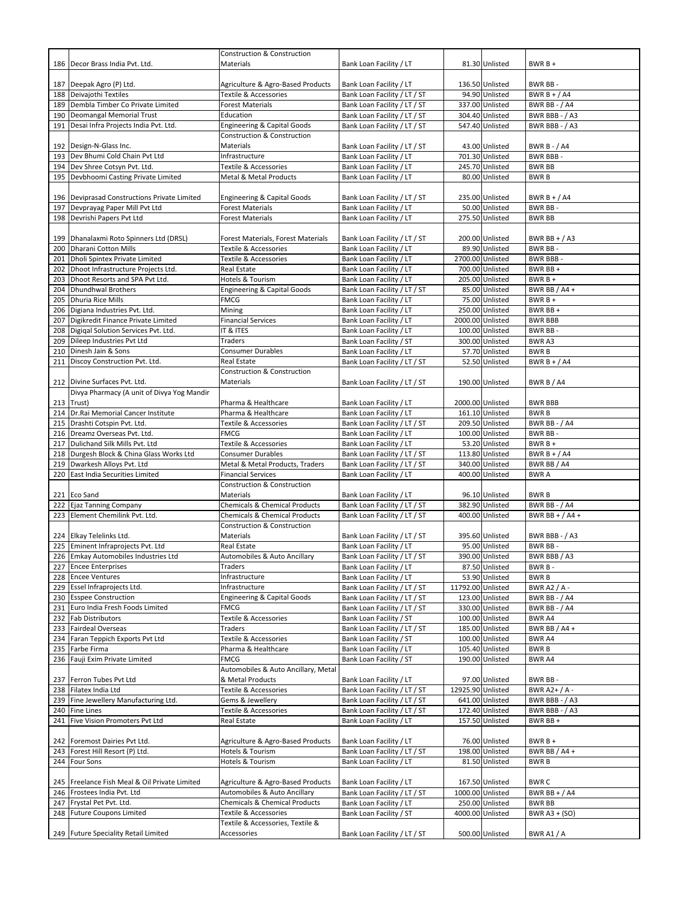|     |                                               | <b>Construction &amp; Construction</b>             |                              |                   |                  |                      |
|-----|-----------------------------------------------|----------------------------------------------------|------------------------------|-------------------|------------------|----------------------|
|     | 186 Decor Brass India Pvt. Ltd.               | Materials                                          | Bank Loan Facility / LT      |                   | 81.30 Unlisted   | $BWRB +$             |
|     |                                               |                                                    |                              |                   |                  |                      |
|     | 187 Deepak Agro (P) Ltd.                      | Agriculture & Agro-Based Products                  | Bank Loan Facility / LT      |                   | 136.50 Unlisted  | BWR BB-              |
|     | 188 Deivajothi Textiles                       | Textile & Accessories                              | Bank Loan Facility / LT / ST |                   | 94.90 Unlisted   | BWR B + $/$ A4       |
| 189 | Dembla Timber Co Private Limited              | <b>Forest Materials</b>                            | Bank Loan Facility / LT / ST |                   | 337.00 Unlisted  | <b>BWR BB - / A4</b> |
|     | 190 Deomangal Memorial Trust                  | Education                                          | Bank Loan Facility / LT / ST |                   | 304.40 Unlisted  | BWR BBB - / A3       |
| 191 | Desai Infra Projects India Pvt. Ltd.          | <b>Engineering &amp; Capital Goods</b>             | Bank Loan Facility / LT / ST |                   | 547.40 Unlisted  | BWR BBB - / A3       |
|     |                                               | <b>Construction &amp; Construction</b>             |                              |                   |                  |                      |
|     | 192 Design-N-Glass Inc.                       | Materials                                          | Bank Loan Facility / LT / ST |                   | 43.00 Unlisted   | <b>BWR B - / A4</b>  |
|     | 193 Dev Bhumi Cold Chain Pvt Ltd              | Infrastructure                                     | Bank Loan Facility / LT      |                   | 701.30 Unlisted  | <b>BWR BBB-</b>      |
|     | 194 Dev Shree Cotsyn Pvt. Ltd.                | Textile & Accessories                              | Bank Loan Facility / LT      |                   | 245.70 Unlisted  | <b>BWR BB</b>        |
|     | 195 Devbhoomi Casting Private Limited         | Metal & Metal Products                             | Bank Loan Facility / LT      |                   | 80.00 Unlisted   | <b>BWRB</b>          |
|     |                                               |                                                    |                              |                   |                  |                      |
|     |                                               |                                                    |                              |                   |                  |                      |
|     | 196 Deviprasad Constructions Private Limited  | Engineering & Capital Goods                        | Bank Loan Facility / LT / ST |                   | 235.00 Unlisted  | BWR B + $/$ A4       |
| 197 | Devprayag Paper Mill Pvt Ltd                  | <b>Forest Materials</b>                            | Bank Loan Facility / LT      |                   | 50.00 Unlisted   | BWR BB-              |
|     | 198 Devrishi Papers Pvt Ltd                   | <b>Forest Materials</b>                            | Bank Loan Facility / LT      |                   | 275.50 Unlisted  | <b>BWR BB</b>        |
|     |                                               |                                                    |                              |                   |                  |                      |
|     | 199   Dhanalaxmi Roto Spinners Ltd (DRSL)     | Forest Materials, Forest Materials                 | Bank Loan Facility / LT / ST |                   | 200.00 Unlisted  | BWR BB + $/$ A3      |
|     | 200 Dharani Cotton Mills                      | Textile & Accessories                              | Bank Loan Facility / LT      |                   | 89.90 Unlisted   | BWR BB-              |
|     | 201 Dholi Spintex Private Limited             | Textile & Accessories                              | Bank Loan Facility / LT      |                   | 2700.00 Unlisted | <b>BWR BBB-</b>      |
| 202 | Dhoot Infrastructure Projects Ltd.            | Real Estate                                        | Bank Loan Facility / LT      |                   | 700.00 Unlisted  | BWR BB +             |
| 203 | Dhoot Resorts and SPA Pvt Ltd.                | Hotels & Tourism                                   | Bank Loan Facility / LT      |                   | 205.00 Unlisted  | $BWRB +$             |
| 204 | <b>Dhundhwal Brothers</b>                     | <b>Engineering &amp; Capital Goods</b>             | Bank Loan Facility / LT / ST |                   | 85.00 Unlisted   | BWR BB / A4 +        |
|     | 205 Dhuria Rice Mills                         | <b>FMCG</b>                                        | Bank Loan Facility / LT      |                   | 75.00 Unlisted   | $BWRB+$              |
|     | 206 Digiana Industries Pvt. Ltd.              | Mining                                             | Bank Loan Facility / LT      |                   | 250.00 Unlisted  | BWR BB +             |
|     | 207 Digikredit Finance Private Limited        | <b>Financial Services</b>                          | Bank Loan Facility / LT      |                   | 2000.00 Unlisted | <b>BWR BBB</b>       |
|     | 208 Digigal Solution Services Pvt. Ltd.       | IT & ITES                                          | Bank Loan Facility / LT      |                   | 100.00 Unlisted  | BWR BB-              |
|     | 209 Dileep Industries Pvt Ltd                 | Traders                                            | Bank Loan Facility / ST      |                   | 300.00 Unlisted  | BWR A3               |
|     |                                               |                                                    |                              |                   |                  |                      |
| 210 | Dinesh Jain & Sons                            | <b>Consumer Durables</b>                           | Bank Loan Facility / LT      |                   | 57.70 Unlisted   | <b>BWRB</b>          |
| 211 | Discoy Construction Pvt. Ltd.                 | Real Estate                                        | Bank Loan Facility / LT / ST |                   | 52.50 Unlisted   | BWR $B + / A4$       |
|     |                                               | Construction & Construction                        |                              |                   |                  |                      |
|     | 212 Divine Surfaces Pvt. Ltd.                 | Materials                                          | Bank Loan Facility / LT / ST |                   | 190.00 Unlisted  | BWR B / A4           |
|     | Divya Pharmacy (A unit of Divya Yog Mandir    |                                                    |                              |                   |                  |                      |
|     | 213 Trust)                                    | Pharma & Healthcare                                | Bank Loan Facility / LT      |                   | 2000.00 Unlisted | <b>BWR BBB</b>       |
|     | 214 Dr. Rai Memorial Cancer Institute         | Pharma & Healthcare                                | Bank Loan Facility / LT      |                   | 161.10 Unlisted  | <b>BWRB</b>          |
|     | 215 Drashti Cotspin Pvt. Ltd.                 | Textile & Accessories                              | Bank Loan Facility / LT / ST |                   | 209.50 Unlisted  | <b>BWR BB - / A4</b> |
|     | 216 Dreamz Overseas Pvt. Ltd.                 | <b>FMCG</b>                                        | Bank Loan Facility / LT      |                   | 100.00 Unlisted  | BWR BB-              |
|     | 217 Dulichand Silk Mills Pvt. Ltd             | Textile & Accessories                              | Bank Loan Facility / LT      |                   | 53.20 Unlisted   | $BWRB +$             |
|     | 218 Durgesh Block & China Glass Works Ltd     | <b>Consumer Durables</b>                           | Bank Loan Facility / LT / ST |                   | 113.80 Unlisted  | BWR B + $/$ A4       |
|     |                                               |                                                    |                              |                   |                  |                      |
|     |                                               |                                                    |                              |                   |                  |                      |
|     | 219 Dwarkesh Alloys Pvt. Ltd                  | Metal & Metal Products, Traders                    | Bank Loan Facility / LT / ST |                   | 340.00 Unlisted  | BWR BB / A4          |
| 220 | East India Securities Limited                 | <b>Financial Services</b>                          | Bank Loan Facility / LT      |                   | 400.00 Unlisted  | <b>BWRA</b>          |
|     |                                               | Construction & Construction                        |                              |                   |                  |                      |
|     | 221 Eco Sand                                  | Materials                                          | Bank Loan Facility / LT      |                   | 96.10 Unlisted   | <b>BWRB</b>          |
|     | 222 Ejaz Tanning Company                      | Chemicals & Chemical Products                      | Bank Loan Facility / LT / ST |                   | 382.90 Unlisted  | <b>BWR BB - / A4</b> |
| 223 | Element Chemilink Pvt. Ltd.                   | <b>Chemicals &amp; Chemical Products</b>           | Bank Loan Facility / LT / ST |                   | 400.00 Unlisted  | BWR BB + $/$ A4 +    |
|     |                                               | Construction & Construction                        |                              |                   |                  |                      |
|     | 224 Elkay Telelinks Ltd.                      | Materials                                          | Bank Loan Facility / LT / ST |                   | 395.60 Unlisted  | BWR BBB - / A3       |
|     | 225 Eminent Infraprojects Pvt. Ltd            | <b>Real Estate</b>                                 | Bank Loan Facility / LT      |                   | 95.00 Unlisted   | BWR BB-              |
|     | 226 Emkay Automobiles Industries Ltd          | Automobiles & Auto Ancillary                       | Bank Loan Facility / LT / ST |                   | 390.00 Unlisted  | BWR BBB / A3         |
|     | 227 Encee Enterprises                         | Traders                                            | Bank Loan Facility / LT      |                   | 87.50 Unlisted   | BWR B-               |
| 228 | <b>Encee Ventures</b>                         | Infrastructure                                     | Bank Loan Facility / LT      |                   | 53.90 Unlisted   | <b>BWRB</b>          |
|     | 229 Essel Infraprojects Ltd.                  | Infrastructure                                     | Bank Loan Facility / LT / ST | 11792.00 Unlisted |                  | BWR A2 / A -         |
|     | 230 Esspee Construction                       | <b>Engineering &amp; Capital Goods</b>             | Bank Loan Facility / LT / ST |                   | 123.00 Unlisted  | <b>BWR BB - / A4</b> |
|     | 231 Euro India Fresh Foods Limited            | <b>FMCG</b>                                        | Bank Loan Facility / LT / ST |                   | 330.00 Unlisted  | <b>BWR BB - / A4</b> |
|     | 232 Fab Distributors                          | Textile & Accessories                              | Bank Loan Facility / ST      |                   | 100.00 Unlisted  | BWR A4               |
|     | 233 Fairdeal Overseas                         | Traders                                            | Bank Loan Facility / LT / ST |                   | 185.00 Unlisted  | BWR BB / A4 +        |
| 234 | Faran Teppich Exports Pvt Ltd                 | Textile & Accessories                              | Bank Loan Facility / ST      |                   | 100.00 Unlisted  | BWR A4               |
| 235 | Farbe Firma                                   | Pharma & Healthcare                                | Bank Loan Facility / LT      |                   | 105.40 Unlisted  | <b>BWRB</b>          |
|     |                                               |                                                    | Bank Loan Facility / ST      |                   |                  |                      |
|     | 236 Fauji Exim Private Limited                | <b>FMCG</b><br>Automobiles & Auto Ancillary, Metal |                              |                   | 190.00 Unlisted  | BWR A4               |
|     |                                               | & Metal Products                                   |                              |                   |                  |                      |
| 237 | Ferron Tubes Pvt Ltd                          |                                                    | Bank Loan Facility / LT      |                   | 97.00 Unlisted   | BWR BB-              |
|     | 238 Filatex India Ltd                         | Textile & Accessories                              | Bank Loan Facility / LT / ST | 12925.90 Unlisted |                  | BWR A2+ / A -        |
|     | 239 Fine Jewellery Manufacturing Ltd.         | Gems & Jewellery                                   | Bank Loan Facility / LT / ST |                   | 641.00 Unlisted  | BWR BBB - / A3       |
|     | 240 Fine Lines                                | Textile & Accessories                              | Bank Loan Facility / LT / ST |                   | 172.40 Unlisted  | BWR BBB - / A3       |
|     | 241 Five Vision Promoters Pvt Ltd             | Real Estate                                        | Bank Loan Facility / LT      |                   | 157.50 Unlisted  | BWR BB +             |
|     |                                               |                                                    |                              |                   |                  |                      |
|     | 242 Foremost Dairies Pvt Ltd.                 | Agriculture & Agro-Based Products                  | Bank Loan Facility / LT      |                   | 76.00 Unlisted   | $BWRB +$             |
|     | 243 Forest Hill Resort (P) Ltd.               | Hotels & Tourism                                   | Bank Loan Facility / LT / ST |                   | 198.00 Unlisted  | BWR BB / A4 +        |
|     | 244 Four Sons                                 | Hotels & Tourism                                   | Bank Loan Facility / LT      |                   | 81.50 Unlisted   | <b>BWRB</b>          |
|     |                                               |                                                    |                              |                   |                  |                      |
|     | 245 Freelance Fish Meal & Oil Private Limited | Agriculture & Agro-Based Products                  | Bank Loan Facility / LT      |                   | 167.50 Unlisted  | <b>BWRC</b>          |
|     | 246 Frostees India Pvt. Ltd                   | Automobiles & Auto Ancillary                       | Bank Loan Facility / LT / ST |                   | 1000.00 Unlisted | BWR BB + $/$ A4      |
|     | 247 Frystal Pet Pvt. Ltd.                     | Chemicals & Chemical Products                      | Bank Loan Facility / LT      |                   | 250.00 Unlisted  | <b>BWR BB</b>        |
|     | 248 Future Coupons Limited                    | Textile & Accessories                              | Bank Loan Facility / ST      |                   | 4000.00 Unlisted | BWR A3 + (SO)        |
|     |                                               | Textile & Accessories, Textile &                   |                              |                   |                  |                      |
|     | 249 Future Speciality Retail Limited          | Accessories                                        | Bank Loan Facility / LT / ST |                   | 500.00 Unlisted  | BWR A1 / A           |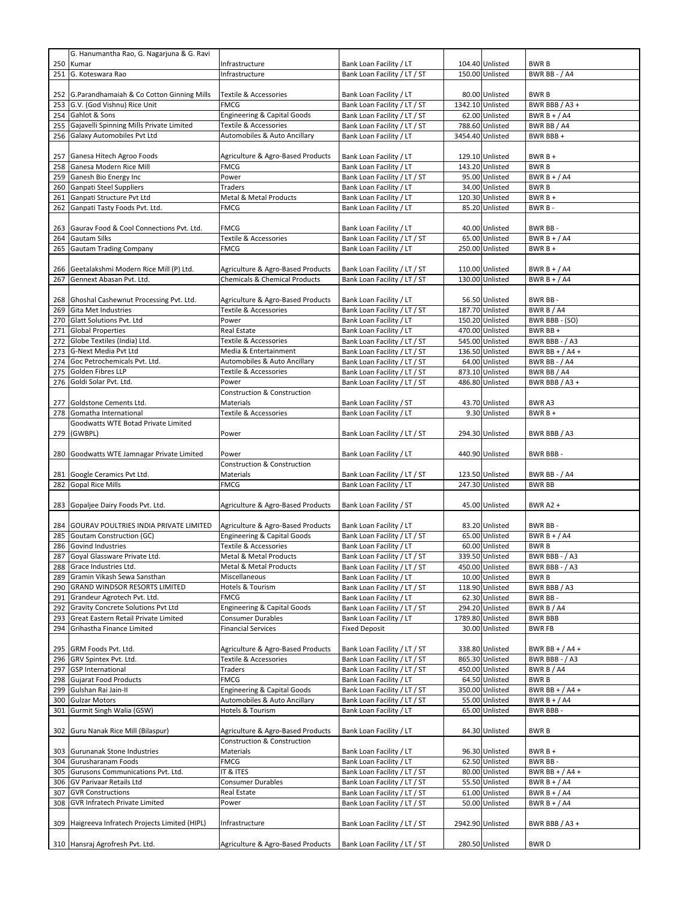|     | G. Hanumantha Rao, G. Nagarjuna & G. Ravi     |                                          |                              |                  |                      |
|-----|-----------------------------------------------|------------------------------------------|------------------------------|------------------|----------------------|
| 250 | Kumar                                         | Infrastructure                           | Bank Loan Facility / LT      | 104.40 Unlisted  | <b>BWRB</b>          |
| 251 | G. Koteswara Rao                              | Infrastructure                           | Bank Loan Facility / LT / ST | 150.00 Unlisted  | <b>BWR BB - / A4</b> |
|     |                                               |                                          |                              |                  |                      |
|     | 252 G.Parandhamaiah & Co Cotton Ginning Mills | <b>Textile &amp; Accessories</b>         | Bank Loan Facility / LT      | 80.00 Unlisted   | <b>BWRB</b>          |
| 253 | G.V. (God Vishnu) Rice Unit                   | <b>FMCG</b>                              | Bank Loan Facility / LT / ST | 1342.10 Unlisted | BWR BBB / A3 +       |
| 254 | Gahlot & Sons                                 | <b>Engineering &amp; Capital Goods</b>   | Bank Loan Facility / LT / ST | 62.00 Unlisted   | BWR $B + / A4$       |
| 255 | Gajavelli Spinning Mills Private Limited      | <b>Textile &amp; Accessories</b>         | Bank Loan Facility / LT / ST | 788.60 Unlisted  | BWR BB / A4          |
| 256 | Galaxy Automobiles Pvt Ltd                    | Automobiles & Auto Ancillary             | Bank Loan Facility / LT      | 3454.40 Unlisted | BWR BBB +            |
|     |                                               |                                          |                              |                  |                      |
|     |                                               |                                          |                              | 129.10 Unlisted  | $BWRB +$             |
| 257 | Ganesa Hitech Agroo Foods                     | Agriculture & Agro-Based Products        | Bank Loan Facility / LT      |                  |                      |
| 258 | Ganesa Modern Rice Mill                       | <b>FMCG</b>                              | Bank Loan Facility / LT      | 143.20 Unlisted  | <b>BWRB</b>          |
| 259 | Ganesh Bio Energy Inc                         | Power                                    | Bank Loan Facility / LT / ST | 95.00 Unlisted   | BWR $B + / A4$       |
| 260 | Ganpati Steel Suppliers                       | Traders                                  | Bank Loan Facility / LT      | 34.00 Unlisted   | <b>BWRB</b>          |
| 261 | Ganpati Structure Pvt Ltd                     | <b>Metal &amp; Metal Products</b>        | Bank Loan Facility / LT      | 120.30 Unlisted  | BWR B +              |
| 262 | Ganpati Tasty Foods Pvt. Ltd.                 | <b>FMCG</b>                              | Bank Loan Facility / LT      | 85.20 Unlisted   | BWR B-               |
|     |                                               |                                          |                              |                  |                      |
| 263 | Gaurav Food & Cool Connections Pvt. Ltd.      | <b>FMCG</b>                              | Bank Loan Facility / LT      | 40.00 Unlisted   | BWR BB-              |
| 264 | <b>Gautam Silks</b>                           | Textile & Accessories                    | Bank Loan Facility / LT / ST | 65.00 Unlisted   | BWR $B + / A4$       |
| 265 | <b>Gautam Trading Company</b>                 | <b>FMCG</b>                              | Bank Loan Facility / LT      | 250.00 Unlisted  | BWR B +              |
|     |                                               |                                          |                              |                  |                      |
| 266 | Geetalakshmi Modern Rice Mill (P) Ltd.        | Agriculture & Agro-Based Products        | Bank Loan Facility / LT / ST | 110.00 Unlisted  | BWR $B + / A4$       |
| 267 | Gennext Abasan Pvt. Ltd.                      | <b>Chemicals &amp; Chemical Products</b> | Bank Loan Facility / LT / ST | 130.00 Unlisted  | BWR $B + / A4$       |
|     |                                               |                                          |                              |                  |                      |
|     |                                               |                                          |                              |                  |                      |
| 268 | Ghoshal Cashewnut Processing Pvt. Ltd.        | Agriculture & Agro-Based Products        | Bank Loan Facility / LT      | 56.50 Unlisted   | BWR BB-              |
| 269 | <b>Gita Met Industries</b>                    | Textile & Accessories                    | Bank Loan Facility / LT / ST | 187.70 Unlisted  | BWR B / A4           |
| 270 | Glatt Solutions Pvt. Ltd                      | Power                                    | Bank Loan Facility / LT      | 150.20 Unlisted  | BWR BBB - (SO)       |
| 271 | <b>Global Properties</b>                      | Real Estate                              | Bank Loan Facility / LT      | 470.00 Unlisted  | BWR BB +             |
| 272 | Globe Textiles (India) Ltd.                   | Textile & Accessories                    | Bank Loan Facility / LT / ST | 545.00 Unlisted  | BWR BBB - / A3       |
| 273 | G-Next Media Pvt Ltd                          | Media & Entertainment                    | Bank Loan Facility / LT / ST | 136.50 Unlisted  | BWR BB + $/$ A4 +    |
| 274 | Goc Petrochemicals Pvt. Ltd.                  | Automobiles & Auto Ancillary             | Bank Loan Facility / LT / ST | 64.00 Unlisted   | <b>BWR BB - / A4</b> |
| 275 | Golden Fibres LLP                             | Textile & Accessories                    | Bank Loan Facility / LT / ST | 873.10 Unlisted  | BWR BB / A4          |
| 276 | Goldi Solar Pvt. Ltd.                         | Power                                    | Bank Loan Facility / LT / ST | 486.80 Unlisted  | BWR BBB / A3 +       |
|     |                                               | Construction & Construction              |                              |                  |                      |
|     |                                               | Materials                                |                              | 43.70 Unlisted   | BWR A3               |
| 277 | Goldstone Cements Ltd.                        |                                          | Bank Loan Facility / ST      |                  |                      |
| 278 | Gomatha International                         | Textile & Accessories                    | Bank Loan Facility / LT      | 9.30 Unlisted    | BWR B +              |
|     | Goodwatts WTE Botad Private Limited           |                                          |                              |                  |                      |
| 279 | (GWBPL)                                       | Power                                    | Bank Loan Facility / LT / ST | 294.30 Unlisted  | BWR BBB / A3         |
|     |                                               |                                          |                              |                  |                      |
|     | 280 Goodwatts WTE Jamnagar Private Limited    | Power                                    | Bank Loan Facility / LT      | 440.90 Unlisted  | <b>BWR BBB-</b>      |
|     |                                               | <b>Construction &amp; Construction</b>   |                              |                  |                      |
|     |                                               | Materials                                | Bank Loan Facility / LT / ST | 123.50 Unlisted  | <b>BWR BB - / A4</b> |
|     |                                               |                                          |                              |                  |                      |
|     | 281 Google Ceramics Pvt Ltd.                  |                                          |                              |                  |                      |
| 282 | <b>Gopal Rice Mills</b>                       | <b>FMCG</b>                              | Bank Loan Facility / LT      | 247.30 Unlisted  | <b>BWR BB</b>        |
|     |                                               |                                          |                              |                  |                      |
|     | 283 Gopaljee Dairy Foods Pvt. Ltd.            | Agriculture & Agro-Based Products        | Bank Loan Facility / ST      | 45.00 Unlisted   | <b>BWR A2 +</b>      |
|     |                                               |                                          |                              |                  |                      |
| 284 | GOURAV POULTRIES INDIA PRIVATE LIMITED        | Agriculture & Agro-Based Products        | Bank Loan Facility / LT      | 83.20 Unlisted   | BWR BB-              |
| 285 | <b>Goutam Construction (GC)</b>               | Engineering & Capital Goods              | Bank Loan Facility / LT / ST | 65.00 Unlisted   | BWR $B + / A4$       |
| 286 | Govind Industries                             | Textile & Accessories                    | Bank Loan Facility / LT      | 60.00 Unlisted   | <b>BWRB</b>          |
|     | 287 Goyal Glassware Private Ltd.              | Metal & Metal Products                   | Bank Loan Facility / LT / ST | 339.50 Unlisted  | BWR BBB - / A3       |
|     | 288 Grace Industries Ltd.                     | Metal & Metal Products                   | Bank Loan Facility / LT / ST | 450.00 Unlisted  | BWR BBB - / A3       |
| 289 | Gramin Vikash Sewa Sansthan                   | Miscellaneous                            | Bank Loan Facility / LT      | 10.00 Unlisted   | <b>BWRB</b>          |
| 290 | <b>GRAND WINDSOR RESORTS LIMITED</b>          | Hotels & Tourism                         | Bank Loan Facility / LT / ST | 118.90 Unlisted  | BWR BBB / A3         |
| 291 | Grandeur Agrotech Pvt. Ltd.                   | <b>FMCG</b>                              | Bank Loan Facility / LT      | 62.30 Unlisted   | BWR BB-              |
| 292 | Gravity Concrete Solutions Pvt Ltd            | Engineering & Capital Goods              | Bank Loan Facility / LT / ST | 294.20 Unlisted  | BWR B / A4           |
|     |                                               | <b>Consumer Durables</b>                 |                              |                  |                      |
| 293 | Great Eastern Retail Private Limited          |                                          | Bank Loan Facility / LT      | 1789.80 Unlisted | <b>BWR BBB</b>       |
| 294 | Grihastha Finance Limited                     | <b>Financial Services</b>                | <b>Fixed Deposit</b>         | 30.00 Unlisted   | <b>BWR FB</b>        |
|     |                                               |                                          |                              |                  |                      |
| 295 | GRM Foods Pvt. Ltd.                           | Agriculture & Agro-Based Products        | Bank Loan Facility / LT / ST | 338.80 Unlisted  | BWR BB + $/$ A4 +    |
| 296 | GRV Spintex Pvt. Ltd.                         | Textile & Accessories                    | Bank Loan Facility / LT / ST | 865.30 Unlisted  | BWR BBB - / A3       |
| 297 | <b>GSP International</b>                      | Traders                                  | Bank Loan Facility / LT / ST | 450.00 Unlisted  | BWR B / A4           |
| 298 | <b>Gujarat Food Products</b>                  | <b>FMCG</b>                              | Bank Loan Facility / LT      | 64.50 Unlisted   | <b>BWRB</b>          |
| 299 | Gulshan Rai Jain-II                           | Engineering & Capital Goods              | Bank Loan Facility / LT / ST | 350.00 Unlisted  | BWR BB + $/$ A4 +    |
| 300 | <b>Gulzar Motors</b>                          | Automobiles & Auto Ancillary             | Bank Loan Facility / LT / ST | 55.00 Unlisted   | BWR $B + / A4$       |
| 301 | Gurmit Singh Walia (GSW)                      | Hotels & Tourism                         | Bank Loan Facility / LT      | 65.00 Unlisted   | BWR BBB-             |
|     |                                               |                                          |                              |                  |                      |
|     | 302 Guru Nanak Rice Mill (Bilaspur)           | Agriculture & Agro-Based Products        | Bank Loan Facility / LT      | 84.30 Unlisted   | <b>BWRB</b>          |
|     |                                               | <b>Construction &amp; Construction</b>   |                              |                  |                      |
|     | 303 Gurunanak Stone Industries                | Materials                                |                              | 96.30 Unlisted   | $BWRB +$             |
|     |                                               |                                          | Bank Loan Facility / LT      |                  |                      |
| 304 | Gurusharanam Foods                            | <b>FMCG</b>                              | Bank Loan Facility / LT      | 62.50 Unlisted   | BWR BB-              |
| 305 | Gurusons Communications Pvt. Ltd.             | IT & ITES                                | Bank Loan Facility / LT / ST | 80.00 Unlisted   | BWR BB + $/$ A4 +    |
| 306 | <b>GV Parivaar Retails Ltd</b>                | <b>Consumer Durables</b>                 | Bank Loan Facility / LT / ST | 55.50 Unlisted   | BWR $B + / A4$       |
| 307 | <b>GVR Constructions</b>                      | Real Estate                              | Bank Loan Facility / LT / ST | 61.00 Unlisted   | BWR $B + / A4$       |
| 308 | <b>GVR Infratech Private Limited</b>          | Power                                    | Bank Loan Facility / LT / ST | 50.00 Unlisted   | BWR $B + / A4$       |
|     |                                               |                                          |                              |                  |                      |
| 309 | Haigreeva Infratech Projects Limited (HIPL)   | Infrastructure                           | Bank Loan Facility / LT / ST | 2942.90 Unlisted | BWR BBB / A3 +       |
|     |                                               |                                          |                              | 280.50 Unlisted  |                      |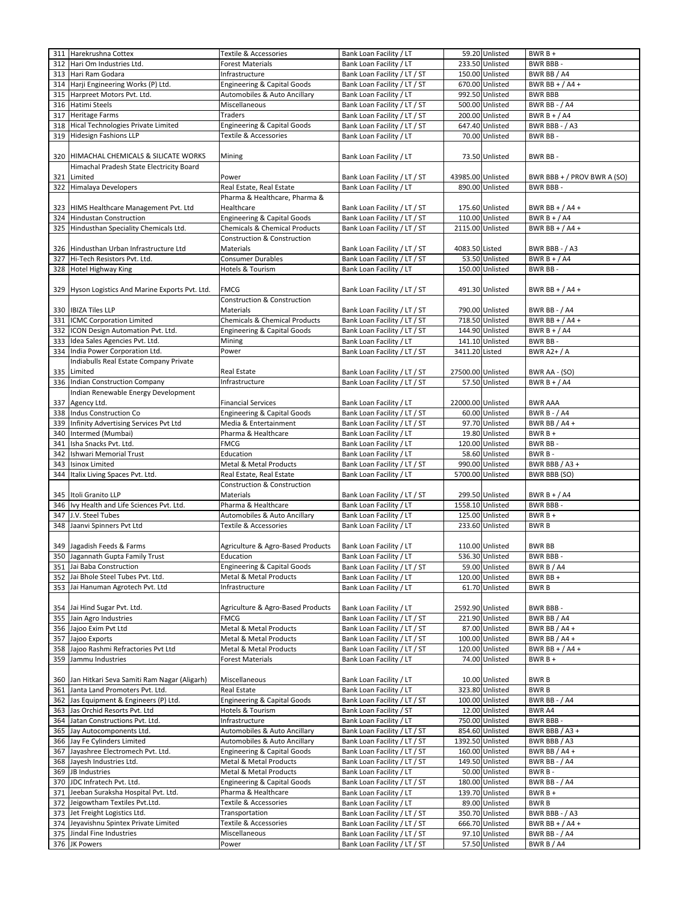| 311 | Harekrushna Cottex                               | Textile & Accessories                    | Bank Loan Facility / LT      |                   | 59.20 Unlisted  | BWR B +                     |
|-----|--------------------------------------------------|------------------------------------------|------------------------------|-------------------|-----------------|-----------------------------|
| 312 | Hari Om Industries Ltd.                          | <b>Forest Materials</b>                  | Bank Loan Facility / LT      |                   | 233.50 Unlisted | <b>BWR BBB-</b>             |
| 313 | Hari Ram Godara                                  | Infrastructure                           | Bank Loan Facility / LT / ST |                   | 150.00 Unlisted | BWR BB / A4                 |
| 314 | Harji Engineering Works (P) Ltd.                 | <b>Engineering &amp; Capital Goods</b>   | Bank Loan Facility / LT / ST |                   | 670.00 Unlisted | BWR BB + $/$ A4 +           |
| 315 | Harpreet Motors Pvt. Ltd.                        | Automobiles & Auto Ancillary             | Bank Loan Facility / LT      |                   | 992.50 Unlisted | <b>BWR BBB</b>              |
|     | 316 Hatimi Steels                                | Miscellaneous                            | Bank Loan Facility / LT / ST |                   | 500.00 Unlisted | <b>BWR BB - / A4</b>        |
| 317 | <b>Heritage Farms</b>                            | Traders                                  | Bank Loan Facility / LT / ST |                   | 200.00 Unlisted | BWR $B + / A4$              |
| 318 | Hical Technologies Private Limited               | <b>Engineering &amp; Capital Goods</b>   | Bank Loan Facility / LT / ST |                   | 647.40 Unlisted | BWR BBB - / A3              |
| 319 | <b>Hidesign Fashions LLP</b>                     | Textile & Accessories                    | Bank Loan Facility / LT      |                   | 70.00 Unlisted  | BWR BB-                     |
|     |                                                  |                                          |                              |                   |                 |                             |
| 320 | HIMACHAL CHEMICALS & SILICATE WORKS              | Mining                                   | Bank Loan Facility / LT      |                   | 73.50 Unlisted  | BWR BB-                     |
|     | Himachal Pradesh State Electricity Board         |                                          |                              |                   |                 |                             |
| 321 | Limited                                          | Power                                    | Bank Loan Facility / LT / ST | 43985.00 Unlisted |                 | BWR BBB + / PROV BWR A (SO) |
| 322 | Himalaya Developers                              | Real Estate, Real Estate                 | Bank Loan Facility / LT      |                   | 890.00 Unlisted | <b>BWR BBB-</b>             |
|     |                                                  | Pharma & Healthcare, Pharma &            |                              |                   |                 |                             |
|     | 323 HIMS Healthcare Management Pvt. Ltd          | Healthcare                               | Bank Loan Facility / LT / ST |                   | 175.60 Unlisted | BWR BB + / A4 +             |
| 324 | <b>Hindustan Construction</b>                    | <b>Engineering &amp; Capital Goods</b>   | Bank Loan Facility / LT / ST |                   | 110.00 Unlisted | BWR $B + / A4$              |
| 325 | Hindusthan Speciality Chemicals Ltd.             | Chemicals & Chemical Products            | Bank Loan Facility / LT / ST | 2115.00 Unlisted  |                 | BWR BB + $/$ A4 +           |
|     |                                                  | <b>Construction &amp; Construction</b>   |                              |                   |                 |                             |
|     | 326 Hindusthan Urban Infrastructure Ltd          | Materials                                | Bank Loan Facility / LT / ST | 4083.50 Listed    |                 | BWR BBB - / A3              |
| 327 | Hi-Tech Resistors Pvt. Ltd.                      | Consumer Durables                        | Bank Loan Facility / LT / ST |                   | 53.50 Unlisted  | BWR $B + / A4$              |
| 328 | Hotel Highway King                               | Hotels & Tourism                         | Bank Loan Facility / LT      |                   | 150.00 Unlisted | BWR BB-                     |
|     |                                                  |                                          |                              |                   |                 |                             |
|     | 329 Hyson Logistics And Marine Exports Pvt. Ltd. | <b>FMCG</b>                              | Bank Loan Facility / LT / ST |                   | 491.30 Unlisted | BWR BB + $/$ A4 +           |
|     |                                                  | <b>Construction &amp; Construction</b>   |                              |                   |                 |                             |
|     | 330 IBIZA Tiles LLP                              | Materials                                | Bank Loan Facility / LT / ST |                   | 790.00 Unlisted | <b>BWR BB - / A4</b>        |
| 331 | <b>ICMC Corporation Limited</b>                  | <b>Chemicals &amp; Chemical Products</b> | Bank Loan Facility / LT / ST |                   | 718.50 Unlisted | BWR BB + $/$ A4 +           |
| 332 | ICON Design Automation Pvt. Ltd.                 | <b>Engineering &amp; Capital Goods</b>   | Bank Loan Facility / LT / ST |                   | 144.90 Unlisted | BWR $B + / A4$              |
| 333 | Idea Sales Agencies Pvt. Ltd.                    | Mining                                   | Bank Loan Facility / LT      |                   | 141.10 Unlisted | BWR BB-                     |
| 334 | India Power Corporation Ltd.                     | Power                                    | Bank Loan Facility / LT / ST | 3411.20 Listed    |                 | <b>BWR A2+/A</b>            |
|     | Indiabulls Real Estate Company Private           |                                          |                              |                   |                 |                             |
|     | 335 Limited                                      | Real Estate                              | Bank Loan Facility / LT / ST | 27500.00 Unlisted |                 | BWR AA - (SO)               |
| 336 | Indian Construction Company                      | Infrastructure                           | Bank Loan Facility / LT / ST |                   | 57.50 Unlisted  | BWR $B + / A4$              |
|     | Indian Renewable Energy Development              |                                          |                              |                   |                 |                             |
| 337 | Agency Ltd.                                      | <b>Financial Services</b>                | Bank Loan Facility / LT      | 22000.00 Unlisted |                 | <b>BWR AAA</b>              |
|     | 338 Indus Construction Co                        | <b>Engineering &amp; Capital Goods</b>   | Bank Loan Facility / LT / ST |                   | 60.00 Unlisted  | <b>BWR B - / A4</b>         |
| 339 | Infinity Advertising Services Pvt Ltd            | Media & Entertainment                    | Bank Loan Facility / LT / ST |                   | 97.70 Unlisted  | BWR BB $/$ A4 +             |
|     |                                                  |                                          |                              |                   | 19.80 Unlisted  | BWR B +                     |
| 340 | Intermed (Mumbai)                                | Pharma & Healthcare                      | Bank Loan Facility / LT      |                   |                 | BWR BB-                     |
| 341 | Isha Snacks Pvt. Ltd.                            | <b>FMCG</b>                              | Bank Loan Facility / LT      |                   | 120.00 Unlisted |                             |
| 342 | <b>Ishwari Memorial Trust</b>                    | Education                                | Bank Loan Facility / LT      |                   | 58.60 Unlisted  | BWR B-                      |
| 343 | <b>Isinox Limited</b>                            | Metal & Metal Products                   | Bank Loan Facility / LT / ST |                   | 990.00 Unlisted | BWR BBB / A3 +              |
| 344 | Italix Living Spaces Pvt. Ltd.                   | Real Estate, Real Estate                 | Bank Loan Facility / LT      | 5700.00 Unlisted  |                 | BWR BBB (SO)                |
|     |                                                  | Construction & Construction              |                              |                   |                 |                             |
|     | 345 Itoli Granito LLP                            | <b>Materials</b>                         | Bank Loan Facility / LT / ST |                   | 299.50 Unlisted | BWR B + $/$ A4              |
|     | 346 Ivy Health and Life Sciences Pvt. Ltd.       | Pharma & Healthcare                      | Bank Loan Facility / LT      | 1558.10 Unlisted  |                 | <b>BWR BBB-</b>             |
| 347 | J.V. Steel Tubes                                 | Automobiles & Auto Ancillary             | Bank Loan Facility / LT      |                   | 125.00 Unlisted | $BWRB +$                    |
| 348 | Jaanvi Spinners Pvt Ltd                          | Textile & Accessories                    | Bank Loan Facility / LT      |                   | 233.60 Unlisted | <b>BWRB</b>                 |
|     |                                                  |                                          |                              |                   |                 |                             |
|     | 349 Jagadish Feeds & Farms                       | Agriculture & Agro-Based Products        | Bank Loan Facility / LT      |                   | 110.00 Unlisted | <b>BWR BB</b>               |
|     | 350 Jagannath Gupta Family Trust                 | Education                                | Bank Loan Facility / LT      |                   | 536.30 Unlisted | <b>BWR BBB-</b>             |
|     | 351 Jai Baba Construction                        | <b>Engineering &amp; Capital Goods</b>   | Bank Loan Facility / LT / ST |                   | 59.00 Unlisted  | BWR B / A4                  |
|     | 352 Jai Bhole Steel Tubes Pvt. Ltd.              | Metal & Metal Products                   | Bank Loan Facility / LT      |                   | 120.00 Unlisted | BWR BB +                    |
|     | 353 Jai Hanuman Agrotech Pvt. Ltd                | Infrastructure                           | Bank Loan Facility / LT      |                   | 61.70 Unlisted  | <b>BWRB</b>                 |
|     |                                                  |                                          |                              |                   |                 |                             |
|     | 354 Jai Hind Sugar Pvt. Ltd.                     | Agriculture & Agro-Based Products        | Bank Loan Facility / LT      | 2592.90 Unlisted  |                 | <b>BWR BBB-</b>             |
|     | 355 Jain Agro Industries                         | <b>FMCG</b>                              | Bank Loan Facility / LT / ST |                   | 221.90 Unlisted | BWR BB / A4                 |
|     | 356 Jajoo Exim Pvt Ltd                           | Metal & Metal Products                   | Bank Loan Facility / LT / ST |                   | 87.00 Unlisted  | BWR BB / A4 +               |
|     | 357 Jajoo Exports                                | Metal & Metal Products                   | Bank Loan Facility / LT / ST |                   | 100.00 Unlisted | BWR BB / A4 +               |
| 358 | Jajoo Rashmi Refractories Pvt Ltd                | Metal & Metal Products                   | Bank Loan Facility / LT / ST |                   | 120.00 Unlisted | BWR BB + $/$ A4 +           |
| 359 | Jammu Industries                                 | <b>Forest Materials</b>                  | Bank Loan Facility / LT      |                   | 74.00 Unlisted  | BWR B +                     |
|     |                                                  |                                          |                              |                   |                 |                             |
|     | 360 Jan Hitkari Seva Samiti Ram Nagar (Aligarh)  | Miscellaneous                            | Bank Loan Facility / LT      |                   | 10.00 Unlisted  | BWR B                       |
| 361 | Janta Land Promoters Pvt. Ltd.                   | Real Estate                              | Bank Loan Facility / LT      |                   | 323.80 Unlisted | <b>BWRB</b>                 |
|     | 362 Jas Equipment & Engineers (P) Ltd.           | <b>Engineering &amp; Capital Goods</b>   | Bank Loan Facility / LT / ST |                   | 100.00 Unlisted | <b>BWR BB - / A4</b>        |
|     | 363 Jas Orchid Resorts Pvt. Ltd                  | Hotels & Tourism                         | Bank Loan Facility / ST      |                   | 12.00 Unlisted  | BWR A4                      |
|     | 364 Jatan Constructions Pvt. Ltd.                | Infrastructure                           | Bank Loan Facility / LT      |                   | 750.00 Unlisted | BWR BBB-                    |
|     | 365 Jay Autocomponents Ltd.                      | Automobiles & Auto Ancillary             | Bank Loan Facility / LT / ST |                   | 854.60 Unlisted | BWR BBB / A3 +              |
|     | 366 Jay Fe Cylinders Limited                     | Automobiles & Auto Ancillary             | Bank Loan Facility / LT / ST | 1392.50 Unlisted  |                 | BWR BBB / A3                |
|     | 367 Jayashree Electromech Pvt. Ltd.              | <b>Engineering &amp; Capital Goods</b>   | Bank Loan Facility / LT / ST |                   | 160.00 Unlisted | BWR BB / A4 +               |
|     | 368 Jayesh Industries Ltd.                       | Metal & Metal Products                   | Bank Loan Facility / LT / ST |                   | 149.50 Unlisted | <b>BWR BB - / A4</b>        |
|     | 369 JB Industries                                | Metal & Metal Products                   | Bank Loan Facility / LT      |                   | 50.00 Unlisted  | BWR B-                      |
|     | 370 JDC Infratech Pvt. Ltd.                      | Engineering & Capital Goods              | Bank Loan Facility / LT / ST |                   | 180.00 Unlisted | <b>BWR BB - / A4</b>        |
|     | 371 Jeeban Suraksha Hospital Pvt. Ltd.           | Pharma & Healthcare                      | Bank Loan Facility / LT      |                   | 139.70 Unlisted | $BWRB +$                    |
|     | 372 Jeigowtham Textiles Pvt.Ltd.                 | Textile & Accessories                    | Bank Loan Facility / LT      |                   | 89.00 Unlisted  | <b>BWRB</b>                 |
|     | 373 Jet Freight Logistics Ltd.                   | Transportation                           | Bank Loan Facility / LT / ST |                   | 350.70 Unlisted | BWR BBB - / A3              |
|     | 374 Jeyavishnu Spintex Private Limited           | Textile & Accessories                    | Bank Loan Facility / LT / ST |                   | 666.70 Unlisted | BWR BB + $/$ A4 +           |
|     | 375 Jindal Fine Industries                       | Miscellaneous                            | Bank Loan Facility / LT / ST |                   | 97.10 Unlisted  | <b>BWR BB - / A4</b>        |
|     | 376 JK Powers                                    | Power                                    | Bank Loan Facility / LT / ST |                   | 57.50 Unlisted  | BWR B / A4                  |
|     |                                                  |                                          |                              |                   |                 |                             |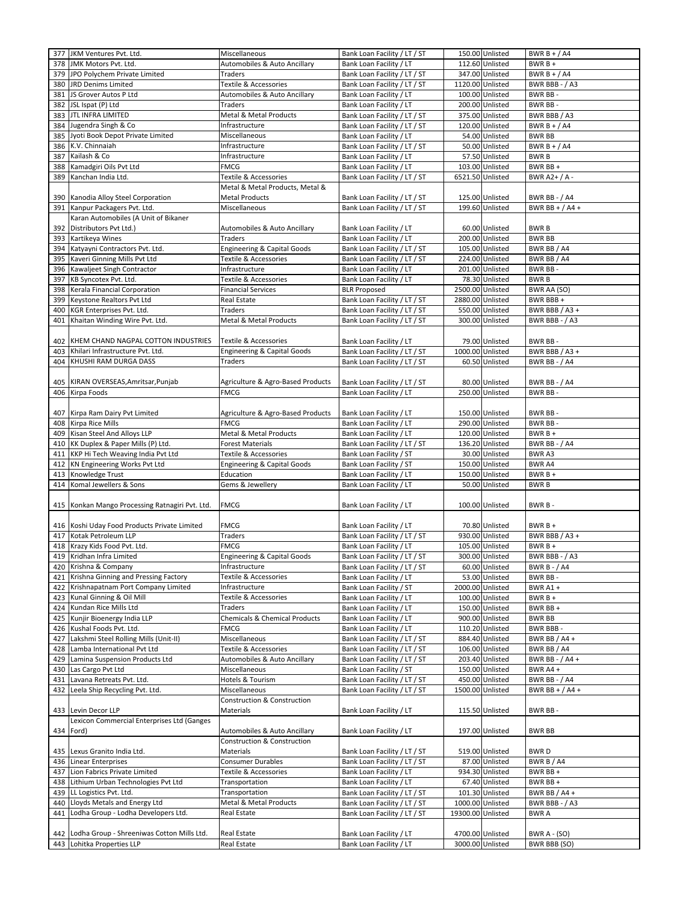|     | 377 JKM Ventures Pvt. Ltd.                                                   | Miscellaneous                            | Bank Loan Facility / LT / ST                       |                                      | 150.00 Unlisted  | BWR $B + / A4$                      |
|-----|------------------------------------------------------------------------------|------------------------------------------|----------------------------------------------------|--------------------------------------|------------------|-------------------------------------|
| 378 | JMK Motors Pvt. Ltd.                                                         | Automobiles & Auto Ancillary             | Bank Loan Facility / LT                            |                                      | 112.60 Unlisted  | $BWRB +$                            |
| 379 | JPO Polychem Private Limited                                                 | Traders                                  | Bank Loan Facility / LT / ST                       |                                      | 347.00 Unlisted  | BWR B + $/$ A4                      |
| 380 | JRD Denims Limited                                                           | Textile & Accessories                    | Bank Loan Facility / LT / ST                       | 1120.00 Unlisted                     |                  | BWR BBB - / A3                      |
|     |                                                                              |                                          |                                                    |                                      |                  |                                     |
| 381 | JS Grover Autos P Ltd                                                        | Automobiles & Auto Ancillary             | Bank Loan Facility / LT                            |                                      | 100.00 Unlisted  | BWR BB-                             |
| 382 | JSL Ispat (P) Ltd                                                            | <b>Traders</b>                           | Bank Loan Facility / LT                            |                                      | 200.00 Unlisted  | BWR BB-                             |
| 383 | <b>JTL INFRA LIMITED</b>                                                     | Metal & Metal Products                   | Bank Loan Facility / LT / ST                       |                                      | 375.00 Unlisted  | BWR BBB / A3                        |
| 384 | Jugendra Singh & Co                                                          | Infrastructure                           | Bank Loan Facility / LT / ST                       |                                      | 120.00 Unlisted  | BWR B + $/$ A4                      |
| 385 | Jyoti Book Depot Private Limited                                             | Miscellaneous                            | Bank Loan Facility / LT                            |                                      | 54.00 Unlisted   | <b>BWR BB</b>                       |
| 386 | K.V. Chinnaiah                                                               | Infrastructure                           | Bank Loan Facility / LT / ST                       |                                      | 50.00 Unlisted   | BWR B + $/$ A4                      |
| 387 | Kailash & Co                                                                 | Infrastructure                           | Bank Loan Facility / LT                            |                                      | 57.50 Unlisted   | <b>BWRB</b>                         |
| 388 | Kamadgiri Oils Pvt Ltd                                                       | <b>FMCG</b>                              | Bank Loan Facility / LT                            |                                      | 103.00 Unlisted  | BWR BB +                            |
| 389 | Kanchan India Ltd.                                                           | Textile & Accessories                    | Bank Loan Facility / LT / ST                       | 6521.50 Unlisted                     |                  | BWR A2+ / A -                       |
|     |                                                                              | Metal & Metal Products, Metal &          |                                                    |                                      |                  |                                     |
| 390 | Kanodia Alloy Steel Corporation                                              | <b>Metal Products</b>                    | Bank Loan Facility / LT / ST                       |                                      | 125.00 Unlisted  | BWR BB - / A4                       |
| 391 | Kanpur Packagers Pvt. Ltd.                                                   | Miscellaneous                            | Bank Loan Facility / LT / ST                       |                                      | 199.60 Unlisted  | BWR BB + $/$ A4 +                   |
|     |                                                                              |                                          |                                                    |                                      |                  |                                     |
|     | Karan Automobiles (A Unit of Bikaner                                         |                                          |                                                    |                                      |                  |                                     |
| 392 | Distributors Pvt Ltd.)                                                       | Automobiles & Auto Ancillary             | Bank Loan Facility / LT                            |                                      | 60.00 Unlisted   | <b>BWRB</b>                         |
| 393 | Kartikeya Wines                                                              | Traders                                  | Bank Loan Facility / LT                            |                                      | 200.00 Unlisted  | <b>BWR BB</b>                       |
| 394 | Katyayni Contractors Pvt. Ltd.                                               | <b>Engineering &amp; Capital Goods</b>   | Bank Loan Facility / LT / ST                       |                                      | 105.00 Unlisted  | BWR BB / A4                         |
| 395 | Kaveri Ginning Mills Pvt Ltd                                                 | Textile & Accessories                    | Bank Loan Facility / LT / ST                       |                                      | 224.00 Unlisted  | BWR BB / A4                         |
| 396 | Kawaljeet Singh Contractor                                                   | Infrastructure                           | Bank Loan Facility / LT                            |                                      | 201.00 Unlisted  | BWR BB-                             |
| 397 | KB Syncotex Pvt. Ltd.                                                        | Textile & Accessories                    | Bank Loan Facility / LT                            |                                      | 78.30 Unlisted   | <b>BWRB</b>                         |
| 398 | Kerala Financial Corporation                                                 | <b>Financial Services</b>                | <b>BLR Proposed</b>                                | 2500.00 Unlisted                     |                  | BWR AA (SO)                         |
| 399 | Keystone Realtors Pvt Ltd                                                    | Real Estate                              | Bank Loan Facility / LT / ST                       | 2880.00 Unlisted                     |                  | BWR BBB+                            |
| 400 | KGR Enterprises Pvt. Ltd.                                                    | Traders                                  | Bank Loan Facility / LT / ST                       |                                      | 550.00 Unlisted  | BWR BBB / A3 +                      |
| 401 | Khaitan Winding Wire Pvt. Ltd.                                               | Metal & Metal Products                   | Bank Loan Facility / LT / ST                       |                                      | 300.00 Unlisted  | BWR BBB - / A3                      |
|     |                                                                              |                                          |                                                    |                                      |                  |                                     |
|     |                                                                              |                                          |                                                    |                                      | 79.00 Unlisted   |                                     |
|     | 402 KHEM CHAND NAGPAL COTTON INDUSTRIES                                      | Textile & Accessories                    | Bank Loan Facility / LT                            |                                      |                  | BWR BB -                            |
| 403 | Khilari Infrastructure Pvt. Ltd.                                             | Engineering & Capital Goods              | Bank Loan Facility / LT / ST                       |                                      | 1000.00 Unlisted | BWR BBB / A3 +                      |
| 404 | KHUSHI RAM DURGA DASS                                                        | Traders                                  | Bank Loan Facility / LT / ST                       |                                      | 60.50 Unlisted   | <b>BWR BB - / A4</b>                |
|     |                                                                              |                                          |                                                    |                                      |                  |                                     |
|     | 405 KIRAN OVERSEAS, Amritsar, Punjab                                         | Agriculture & Agro-Based Products        | Bank Loan Facility / LT / ST                       |                                      | 80.00 Unlisted   | <b>BWR BB - / A4</b>                |
| 406 | Kirpa Foods                                                                  | <b>FMCG</b>                              | Bank Loan Facility / LT                            |                                      | 250.00 Unlisted  | BWR BB-                             |
|     |                                                                              |                                          |                                                    |                                      |                  |                                     |
|     | 407 Kirpa Ram Dairy Pvt Limited                                              | Agriculture & Agro-Based Products        | Bank Loan Facility / LT                            |                                      | 150.00 Unlisted  | BWR BB-                             |
|     | 408 Kirpa Rice Mills                                                         | <b>FMCG</b>                              | Bank Loan Facility / LT                            |                                      | 290.00 Unlisted  | BWR BB-                             |
| 409 | Kisan Steel And Alloys LLP                                                   | Metal & Metal Products                   | Bank Loan Facility / LT                            |                                      | 120.00 Unlisted  | $BWRB +$                            |
| 410 | KK Duplex & Paper Mills (P) Ltd.                                             | <b>Forest Materials</b>                  | Bank Loan Facility / LT / ST                       |                                      | 136.20 Unlisted  | <b>BWR BB - / A4</b>                |
| 411 | KKP Hi Tech Weaving India Pvt Ltd                                            | Textile & Accessories                    | Bank Loan Facility / ST                            |                                      | 30.00 Unlisted   | <b>BWRA3</b>                        |
|     |                                                                              |                                          |                                                    |                                      |                  |                                     |
| 412 | KN Engineering Works Pvt Ltd                                                 | Engineering & Capital Goods              | Bank Loan Facility / ST                            |                                      | 150.00 Unlisted  | <b>BWR A4</b>                       |
| 413 | Knowledge Trust                                                              | Education                                | Bank Loan Facility / LT                            |                                      | 150.00 Unlisted  | $BWRB +$                            |
| 414 | Komal Jewellers & Sons                                                       | Gems & Jewellery                         | Bank Loan Facility / LT                            |                                      | 50.00 Unlisted   | BWR B                               |
|     |                                                                              |                                          |                                                    |                                      |                  |                                     |
|     |                                                                              |                                          |                                                    |                                      |                  |                                     |
|     | 415 Konkan Mango Processing Ratnagiri Pvt. Ltd.                              | <b>FMCG</b>                              | Bank Loan Facility / LT                            |                                      | 100.00 Unlisted  | BWR B-                              |
|     |                                                                              |                                          |                                                    |                                      |                  |                                     |
|     | 416 Koshi Uday Food Products Private Limited                                 | <b>FMCG</b>                              | Bank Loan Facility / LT                            |                                      | 70.80 Unlisted   | $BWRB+$                             |
| 417 | Kotak Petroleum LLP                                                          | Traders                                  |                                                    |                                      | 930.00 Unlisted  | BWR BBB / A3 +                      |
|     |                                                                              | <b>FMCG</b>                              | Bank Loan Facility / LT / ST                       |                                      |                  | $BWRB +$                            |
|     | 418 Krazy Kids Food Pvt. Ltd.                                                |                                          | Bank Loan Facility / LT                            |                                      | 105.00 Unlisted  |                                     |
|     | 419 Kridhan Infra Limited                                                    | <b>Engineering &amp; Capital Goods</b>   | Bank Loan Facility / LT / ST                       |                                      | 300.00 Unlisted  | BWR BBB - / A3                      |
|     | 420 Krishna & Company                                                        | Infrastructure                           | Bank Loan Facility / LT / ST                       |                                      | 60.00 Unlisted   | BWR B - / A4                        |
| 421 | Krishna Ginning and Pressing Factory                                         | Textile & Accessories                    | Bank Loan Facility / LT                            |                                      | 53.00 Unlisted   | BWR BB-                             |
| 422 | Krishnapatnam Port Company Limited                                           | Infrastructure                           | Bank Loan Facility / ST                            |                                      | 2000.00 Unlisted | BWR A1+                             |
| 423 | Kunal Ginning & Oil Mill                                                     | Textile & Accessories                    | Bank Loan Facility / LT                            |                                      | 100.00 Unlisted  | $BWRB +$                            |
| 424 | Kundan Rice Mills Ltd                                                        | Traders                                  | Bank Loan Facility / LT                            |                                      | 150.00 Unlisted  | BWR BB +                            |
| 425 | Kunjir Bioenergy India LLP                                                   | <b>Chemicals &amp; Chemical Products</b> | Bank Loan Facility / LT                            |                                      | 900.00 Unlisted  | <b>BWR BB</b>                       |
| 426 | Kushal Foods Pvt. Ltd.                                                       | <b>FMCG</b>                              | Bank Loan Facility / LT                            |                                      | 110.20 Unlisted  | BWR BBB-                            |
| 427 | Lakshmi Steel Rolling Mills (Unit-II)                                        | Miscellaneous                            | Bank Loan Facility / LT / ST                       |                                      | 884.40 Unlisted  | BWR BB / A4 +                       |
| 428 | Lamba International Pvt Ltd                                                  | Textile & Accessories                    | Bank Loan Facility / LT / ST                       |                                      | 106.00 Unlisted  | BWR BB / A4                         |
| 429 | Lamina Suspension Products Ltd                                               | Automobiles & Auto Ancillary             | Bank Loan Facility / LT / ST                       |                                      | 203.40 Unlisted  | BWR BB - $/$ A4 +                   |
| 430 | Las Cargo Pvt Ltd                                                            | Miscellaneous                            | Bank Loan Facility / ST                            |                                      | 150.00 Unlisted  | BWR A4 +                            |
| 431 | Lavana Retreats Pvt. Ltd.                                                    | Hotels & Tourism                         | Bank Loan Facility / LT / ST                       |                                      | 450.00 Unlisted  | <b>BWR BB - / A4</b>                |
| 432 | Leela Ship Recycling Pvt. Ltd.                                               | Miscellaneous                            | Bank Loan Facility / LT / ST                       |                                      | 1500.00 Unlisted | BWR BB + $/$ A4 +                   |
|     |                                                                              |                                          |                                                    |                                      |                  |                                     |
|     |                                                                              | Construction & Construction              |                                                    |                                      |                  |                                     |
|     | 433 Levin Decor LLP                                                          | Materials                                | Bank Loan Facility / LT                            |                                      | 115.50 Unlisted  | BWR BB-                             |
|     | Lexicon Commercial Enterprises Ltd (Ganges                                   |                                          |                                                    |                                      |                  |                                     |
|     | 434 Ford)                                                                    | Automobiles & Auto Ancillary             | Bank Loan Facility / LT                            |                                      | 197.00 Unlisted  | <b>BWR BB</b>                       |
|     |                                                                              | Construction & Construction              |                                                    |                                      |                  |                                     |
|     | 435 Lexus Granito India Ltd.                                                 | Materials                                | Bank Loan Facility / LT / ST                       |                                      | 519.00 Unlisted  | <b>BWRD</b>                         |
| 436 | <b>Linear Enterprises</b>                                                    | Consumer Durables                        | Bank Loan Facility / LT / ST                       |                                      | 87.00 Unlisted   | BWR B / A4                          |
| 437 | Lion Fabrics Private Limited                                                 | Textile & Accessories                    | Bank Loan Facility / LT                            |                                      | 934.30 Unlisted  | BWR BB +                            |
| 438 | Lithium Urban Technologies Pvt Ltd                                           | Transportation                           | Bank Loan Facility / LT                            |                                      | 67.40 Unlisted   | BWR BB +                            |
| 439 | LL Logistics Pvt. Ltd.                                                       | Transportation                           | Bank Loan Facility / LT / ST                       |                                      | 101.30 Unlisted  | BWR BB / A4 +                       |
| 440 | Lloyds Metals and Energy Ltd                                                 | Metal & Metal Products                   | Bank Loan Facility / LT / ST                       |                                      | 1000.00 Unlisted | BWR BBB - / A3                      |
| 441 | Lodha Group - Lodha Developers Ltd.                                          | Real Estate                              | Bank Loan Facility / LT / ST                       | 19300.00 Unlisted                    |                  | <b>BWRA</b>                         |
|     |                                                                              |                                          |                                                    |                                      |                  |                                     |
|     |                                                                              |                                          |                                                    |                                      |                  |                                     |
|     | 442 Lodha Group - Shreeniwas Cotton Mills Ltd.<br>443 Lohitka Properties LLP | Real Estate<br>Real Estate               | Bank Loan Facility / LT<br>Bank Loan Facility / LT | 4700.00 Unlisted<br>3000.00 Unlisted |                  | BWR A - (SO)<br><b>BWR BBB (SO)</b> |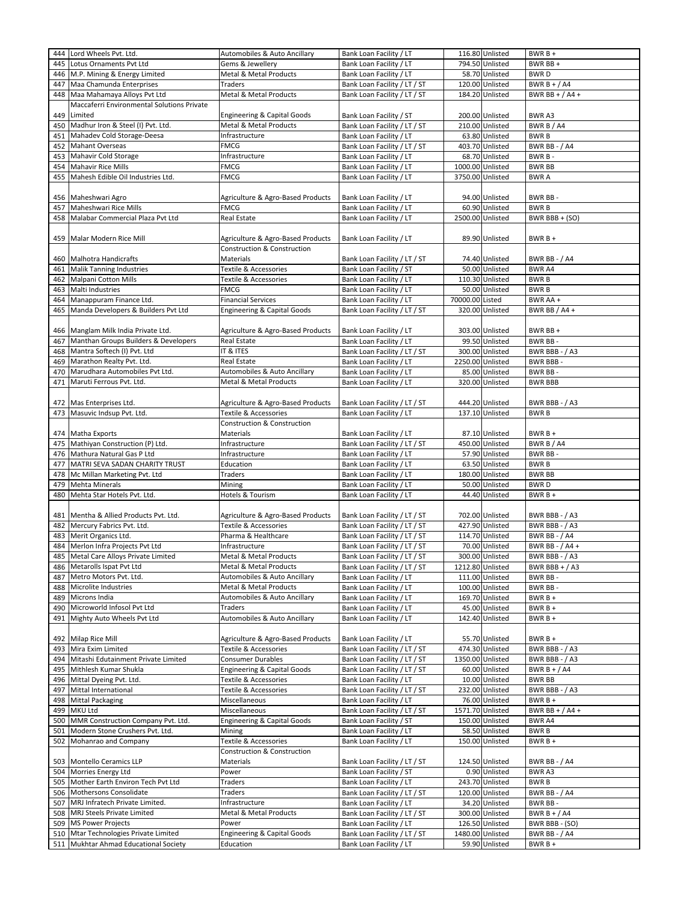| 444 | Lord Wheels Pvt. Ltd.                                                          | Automobiles & Auto Ancillary             | Bank Loan Facility / LT                                 |                  | 116.80 Unlisted                    | $BWRB +$                        |
|-----|--------------------------------------------------------------------------------|------------------------------------------|---------------------------------------------------------|------------------|------------------------------------|---------------------------------|
| 445 | Lotus Ornaments Pvt Ltd                                                        | Gems & Jewellery                         | Bank Loan Facility / LT                                 |                  | 794.50 Unlisted                    | BWR BB +                        |
| 446 | M.P. Mining & Energy Limited                                                   | Metal & Metal Products                   | Bank Loan Facility / LT                                 |                  | 58.70 Unlisted                     | <b>BWRD</b>                     |
| 447 | Maa Chamunda Enterprises                                                       | Traders                                  | Bank Loan Facility / LT / ST                            |                  | 120.00 Unlisted                    | BWR $B + / A4$                  |
|     |                                                                                |                                          |                                                         |                  |                                    |                                 |
| 448 | Maa Mahamaya Alloys Pvt Ltd                                                    | Metal & Metal Products                   | Bank Loan Facility / LT / ST                            |                  | 184.20 Unlisted                    | BWR BB + $/$ A4 +               |
|     | Maccaferri Environmental Solutions Private                                     |                                          |                                                         |                  |                                    |                                 |
| 449 | Limited                                                                        | <b>Engineering &amp; Capital Goods</b>   | Bank Loan Facility / ST                                 |                  | 200.00 Unlisted                    | BWR A3                          |
| 450 | Madhur Iron & Steel (I) Pvt. Ltd.                                              | Metal & Metal Products                   | Bank Loan Facility / LT / ST                            |                  | 210.00 Unlisted                    | BWR B / A4                      |
| 451 | Mahadev Cold Storage-Deesa                                                     | Infrastructure                           | Bank Loan Facility / LT                                 |                  | 63.80 Unlisted                     | <b>BWRB</b>                     |
| 452 | <b>Mahant Overseas</b>                                                         | <b>FMCG</b>                              | Bank Loan Facility / LT / ST                            |                  | 403.70 Unlisted                    | <b>BWR BB - / A4</b>            |
| 453 | Mahavir Cold Storage                                                           | Infrastructure                           | Bank Loan Facility / LT                                 |                  | 68.70 Unlisted                     | BWR B-                          |
| 454 | <b>Mahavir Rice Mills</b>                                                      | <b>FMCG</b>                              | Bank Loan Facility / LT                                 |                  | 1000.00 Unlisted                   | <b>BWR BB</b>                   |
| 455 | Mahesh Edible Oil Industries Ltd.                                              | <b>FMCG</b>                              | Bank Loan Facility / LT                                 |                  | 3750.00 Unlisted                   | <b>BWRA</b>                     |
|     |                                                                                |                                          |                                                         |                  |                                    |                                 |
|     |                                                                                |                                          |                                                         |                  |                                    |                                 |
| 456 | Maheshwari Agro                                                                | Agriculture & Agro-Based Products        | Bank Loan Facility / LT                                 |                  | 94.00 Unlisted                     | <b>BWR BB-</b>                  |
| 457 | Maheshwari Rice Mills                                                          | <b>FMCG</b>                              | Bank Loan Facility / LT                                 |                  | 60.90 Unlisted                     | <b>BWRB</b>                     |
| 458 | Malabar Commercial Plaza Pvt Ltd                                               | Real Estate                              | Bank Loan Facility / LT                                 |                  | 2500.00 Unlisted                   | BWR BBB + (SO)                  |
|     |                                                                                |                                          |                                                         |                  |                                    |                                 |
| 459 | Malar Modern Rice Mill                                                         | Agriculture & Agro-Based Products        | Bank Loan Facility / LT                                 |                  | 89.90 Unlisted                     | $BWRB+$                         |
|     |                                                                                | <b>Construction &amp; Construction</b>   |                                                         |                  |                                    |                                 |
|     | 460 Malhotra Handicrafts                                                       | Materials                                | Bank Loan Facility / LT / ST                            |                  | 74.40 Unlisted                     | <b>BWR BB - / A4</b>            |
| 461 | <b>Malik Tanning Industries</b>                                                | Textile & Accessories                    | Bank Loan Facility / ST                                 |                  | 50.00 Unlisted                     | <b>BWRA4</b>                    |
| 462 | Malpani Cotton Mills                                                           | Textile & Accessories                    | Bank Loan Facility / LT                                 |                  | 110.30 Unlisted                    | <b>BWRB</b>                     |
| 463 | Malti Industries                                                               | <b>FMCG</b>                              | Bank Loan Facility / LT                                 |                  | 50.00 Unlisted                     | <b>BWRB</b>                     |
| 464 | Manappuram Finance Ltd.                                                        | <b>Financial Services</b>                | Bank Loan Facility / LT                                 | 70000.00 Listed  |                                    | BWR AA +                        |
|     |                                                                                |                                          |                                                         |                  |                                    |                                 |
| 465 | Manda Developers & Builders Pvt Ltd                                            | <b>Engineering &amp; Capital Goods</b>   | Bank Loan Facility / LT / ST                            |                  | 320.00 Unlisted                    | BWR BB / A4 +                   |
|     |                                                                                |                                          |                                                         |                  |                                    |                                 |
|     | 466 Manglam Milk India Private Ltd.                                            | Agriculture & Agro-Based Products        | Bank Loan Facility / LT                                 |                  | 303.00 Unlisted                    | BWR BB +                        |
| 467 | Manthan Groups Builders & Developers                                           | Real Estate                              | Bank Loan Facility / LT                                 |                  | 99.50 Unlisted                     | BWR BB-                         |
| 468 | Mantra Softech (I) Pvt. Ltd                                                    | IT & ITES                                | Bank Loan Facility / LT / ST                            |                  | 300.00 Unlisted                    | BWR BBB - / A3                  |
| 469 | Marathon Realty Pvt. Ltd.                                                      | Real Estate                              | Bank Loan Facility / LT                                 |                  | 2250.00 Unlisted                   | <b>BWR BBB-</b>                 |
| 470 | Marudhara Automobiles Pvt Ltd.                                                 | Automobiles & Auto Ancillary             | Bank Loan Facility / LT                                 |                  | 85.00 Unlisted                     | BWR BB-                         |
| 471 | Maruti Ferrous Pvt. Ltd.                                                       | Metal & Metal Products                   | Bank Loan Facility / LT                                 |                  | 320.00 Unlisted                    | <b>BWR BBB</b>                  |
|     |                                                                                |                                          |                                                         |                  |                                    |                                 |
| 472 | Mas Enterprises Ltd.                                                           | Agriculture & Agro-Based Products        | Bank Loan Facility / LT / ST                            |                  | 444.20 Unlisted                    | BWR BBB - / A3                  |
| 473 | Masuvic Indsup Pvt. Ltd.                                                       | Textile & Accessories                    | Bank Loan Facility / LT                                 |                  | 137.10 Unlisted                    | <b>BWRB</b>                     |
|     |                                                                                | Construction & Construction              |                                                         |                  |                                    |                                 |
|     |                                                                                |                                          |                                                         |                  |                                    |                                 |
|     | 474 Matha Exports                                                              | Materials                                | Bank Loan Facility / LT                                 |                  | 87.10 Unlisted                     | $BWRB +$                        |
| 475 | Mathiyan Construction (P) Ltd.                                                 | Infrastructure                           | Bank Loan Facility / LT / ST                            |                  | 450.00 Unlisted                    | BWR B / A4                      |
| 476 | Mathura Natural Gas P Ltd                                                      | Infrastructure                           | Bank Loan Facility / LT                                 |                  | 57.90 Unlisted                     | <b>BWR BB-</b>                  |
| 477 | MATRI SEVA SADAN CHARITY TRUST                                                 | Education                                | Bank Loan Facility / LT                                 |                  | 63.50 Unlisted                     | <b>BWRB</b>                     |
| 478 | Mc Millan Marketing Pvt. Ltd                                                   | <b>Traders</b>                           | Bank Loan Facility / LT                                 |                  | 180.00 Unlisted                    | <b>BWR BB</b>                   |
| 479 | <b>Mehta Minerals</b>                                                          | Mining                                   | Bank Loan Facility / LT                                 |                  | 50.00 Unlisted                     | <b>BWRD</b>                     |
| 480 | Mehta Star Hotels Pvt. Ltd.                                                    | Hotels & Tourism                         | Bank Loan Facility / LT                                 |                  | 44.40 Unlisted                     | BWR B +                         |
|     |                                                                                |                                          |                                                         |                  |                                    |                                 |
| 481 | Mentha & Allied Products Pvt. Ltd.                                             | Agriculture & Agro-Based Products        | Bank Loan Facility / LT / ST                            |                  | 702.00 Unlisted                    | BWR BBB - / A3                  |
| 482 | Mercury Fabrics Pvt. Ltd.                                                      | Textile & Accessories                    | Bank Loan Facility / LT / ST                            |                  | 427.90 Unlisted                    | BWR BBB - / A3                  |
| 483 | Merit Organics Ltd.                                                            | Pharma & Healthcare                      | Bank Loan Facility / LT / ST                            |                  | 114.70 Unlisted                    | <b>BWR BB - / A4</b>            |
| 484 | Merlon Infra Projects Pvt Ltd                                                  | Infrastructure                           | Bank Loan Facility / LT / ST                            |                  | 70.00 Unlisted                     | BWR BB - / A4 +                 |
|     |                                                                                |                                          |                                                         |                  |                                    |                                 |
| 485 | Metal Care Alloys Private Limited                                              | Metal & Metal Products                   | Bank Loan Facility / LT / ST                            |                  | 300.00 Unlisted                    | BWR BBB - / A3                  |
|     | 486 Metarolls Ispat Pvt Ltd                                                    | Metal & Metal Products                   | Bank Loan Facility / LT / ST                            | 1212.80 Unlisted |                                    | BWR BBB + $/$ A3                |
| 487 | Metro Motors Pvt. Ltd.                                                         | <b>Automobiles &amp; Auto Ancillary</b>  | Bank Loan Facility / LT                                 |                  | 111.00 Unlisted                    | BWR BB-                         |
| 488 | Microlite Industries                                                           | Metal & Metal Products                   | Bank Loan Facility / LT                                 |                  | 100.00 Unlisted                    | BWR BB-                         |
| 489 | Microns India                                                                  | Automobiles & Auto Ancillary             | Bank Loan Facility / LT                                 |                  | 169.70 Unlisted                    | BWR B +                         |
| 490 | Microworld Infosol Pvt Ltd                                                     | Traders                                  | Bank Loan Facility / LT                                 |                  | 45.00 Unlisted                     | BWR B +                         |
| 491 | Mighty Auto Wheels Pvt Ltd                                                     | Automobiles & Auto Ancillary             | Bank Loan Facility / LT                                 |                  | 142.40 Unlisted                    | $BWRB +$                        |
|     |                                                                                |                                          |                                                         |                  |                                    |                                 |
|     | 492 Milap Rice Mill                                                            | Agriculture & Agro-Based Products        | Bank Loan Facility / LT                                 |                  | 55.70 Unlisted                     | $BWRB+$                         |
| 493 | Mira Exim Limited                                                              | Textile & Accessories                    | Bank Loan Facility / LT / ST                            |                  | 474.30 Unlisted                    | BWR BBB - / A3                  |
| 494 | Mitashi Edutainment Private Limited                                            | Consumer Durables                        | Bank Loan Facility / LT / ST                            | 1350.00 Unlisted |                                    | BWR BBB - / A3                  |
| 495 | Mithlesh Kumar Shukla                                                          | <b>Engineering &amp; Capital Goods</b>   | Bank Loan Facility / LT / ST                            |                  | 60.00 Unlisted                     | BWR $B + / A4$                  |
| 496 | Mittal Dyeing Pvt. Ltd.                                                        | Textile & Accessories                    | Bank Loan Facility / LT                                 |                  | 10.00 Unlisted                     | <b>BWR BB</b>                   |
| 497 | Mittal International                                                           | Textile & Accessories                    |                                                         |                  | 232.00 Unlisted                    | BWR BBB - / A3                  |
|     |                                                                                |                                          | Bank Loan Facility / LT / ST                            |                  |                                    |                                 |
| 498 | <b>Mittal Packaging</b>                                                        | Miscellaneous                            | Bank Loan Facility / LT                                 |                  | 76.00 Unlisted                     | BWR B +                         |
| 499 | MKU Ltd                                                                        | Miscellaneous                            | Bank Loan Facility / LT / ST                            |                  | 1571.70 Unlisted                   | BWR BB + $/$ A4 +               |
| 500 | MMR Construction Company Pvt. Ltd.                                             | <b>Engineering &amp; Capital Goods</b>   | Bank Loan Facility / ST                                 |                  | 150.00 Unlisted                    | BWR A4                          |
| 501 | Modern Stone Crushers Pvt. Ltd.                                                | Mining                                   | Bank Loan Facility / LT                                 |                  | 58.50 Unlisted                     | <b>BWRB</b>                     |
| 502 |                                                                                |                                          | Bank Loan Facility / LT                                 | 150.00 Unlisted  |                                    | BWR B +                         |
|     | Mohanrao and Company                                                           | Textile & Accessories                    |                                                         |                  |                                    |                                 |
|     |                                                                                | Construction & Construction              |                                                         |                  |                                    |                                 |
|     | 503 Montello Ceramics LLP                                                      | Materials                                | Bank Loan Facility / LT / ST                            |                  | 124.50 Unlisted                    | BWR BB - / A4                   |
|     | 504 Morries Energy Ltd                                                         | Power                                    | Bank Loan Facility / ST                                 |                  | 0.90 Unlisted                      | BWR A3                          |
| 505 | Mother Earth Environ Tech Pvt Ltd                                              | Traders                                  | Bank Loan Facility / LT                                 |                  | 243.70 Unlisted                    | <b>BWRB</b>                     |
|     |                                                                                |                                          |                                                         |                  |                                    |                                 |
| 506 | Mothersons Consolidate                                                         | Traders                                  | Bank Loan Facility / LT / ST                            |                  | 120.00 Unlisted                    | <b>BWR BB - / A4</b>            |
| 507 | MRJ Infratech Private Limited.                                                 | Infrastructure                           | Bank Loan Facility / LT                                 |                  | 34.20 Unlisted                     | BWR BB-                         |
| 508 | MRJ Steels Private Limited                                                     | Metal & Metal Products                   | Bank Loan Facility / LT / ST                            |                  | 300.00 Unlisted                    | BWR B + $/$ A4                  |
| 509 | <b>MS Power Projects</b>                                                       | Power                                    | Bank Loan Facility / LT                                 |                  | 126.50 Unlisted                    | BWR BBB - (SO)                  |
|     | 510 Mtar Technologies Private Limited<br>511 Mukhtar Ahmad Educational Society | Engineering & Capital Goods<br>Education | Bank Loan Facility / LT / ST<br>Bank Loan Facility / LT |                  | 1480.00 Unlisted<br>59.90 Unlisted | <b>BWR BB - / A4</b><br>BWR B + |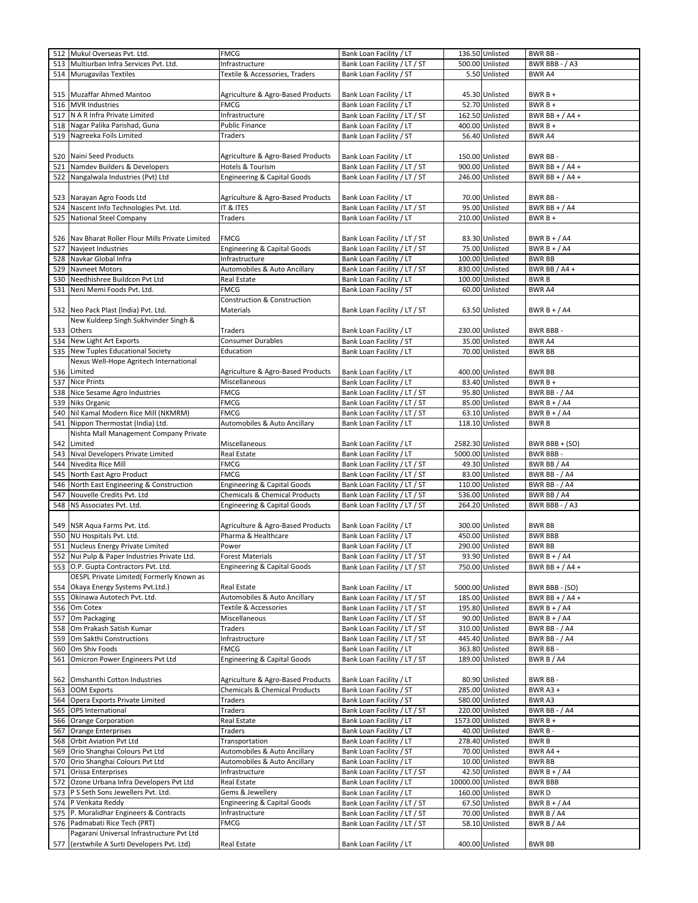|     | 512 Mukul Overseas Pvt. Ltd.                                                             | <b>FMCG</b>                              | Bank Loan Facility / LT      |                   | 136.50 Unlisted  | BWR BB-              |
|-----|------------------------------------------------------------------------------------------|------------------------------------------|------------------------------|-------------------|------------------|----------------------|
| 513 | Multiurban Infra Services Pvt. Ltd.                                                      | Infrastructure                           | Bank Loan Facility / LT / ST |                   | 500.00 Unlisted  | BWR BBB - / A3       |
|     | 514 Murugavilas Textiles                                                                 | Textile & Accessories, Traders           | Bank Loan Facility / ST      |                   | 5.50 Unlisted    | <b>BWR A4</b>        |
|     |                                                                                          |                                          |                              |                   |                  |                      |
|     |                                                                                          |                                          |                              |                   |                  |                      |
|     | 515 Muzaffar Ahmed Mantoo                                                                | Agriculture & Agro-Based Products        | Bank Loan Facility / LT      |                   | 45.30 Unlisted   | $BWRB+$              |
|     | 516 MVR Industries                                                                       | <b>FMCG</b>                              | Bank Loan Facility / LT      |                   | 52.70 Unlisted   | $BWRB+$              |
| 517 | N A R Infra Private Limited                                                              | Infrastructure                           | Bank Loan Facility / LT / ST |                   | 162.50 Unlisted  | BWR BB + $/$ A4 +    |
| 518 | Nagar Palika Parishad, Guna                                                              | <b>Public Finance</b>                    | Bank Loan Facility / LT      |                   | 400.00 Unlisted  | $BWRB +$             |
| 519 | Nagreeka Foils Limited                                                                   | Traders                                  | Bank Loan Facility / ST      |                   | 56.40 Unlisted   | <b>BWR A4</b>        |
|     |                                                                                          |                                          |                              |                   |                  |                      |
|     | 520 Naini Seed Products                                                                  | Agriculture & Agro-Based Products        | Bank Loan Facility / LT      |                   | 150.00 Unlisted  | BWR BB-              |
| 521 | Namdev Builders & Developers                                                             | Hotels & Tourism                         | Bank Loan Facility / LT / ST |                   | 900.00 Unlisted  | BWR BB + $/$ A4 +    |
|     | 522 Nangalwala Industries (Pvt) Ltd                                                      | <b>Engineering &amp; Capital Goods</b>   | Bank Loan Facility / LT / ST |                   | 246.00 Unlisted  | BWR BB + $/$ A4 +    |
|     |                                                                                          |                                          |                              |                   |                  |                      |
|     |                                                                                          |                                          |                              |                   |                  |                      |
|     | 523 Narayan Agro Foods Ltd                                                               | Agriculture & Agro-Based Products        | Bank Loan Facility / LT      |                   | 70.00 Unlisted   | BWR BB-              |
| 524 | Nascent Info Technologies Pvt. Ltd.                                                      | IT & ITES                                | Bank Loan Facility / LT / ST |                   | 95.00 Unlisted   | BWR BB + $/$ A4      |
| 525 | National Steel Company                                                                   | Traders                                  | Bank Loan Facility / LT      |                   | 210.00 Unlisted  | $BWRB +$             |
|     |                                                                                          |                                          |                              |                   |                  |                      |
|     | 526 Nav Bharat Roller Flour Mills Private Limited                                        | FMCG                                     | Bank Loan Facility / LT / ST |                   | 83.30 Unlisted   | BWR $B + / A4$       |
| 527 | Navjeet Industries                                                                       | <b>Engineering &amp; Capital Goods</b>   | Bank Loan Facility / LT / ST |                   | 75.00 Unlisted   | BWR $B + / A4$       |
| 528 | Navkar Global Infra                                                                      | Infrastructure                           | Bank Loan Facility / LT      |                   | 100.00 Unlisted  | <b>BWR BB</b>        |
| 529 | Navneet Motors                                                                           | <b>Automobiles &amp; Auto Ancillary</b>  | Bank Loan Facility / LT / ST |                   | 830.00 Unlisted  | BWR BB / A4 +        |
| 530 | Needhishree Buildcon Pvt Ltd                                                             | Real Estate                              | Bank Loan Facility / LT      |                   | 100.00 Unlisted  | BWR B                |
| 531 | Neni Memi Foods Pvt. Ltd.                                                                | FMCG                                     | Bank Loan Facility / ST      |                   | 60.00 Unlisted   | <b>BWRA4</b>         |
|     |                                                                                          | Construction & Construction              |                              |                   |                  |                      |
|     | 532 Neo Pack Plast (India) Pvt. Ltd.                                                     | Materials                                | Bank Loan Facility / LT / ST |                   | 63.50 Unlisted   | BWR $B + / A4$       |
|     | New Kuldeep Singh Sukhvinder Singh &                                                     |                                          |                              |                   |                  |                      |
|     | 533 Others                                                                               | Traders                                  | Bank Loan Facility / LT      |                   | 230.00 Unlisted  | BWR BBB-             |
|     | New Light Art Exports                                                                    |                                          |                              |                   |                  |                      |
| 534 |                                                                                          | Consumer Durables                        | Bank Loan Facility / ST      |                   | 35.00 Unlisted   | <b>BWR A4</b>        |
| 535 | New Tuples Educational Society                                                           | Education                                | Bank Loan Facility / LT      |                   | 70.00 Unlisted   | <b>BWR BB</b>        |
|     | Nexus Well-Hope Agritech International                                                   |                                          |                              |                   |                  |                      |
| 536 | Limited                                                                                  | Agriculture & Agro-Based Products        | Bank Loan Facility / LT      |                   | 400.00 Unlisted  | <b>BWR BB</b>        |
| 537 | <b>Nice Prints</b>                                                                       | Miscellaneous                            | Bank Loan Facility / LT      |                   | 83.40 Unlisted   | $BWRB +$             |
| 538 | Nice Sesame Agro Industries                                                              | FMCG                                     | Bank Loan Facility / LT / ST |                   | 95.80 Unlisted   | <b>BWR BB - / A4</b> |
| 539 | Niks Organic                                                                             | FMCG                                     | Bank Loan Facility / LT / ST |                   | 85.00 Unlisted   | BWR $B + / A4$       |
| 540 | Nil Kamal Modern Rice Mill (NKMRM)                                                       | <b>FMCG</b>                              | Bank Loan Facility / LT / ST |                   | 63.10 Unlisted   | BWR $B + / A4$       |
| 541 | Nippon Thermostat (India) Ltd.                                                           | Automobiles & Auto Ancillary             | Bank Loan Facility / LT      |                   | 118.10 Unlisted  | <b>BWRB</b>          |
|     | Nishta Mall Management Company Private                                                   |                                          |                              |                   |                  |                      |
| 542 | Limited                                                                                  | Miscellaneous                            | Bank Loan Facility / LT      |                   | 2582.30 Unlisted | BWR BBB + $(SO)$     |
| 543 | Nival Developers Private Limited                                                         | Real Estate                              | Bank Loan Facility / LT      |                   | 5000.00 Unlisted | <b>BWR BBB-</b>      |
| 544 | Nivedita Rice Mill                                                                       | <b>FMCG</b>                              | Bank Loan Facility / LT / ST |                   | 49.30 Unlisted   | BWR BB / A4          |
| 545 | North East Agro Product                                                                  | FMCG                                     | Bank Loan Facility / LT / ST |                   | 83.00 Unlisted   | BWR BB - / A4        |
|     |                                                                                          |                                          |                              |                   |                  |                      |
| 546 | North East Engineering & Construction                                                    | <b>Engineering &amp; Capital Goods</b>   | Bank Loan Facility / LT / ST |                   | 110.00 Unlisted  | <b>BWR BB - / A4</b> |
| 547 | Nouvelle Credits Pvt. Ltd                                                                | <b>Chemicals &amp; Chemical Products</b> | Bank Loan Facility / LT / ST |                   | 536.00 Unlisted  | BWR BB / A4          |
| 548 | NS Associates Pvt. Ltd.                                                                  | <b>Engineering &amp; Capital Goods</b>   | Bank Loan Facility / LT / ST |                   | 264.20 Unlisted  | BWR BBB - / A3       |
|     |                                                                                          |                                          |                              |                   |                  |                      |
|     | 549 NSR Aqua Farms Pvt. Ltd.                                                             | Agriculture & Agro-Based Products        | Bank Loan Facility / LT      |                   | 300.00 Unlisted  | <b>BWR BB</b>        |
| 550 | NU Hospitals Pvt. Ltd.                                                                   | Pharma & Healthcare                      | Bank Loan Facility / LT      |                   | 450.00 Unlisted  | <b>BWR BBB</b>       |
|     | 551 Nucleus Energy Private Limited                                                       | Power                                    | Bank Loan Facility / LT      |                   | 290.00 Unlisted  | <b>BWR BB</b>        |
|     | 552 Nui Pulp & Paper Industries Private Ltd.                                             | <b>Forest Materials</b>                  | Bank Loan Facility / LT / ST |                   | 93.90 Unlisted   | BWR $B + / A4$       |
|     | 553 O.P. Gupta Contractors Pvt. Ltd.                                                     | Engineering & Capital Goods              | Bank Loan Facility / LT / ST |                   | 750.00 Unlisted  | BWR BB + $/$ A4 +    |
|     | OESPL Private Limited(Formerly Known as                                                  |                                          |                              |                   |                  |                      |
| 554 | Okaya Energy Systems Pvt.Ltd.)                                                           | Real Estate                              | Bank Loan Facility / LT      |                   | 5000.00 Unlisted | BWR BBB - (SO)       |
| 555 | Okinawa Autotech Pvt. Ltd.                                                               | Automobiles & Auto Ancillary             | Bank Loan Facility / LT / ST |                   | 185.00 Unlisted  | BWR BB + $/$ A4 +    |
| 556 | Om Cotex                                                                                 | Textile & Accessories                    | Bank Loan Facility / LT / ST |                   | 195.80 Unlisted  | BWR $B + / A4$       |
| 557 | Om Packaging                                                                             | Miscellaneous                            | Bank Loan Facility / LT / ST |                   | 90.00 Unlisted   | BWR $B + / A4$       |
| 558 | Om Prakash Satish Kumar                                                                  | Traders                                  | Bank Loan Facility / LT / ST |                   | 310.00 Unlisted  | BWR BB - / A4        |
| 559 | Om Sakthi Constructions                                                                  | Infrastructure                           | Bank Loan Facility / LT / ST |                   | 445.40 Unlisted  | <b>BWR BB - / A4</b> |
| 560 | Om Shiv Foods                                                                            | FMCG                                     | Bank Loan Facility / LT      |                   | 363.80 Unlisted  | BWR BB -             |
| 561 | Omicron Power Engineers Pvt Ltd                                                          | <b>Engineering &amp; Capital Goods</b>   | Bank Loan Facility / LT / ST |                   | 189.00 Unlisted  | BWR B / A4           |
|     |                                                                                          |                                          |                              |                   |                  |                      |
|     | 562 Omshanthi Cotton Industries                                                          | Agriculture & Agro-Based Products        | Bank Loan Facility / LT      |                   | 80.90 Unlisted   |                      |
|     |                                                                                          |                                          |                              |                   |                  | BWR BB -             |
| 563 | <b>OOM Exports</b>                                                                       | <b>Chemicals &amp; Chemical Products</b> | Bank Loan Facility / ST      |                   | 285.00 Unlisted  | <b>BWR A3 +</b>      |
| 564 |                                                                                          |                                          | Bank Loan Facility / ST      | 580.00 Unlisted   |                  | BWR A3               |
| 565 | Opera Exports Private Limited                                                            | Traders                                  |                              |                   |                  |                      |
| 566 | <b>OPS</b> International                                                                 | Traders                                  | Bank Loan Facility / LT / ST |                   | 220.00 Unlisted  | <b>BWR BB - / A4</b> |
|     | Orange Corporation                                                                       | Real Estate                              | Bank Loan Facility / LT      |                   | 1573.00 Unlisted | $BWRB +$             |
| 567 | Orange Enterprises                                                                       | Traders                                  | Bank Loan Facility / LT      |                   | 40.00 Unlisted   | BWR B-               |
| 568 | <b>Orbit Aviation Pvt Ltd</b>                                                            | Transportation                           | Bank Loan Facility / LT      |                   | 278.40 Unlisted  | <b>BWRB</b>          |
| 569 | Orio Shanghai Colours Pvt Ltd                                                            | Automobiles & Auto Ancillary             | Bank Loan Facility / ST      |                   | 70.00 Unlisted   | BWR A4 +             |
| 570 | Orio Shanghai Colours Pvt Ltd                                                            | Automobiles & Auto Ancillary             | Bank Loan Facility / LT      |                   | 10.00 Unlisted   | <b>BWR BB</b>        |
| 571 | Orissa Enterprises                                                                       | Infrastructure                           | Bank Loan Facility / LT / ST |                   | 42.50 Unlisted   | BWR $B + / A4$       |
| 572 | Ozone Urbana Infra Developers Pvt Ltd                                                    | Real Estate                              | Bank Loan Facility / LT      | 10000.00 Unlisted |                  | BWR BBB              |
| 573 | P S Seth Sons Jewellers Pvt. Ltd.                                                        | Gems & Jewellery                         | Bank Loan Facility / LT      |                   | 160.00 Unlisted  | <b>BWRD</b>          |
| 574 | P Venkata Reddy                                                                          | <b>Engineering &amp; Capital Goods</b>   | Bank Loan Facility / LT / ST |                   | 67.50 Unlisted   | BWR $B + / A4$       |
| 575 |                                                                                          | Infrastructure                           |                              |                   | 70.00 Unlisted   |                      |
|     | P. Muralidhar Engineers & Contracts                                                      |                                          | Bank Loan Facility / LT / ST |                   |                  | BWR B / A4           |
| 576 | Padmabati Rice Tech (PRT)                                                                | FMCG                                     | Bank Loan Facility / LT / ST |                   | 58.10 Unlisted   | BWR B / A4           |
|     | Pagarani Universal Infrastructure Pvt Ltd<br>577 (erstwhile A Surti Developers Pvt. Ltd) | Real Estate                              | Bank Loan Facility / LT      |                   | 400.00 Unlisted  | BWR BB               |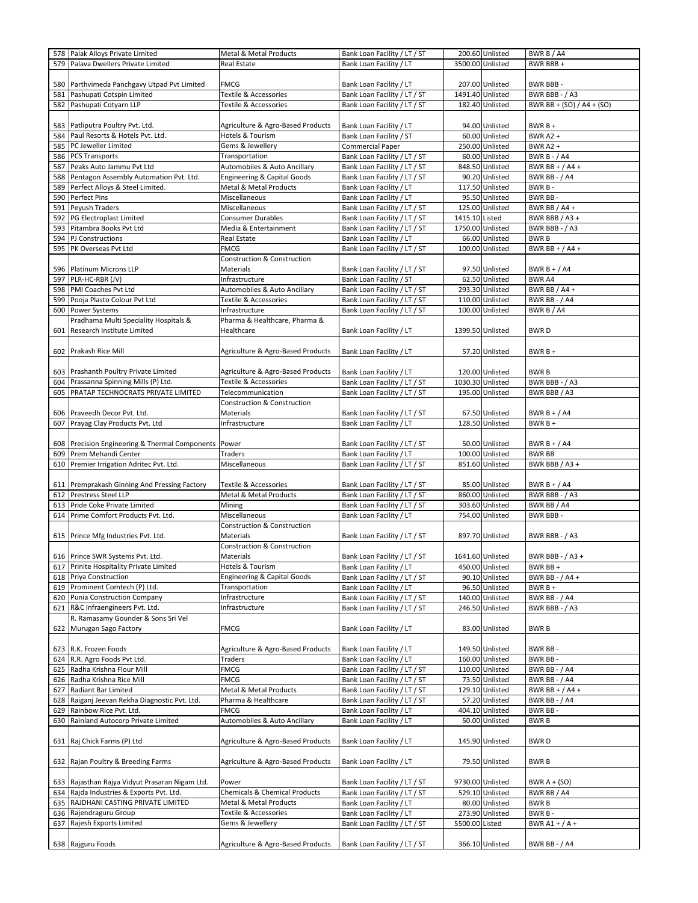| 578<br>579 | Palak Alloys Private Limited                         | <b>Metal &amp; Metal Products</b>        | Bank Loan Facility / LT / ST |                  | 200.60 Unlisted | BWR B / A4                |
|------------|------------------------------------------------------|------------------------------------------|------------------------------|------------------|-----------------|---------------------------|
|            | Palava Dwellers Private Limited                      | Real Estate                              | Bank Loan Facility / LT      | 3500.00 Unlisted |                 | BWR BBB +                 |
|            |                                                      |                                          |                              |                  |                 |                           |
|            |                                                      |                                          |                              |                  |                 |                           |
| 580        | Parthvimeda Panchgavy Utpad Pvt Limited              | <b>FMCG</b>                              | Bank Loan Facility / LT      |                  | 207.00 Unlisted | BWR BBB-                  |
| 581        | Pashupati Cotspin Limited                            | Textile & Accessories                    | Bank Loan Facility / LT / ST | 1491.40 Unlisted |                 | BWR BBB - / A3            |
| 582        | Pashupati Cotyarn LLP                                | Textile & Accessories                    | Bank Loan Facility / LT / ST |                  | 182.40 Unlisted | BWR BB + (SO) / A4 + (SO) |
|            |                                                      |                                          |                              |                  |                 |                           |
|            |                                                      |                                          |                              |                  | 94.00 Unlisted  |                           |
| 583        | Patliputra Poultry Pvt. Ltd.                         | Agriculture & Agro-Based Products        | Bank Loan Facility / LT      |                  |                 | $BWRB +$                  |
| 584        | Paul Resorts & Hotels Pvt. Ltd.                      | Hotels & Tourism                         | Bank Loan Facility / ST      |                  | 60.00 Unlisted  | <b>BWR A2 +</b>           |
| 585        | PC Jeweller Limited                                  | Gems & Jewellery                         | <b>Commercial Paper</b>      |                  | 250.00 Unlisted | <b>BWR A2 +</b>           |
| 586        | <b>PCS Transports</b>                                | Transportation                           | Bank Loan Facility / LT / ST |                  | 60.00 Unlisted  | <b>BWR B - / A4</b>       |
| 587        | Peaks Auto Jammu Pvt Ltd                             | <b>Automobiles &amp; Auto Ancillary</b>  | Bank Loan Facility / LT / ST |                  | 848.50 Unlisted | BWR BB + $/$ A4 +         |
| 588        |                                                      |                                          |                              |                  | 90.20 Unlisted  | <b>BWR BB - / A4</b>      |
|            | Pentagon Assembly Automation Pvt. Ltd.               | Engineering & Capital Goods              | Bank Loan Facility / LT / ST |                  |                 |                           |
| 589        | Perfect Alloys & Steel Limited.                      | Metal & Metal Products                   | Bank Loan Facility / LT      |                  | 117.50 Unlisted | BWR B-                    |
| 590        | Perfect Pins                                         | Miscellaneous                            | Bank Loan Facility / LT      |                  | 95.50 Unlisted  | BWR BB-                   |
| 591        | Peyush Traders                                       | Miscellaneous                            | Bank Loan Facility / LT / ST |                  | 125.00 Unlisted | BWR BB / A4 +             |
| 592        | <b>PG Electroplast Limited</b>                       | <b>Consumer Durables</b>                 | Bank Loan Facility / LT / ST | 1415.10 Listed   |                 | BWR BBB / A3 +            |
|            | Pitambra Books Pvt Ltd                               | Media & Entertainment                    |                              |                  |                 |                           |
| 593        |                                                      |                                          | Bank Loan Facility / LT / ST | 1750.00 Unlisted |                 | BWR BBB - / A3            |
| 594        | PJ Constructions                                     | Real Estate                              | Bank Loan Facility / LT      |                  | 66.00 Unlisted  | <b>BWRB</b>               |
| 595        | PK Overseas Pvt Ltd                                  | <b>FMCG</b>                              | Bank Loan Facility / LT / ST |                  | 100.00 Unlisted | BWR BB + $/$ A4 +         |
|            |                                                      | Construction & Construction              |                              |                  |                 |                           |
| 596        | Platinum Microns LLP                                 | Materials                                | Bank Loan Facility / LT / ST |                  | 97.50 Unlisted  | BWR $B + / A4$            |
|            | PLR-HC-RBR (JV)                                      |                                          |                              |                  |                 |                           |
| 597        |                                                      | Infrastructure                           | Bank Loan Facility / ST      |                  | 62.50 Unlisted  | BWR A4                    |
| 598        | PMI Coaches Pvt Ltd                                  | Automobiles & Auto Ancillary             | Bank Loan Facility / LT / ST |                  | 293.30 Unlisted | BWR BB / A4 +             |
| 599        | Pooja Plasto Colour Pvt Ltd                          | Textile & Accessories                    | Bank Loan Facility / LT / ST |                  | 110.00 Unlisted | <b>BWR BB - / A4</b>      |
| 600        | Power Systems                                        | Infrastructure                           | Bank Loan Facility / LT / ST |                  | 100.00 Unlisted | BWR B / A4                |
|            | Pradhama Multi Speciality Hospitals &                | Pharma & Healthcare, Pharma &            |                              |                  |                 |                           |
|            |                                                      |                                          |                              |                  |                 |                           |
| 601        | <b>Research Institute Limited</b>                    | Healthcare                               | Bank Loan Facility / LT      | 1399.50 Unlisted |                 | <b>BWRD</b>               |
|            |                                                      |                                          |                              |                  |                 |                           |
|            | 602 Prakash Rice Mill                                | Agriculture & Agro-Based Products        | Bank Loan Facility / LT      |                  | 57.20 Unlisted  | $BWRB +$                  |
|            |                                                      |                                          |                              |                  |                 |                           |
|            |                                                      |                                          | Bank Loan Facility / LT      |                  | 120.00 Unlisted | <b>BWRB</b>               |
|            | 603 Prashanth Poultry Private Limited                | Agriculture & Agro-Based Products        |                              |                  |                 |                           |
| 604        | Prassanna Spinning Mills (P) Ltd.                    | Textile & Accessories                    | Bank Loan Facility / LT / ST | 1030.30 Unlisted |                 | BWR BBB - / A3            |
| 605        | PRATAP TECHNOCRATS PRIVATE LIMITED                   | Telecommunication                        | Bank Loan Facility / LT / ST |                  | 195.00 Unlisted | BWR BBB / A3              |
|            |                                                      | <b>Construction &amp; Construction</b>   |                              |                  |                 |                           |
|            | 606 Praveedh Decor Pvt. Ltd.                         | Materials                                | Bank Loan Facility / LT / ST |                  | 67.50 Unlisted  | BWR $B + / A4$            |
|            | 607 Prayag Clay Products Pvt. Ltd                    | Infrastructure                           | Bank Loan Facility / LT      |                  | 128.50 Unlisted | BWR B +                   |
|            |                                                      |                                          |                              |                  |                 |                           |
|            |                                                      |                                          |                              |                  |                 |                           |
|            | 608 Precision Engineering & Thermal Components Power |                                          | Bank Loan Facility / LT / ST |                  | 50.00 Unlisted  | BWR $B + / A4$            |
| 609        | Prem Mehandi Center                                  | Traders                                  | Bank Loan Facility / LT      |                  | 100.00 Unlisted | <b>BWR BB</b>             |
| 610        | Premier Irrigation Adritec Pvt. Ltd.                 | Miscellaneous                            | Bank Loan Facility / LT / ST |                  | 851.60 Unlisted | BWR BBB / A3 +            |
|            |                                                      |                                          |                              |                  |                 |                           |
|            | 611 Premprakash Ginning And Pressing Factory         | Textile & Accessories                    | Bank Loan Facility / LT / ST |                  | 85.00 Unlisted  | BWR B + $/$ A4            |
| 612        | <b>Prestress Steel LLP</b>                           | Metal & Metal Products                   | Bank Loan Facility / LT / ST |                  | 860.00 Unlisted | BWR BBB - / A3            |
|            | Pride Coke Private Limited                           | Mining                                   | Bank Loan Facility / LT / ST |                  | 303.60 Unlisted | BWR BB / A4               |
|            |                                                      |                                          |                              |                  |                 |                           |
| 613        |                                                      |                                          |                              |                  |                 |                           |
| 614        | Prime Comfort Products Pvt. Ltd.                     | Miscellaneous                            | Bank Loan Facility / LT      |                  | 754.00 Unlisted | <b>BWR BBB-</b>           |
|            |                                                      | Construction & Construction              |                              |                  |                 |                           |
|            | 615 Prince Mfg Industries Pvt. Ltd.                  | Materials                                | Bank Loan Facility / LT / ST |                  | 897.70 Unlisted | <b>BWR BBB - / A3</b>     |
|            |                                                      |                                          |                              |                  |                 |                           |
|            |                                                      | Construction & Construction              |                              |                  |                 |                           |
|            | 616 Prince SWR Systems Pvt. Ltd.                     | <b>Materials</b>                         | Bank Loan Facility / LT / ST | 1641.60 Unlisted |                 | BWR BBB - / A3 +          |
| 617        | Prinite Hospitality Private Limited                  | Hotels & Tourism                         | Bank Loan Facility / LT      |                  | 450.00 Unlisted | BWR BB +                  |
| 618        | <b>Priya Construction</b>                            | <b>Engineering &amp; Capital Goods</b>   | Bank Loan Facility / LT / ST |                  | 90.10 Unlisted  | BWR BB - / A4 +           |
| 619        | Prominent Comtech (P) Ltd.                           | Transportation                           | Bank Loan Facility / LT      |                  | 96.50 Unlisted  | $BWRB +$                  |
| 620        | Punia Construction Company                           | Infrastructure                           | Bank Loan Facility / LT / ST |                  | 140.00 Unlisted | <b>BWR BB - / A4</b>      |
|            |                                                      |                                          |                              |                  |                 |                           |
| 621        | R&C Infraengineers Pvt. Ltd.                         | Infrastructure                           | Bank Loan Facility / LT / ST |                  | 246.50 Unlisted | BWR BBB - / A3            |
|            | R. Ramasamy Gounder & Sons Sri Vel                   |                                          |                              |                  |                 |                           |
| 622        | Murugan Sago Factory                                 | <b>FMCG</b>                              | Bank Loan Facility / LT      |                  | 83.00 Unlisted  | <b>BWRB</b>               |
|            |                                                      |                                          |                              |                  |                 |                           |
|            | 623 R.K. Frozen Foods                                |                                          | Bank Loan Facility / LT      |                  | 149.50 Unlisted | BWR BB-                   |
|            |                                                      | Agriculture & Agro-Based Products        |                              |                  |                 |                           |
|            | 624 R.R. Agro Foods Pvt Ltd.                         | Traders                                  | Bank Loan Facility / LT      |                  | 160.00 Unlisted | BWR BB-                   |
| 625        | Radha Krishna Flour Mill                             | FMCG                                     | Bank Loan Facility / LT / ST |                  | 110.00 Unlisted | <b>BWR BB - / A4</b>      |
| 626        | Radha Krishna Rice Mill                              | FMCG                                     | Bank Loan Facility / LT / ST |                  | 73.50 Unlisted  | <b>BWR BB - / A4</b>      |
| 627        | Radiant Bar Limited                                  | Metal & Metal Products                   | Bank Loan Facility / LT / ST |                  | 129.10 Unlisted | BWR BB + $/$ A4 +         |
| 628        | Raiganj Jeevan Rekha Diagnostic Pvt. Ltd.            | Pharma & Healthcare                      | Bank Loan Facility / LT / ST |                  | 57.20 Unlisted  | <b>BWR BB - / A4</b>      |
| 629        | Rainbow Rice Pvt. Ltd.                               | FMCG                                     | Bank Loan Facility / LT      |                  | 404.10 Unlisted | BWR BB-                   |
|            |                                                      |                                          |                              |                  |                 |                           |
| 630        | Rainland Autocorp Private Limited                    | Automobiles & Auto Ancillary             | Bank Loan Facility / LT      |                  | 50.00 Unlisted  | <b>BWRB</b>               |
|            |                                                      |                                          |                              |                  |                 |                           |
|            | 631 Raj Chick Farms (P) Ltd                          | Agriculture & Agro-Based Products        | Bank Loan Facility / LT      |                  | 145.90 Unlisted | <b>BWRD</b>               |
|            |                                                      |                                          |                              |                  |                 |                           |
|            | 632 Rajan Poultry & Breeding Farms                   | Agriculture & Agro-Based Products        | Bank Loan Facility / LT      |                  | 79.50 Unlisted  | BWR B                     |
|            |                                                      |                                          |                              |                  |                 |                           |
|            |                                                      | Power                                    |                              |                  |                 |                           |
|            | 633 Rajasthan Rajya Vidyut Prasaran Nigam Ltd.       |                                          | Bank Loan Facility / LT / ST | 9730.00 Unlisted |                 | BWR $A + (SO)$            |
| 634        | Rajda Industries & Exports Pvt. Ltd.                 | <b>Chemicals &amp; Chemical Products</b> | Bank Loan Facility / LT / ST |                  | 529.10 Unlisted | BWR BB / A4               |
| 635        | RAJDHANI CASTING PRIVATE LIMITED                     | Metal & Metal Products                   | Bank Loan Facility / LT      |                  | 80.00 Unlisted  | <b>BWRB</b>               |
| 636        | Rajendraguru Group                                   | Textile & Accessories                    | Bank Loan Facility / LT      |                  | 273.90 Unlisted | BWR B-                    |
| 637        | Rajesh Exports Limited                               | Gems & Jewellery                         | Bank Loan Facility / LT / ST | 5500.00 Listed   |                 | BWR A1 + $/A +$           |
|            |                                                      |                                          |                              |                  |                 |                           |
|            | 638 Rajguru Foods                                    | Agriculture & Agro-Based Products        | Bank Loan Facility / LT / ST |                  | 366.10 Unlisted | <b>BWR BB - / A4</b>      |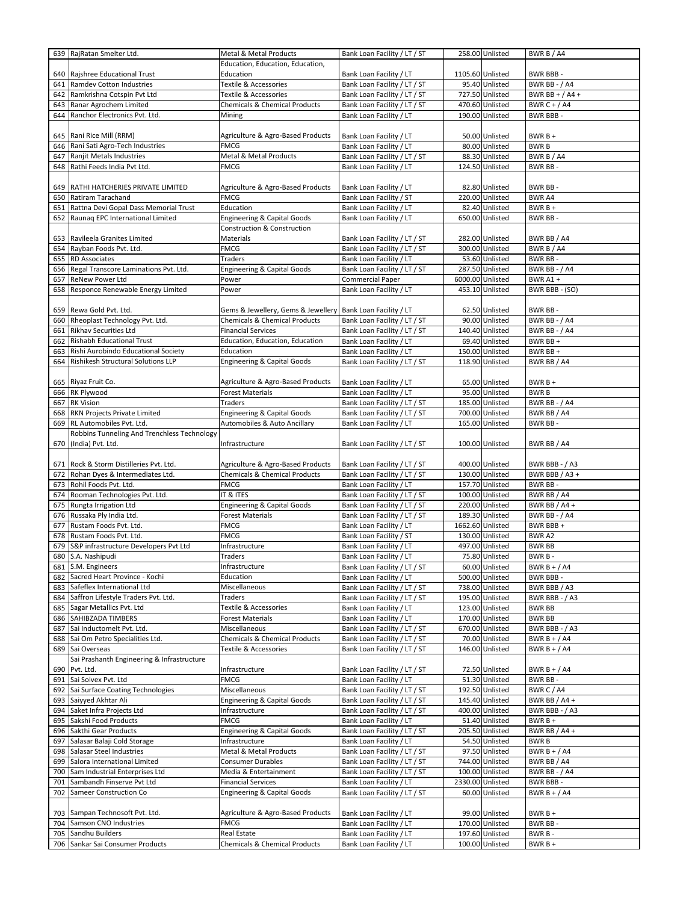|     | 639 RajRatan Smelter Ltd.                   | Metal & Metal Products                   | Bank Loan Facility / LT / ST |                 | 258.00 Unlisted  | BWR B / A4            |
|-----|---------------------------------------------|------------------------------------------|------------------------------|-----------------|------------------|-----------------------|
|     |                                             | Education, Education, Education,         |                              |                 |                  |                       |
|     | 640 Rajshree Educational Trust              | Education                                | Bank Loan Facility / LT      |                 | 1105.60 Unlisted | BWR BBB-              |
| 641 | Ramdev Cotton Industries                    | Textile & Accessories                    | Bank Loan Facility / LT / ST |                 | 95.40 Unlisted   | <b>BWR BB - / A4</b>  |
| 642 | Ramkrishna Cotspin Pvt Ltd                  | Textile & Accessories                    | Bank Loan Facility / LT / ST |                 | 727.50 Unlisted  | BWR BB + $/$ A4 +     |
| 643 | Ranar Agrochem Limited                      | <b>Chemicals &amp; Chemical Products</b> | Bank Loan Facility / LT / ST |                 | 470.60 Unlisted  | BWR C + $/$ A4        |
| 644 | Ranchor Electronics Pvt. Ltd.               | Mining                                   | Bank Loan Facility / LT      |                 | 190.00 Unlisted  | <b>BWR BBB-</b>       |
|     |                                             |                                          |                              |                 |                  |                       |
|     | 645 Rani Rice Mill (RRM)                    | Agriculture & Agro-Based Products        | Bank Loan Facility / LT      |                 | 50.00 Unlisted   | $BWRB +$              |
| 646 | Rani Sati Agro-Tech Industries              | <b>FMCG</b>                              | Bank Loan Facility / LT      |                 | 80.00 Unlisted   | <b>BWRB</b>           |
| 647 | Ranjit Metals Industries                    | Metal & Metal Products                   | Bank Loan Facility / LT / ST |                 | 88.30 Unlisted   | BWR B / A4            |
| 648 | Rathi Feeds India Pvt Ltd.                  | <b>FMCG</b>                              | Bank Loan Facility / LT      |                 | 124.50 Unlisted  | <b>BWR BB-</b>        |
|     |                                             |                                          |                              |                 |                  |                       |
|     | 649 RATHI HATCHERIES PRIVATE LIMITED        | Agriculture & Agro-Based Products        | Bank Loan Facility / LT      |                 | 82.80 Unlisted   | BWR BB-               |
| 650 | Ratiram Tarachand                           | <b>FMCG</b>                              | Bank Loan Facility / ST      |                 | 220.00 Unlisted  | <b>BWR A4</b>         |
| 651 | Rattna Devi Gopal Dass Memorial Trust       | Education                                | Bank Loan Facility / LT      |                 | 82.40 Unlisted   | $BWRB +$              |
| 652 | Raunaq EPC International Limited            | <b>Engineering &amp; Capital Goods</b>   | Bank Loan Facility / LT      |                 | 650.00 Unlisted  | BWR BB-               |
|     |                                             | Construction & Construction              |                              |                 |                  |                       |
|     | 653 Ravileela Granites Limited              | Materials                                | Bank Loan Facility / LT / ST |                 | 282.00 Unlisted  | BWR BB / A4           |
| 654 | Rayban Foods Pvt. Ltd.                      | <b>FMCG</b>                              | Bank Loan Facility / LT / ST |                 | 300.00 Unlisted  | BWR B / A4            |
| 655 | <b>RD Associates</b>                        | Traders                                  | Bank Loan Facility / LT      |                 | 53.60 Unlisted   | BWR BB-               |
| 656 | Regal Transcore Laminations Pvt. Ltd.       | <b>Engineering &amp; Capital Goods</b>   | Bank Loan Facility / LT / ST |                 | 287.50 Unlisted  | <b>BWR BB - / A4</b>  |
| 657 | <b>ReNew Power Ltd</b>                      | Power                                    | Commercial Paper             |                 | 6000.00 Unlisted | BWR A1+               |
| 658 | Responce Renewable Energy Limited           | Power                                    | Bank Loan Facility / LT      |                 | 453.10 Unlisted  | BWR BBB - (SO)        |
|     |                                             |                                          |                              |                 |                  |                       |
|     | 659 Rewa Gold Pvt. Ltd.                     | Gems & Jewellery, Gems & Jewellery       | Bank Loan Facility / LT      |                 | 62.50 Unlisted   | BWR BB-               |
| 660 | Rheoplast Technology Pvt. Ltd.              | <b>Chemicals &amp; Chemical Products</b> | Bank Loan Facility / LT / ST |                 | 90.00 Unlisted   | <b>BWR BB - / A4</b>  |
| 661 | <b>Rikhav Securities Ltd</b>                | <b>Financial Services</b>                | Bank Loan Facility / LT / ST |                 | 140.40 Unlisted  | BWR BB - / A4         |
| 662 | Rishabh Educational Trust                   | Education, Education, Education          | Bank Loan Facility / LT      |                 | 69.40 Unlisted   | BWR BB +              |
| 663 | Rishi Aurobindo Educational Society         | Education                                | Bank Loan Facility / LT      |                 | 150.00 Unlisted  | BWR BB +              |
| 664 | Rishikesh Structural Solutions LLP          | Engineering & Capital Goods              | Bank Loan Facility / LT / ST |                 | 118.90 Unlisted  | BWR BB / A4           |
|     |                                             |                                          |                              |                 |                  |                       |
|     | 665 Riyaz Fruit Co.                         | Agriculture & Agro-Based Products        | Bank Loan Facility / LT      |                 | 65.00 Unlisted   | $BWRB +$              |
|     | 666 RK Plywood                              | <b>Forest Materials</b>                  | Bank Loan Facility / LT      |                 | 95.00 Unlisted   | <b>BWRB</b>           |
| 667 | <b>RK Vision</b>                            | Traders                                  | Bank Loan Facility / LT / ST |                 | 185.00 Unlisted  | <b>BWR BB - / A4</b>  |
| 668 | RKN Projects Private Limited                | Engineering & Capital Goods              | Bank Loan Facility / LT / ST |                 | 700.00 Unlisted  | BWR BB / A4           |
| 669 | RL Automobiles Pvt. Ltd.                    | Automobiles & Auto Ancillary             | Bank Loan Facility / LT      |                 | 165.00 Unlisted  | BWR BB-               |
|     | Robbins Tunneling And Trenchless Technology |                                          |                              |                 |                  |                       |
|     | 670 (India) Pvt. Ltd.                       | Infrastructure                           | Bank Loan Facility / LT / ST |                 | 100.00 Unlisted  | BWR BB / A4           |
|     |                                             |                                          |                              |                 |                  |                       |
|     | 671 Rock & Storm Distilleries Pvt. Ltd.     | Agriculture & Agro-Based Products        | Bank Loan Facility / LT / ST |                 | 400.00 Unlisted  | BWR BBB - / A3        |
| 672 | Rohan Dyes & Intermediates Ltd.             | <b>Chemicals &amp; Chemical Products</b> | Bank Loan Facility / LT / ST |                 | 130.00 Unlisted  | BWR BBB / A3 +        |
| 673 | Rohil Foods Pvt. Ltd.                       | <b>FMCG</b>                              | Bank Loan Facility / LT      |                 | 157.70 Unlisted  | BWR BB-               |
|     |                                             | IT & ITES                                | Bank Loan Facility / LT / ST |                 | 100.00 Unlisted  | BWR BB / A4           |
| 674 | Rooman Technologies Pvt. Ltd.               |                                          |                              |                 |                  |                       |
| 675 | Rungta Irrigation Ltd                       | <b>Engineering &amp; Capital Goods</b>   | Bank Loan Facility / LT / ST | 220.00 Unlisted |                  | BWR BB / A4 +         |
| 676 | Russaka Ply India Ltd.                      | <b>Forest Materials</b>                  | Bank Loan Facility / LT / ST |                 | 189.30 Unlisted  | <b>BWR BB - / A4</b>  |
| 677 | Rustam Foods Pvt. Ltd.                      | <b>FMCG</b>                              | Bank Loan Facility / LT      |                 | 1662.60 Unlisted | BWR BBB+              |
| 678 | Rustam Foods Pvt. Ltd.                      | FMCG                                     | Bank Loan Facility / ST      |                 | 130.00 Unlisted  | <b>BWRA2</b>          |
| 679 | S&P infrastructure Developers Pvt Ltd       | Infrastructure                           | Bank Loan Facility / LT      |                 | 497.00 Unlisted  | <b>BWR BB</b>         |
|     | 680 S.A. Nashipudi                          | Traders                                  | Bank Loan Facility / LT      |                 | 75.80 Unlisted   | BWR B-                |
|     | 681 S.M. Engineers                          | Infrastructure                           | Bank Loan Facility / LT / ST |                 | 60.00 Unlisted   | BWR $B + / A4$        |
| 682 | Sacred Heart Province - Kochi               | Education                                | Bank Loan Facility / LT      |                 | 500.00 Unlisted  | BWR BBB-              |
| 683 | Safeflex International Ltd                  | Miscellaneous                            | Bank Loan Facility / LT / ST |                 | 738.00 Unlisted  | BWR BBB / A3          |
| 684 | Saffron Lifestyle Traders Pvt. Ltd.         | Traders                                  | Bank Loan Facility / LT / ST |                 | 195.00 Unlisted  | BWR BBB - / A3        |
| 685 | Sagar Metallics Pvt. Ltd                    | Textile & Accessories                    | Bank Loan Facility / LT      |                 | 123.00 Unlisted  | <b>BWR BB</b>         |
| 686 | SAHIBZADA TIMBERS                           | <b>Forest Materials</b>                  | Bank Loan Facility / LT      |                 | 170.00 Unlisted  | <b>BWR BB</b>         |
| 687 | Sai Inductomelt Pvt. Ltd.                   | Miscellaneous                            | Bank Loan Facility / LT / ST |                 | 670.00 Unlisted  | <b>BWR BBB - / A3</b> |
| 688 | Sai Om Petro Specialities Ltd.              | <b>Chemicals &amp; Chemical Products</b> | Bank Loan Facility / LT / ST |                 | 70.00 Unlisted   | BWR $B + / A4$        |
|     | 689 Sai Overseas                            | Textile & Accessories                    | Bank Loan Facility / LT / ST |                 | 146.00 Unlisted  | BWR $B + / A4$        |
|     | Sai Prashanth Engineering & Infrastructure  |                                          |                              |                 |                  |                       |
|     | 690 Pvt. Ltd.                               | Infrastructure                           | Bank Loan Facility / LT / ST |                 | 72.50 Unlisted   | BWR $B + / A4$        |
| 691 | Sai Solvex Pvt. Ltd                         | <b>FMCG</b>                              | Bank Loan Facility / LT      |                 | 51.30 Unlisted   | BWR BB-               |
| 692 | Sai Surface Coating Technologies            | Miscellaneous                            | Bank Loan Facility / LT / ST |                 | 192.50 Unlisted  | BWR C / A4            |
| 693 | Saiyyed Akhtar Ali                          | Engineering & Capital Goods              | Bank Loan Facility / LT / ST |                 | 145.40 Unlisted  | BWR BB / A4 +         |
| 694 | Saket Infra Projects Ltd                    | Infrastructure                           | Bank Loan Facility / LT / ST |                 | 400.00 Unlisted  | BWR BBB - / A3        |
| 695 | Sakshi Food Products                        | <b>FMCG</b>                              | Bank Loan Facility / LT      |                 | 51.40 Unlisted   | $BWRB +$              |
| 696 | Sakthi Gear Products                        | Engineering & Capital Goods              | Bank Loan Facility / LT / ST |                 | 205.50 Unlisted  | BWR BB / A4 +         |
| 697 | Salasar Balaji Cold Storage                 | Infrastructure                           | Bank Loan Facility / LT      |                 | 54.50 Unlisted   | <b>BWRB</b>           |
| 698 | Salasar Steel Industries                    | Metal & Metal Products                   | Bank Loan Facility / LT / ST |                 | 97.50 Unlisted   | BWR $B + / A4$        |
| 699 | Salora International Limited                | Consumer Durables                        | Bank Loan Facility / LT / ST |                 | 744.00 Unlisted  | BWR BB / A4           |
| 700 | Sam Industrial Enterprises Ltd              | Media & Entertainment                    | Bank Loan Facility / LT / ST |                 | 100.00 Unlisted  | <b>BWR BB - / A4</b>  |
| 701 | Sambandh Finserve Pvt Ltd                   | <b>Financial Services</b>                | Bank Loan Facility / LT      |                 | 2330.00 Unlisted | <b>BWR BBB-</b>       |
| 702 | Sameer Construction Co                      | <b>Engineering &amp; Capital Goods</b>   | Bank Loan Facility / LT / ST |                 | 60.00 Unlisted   | BWR B + $/$ A4        |
|     |                                             |                                          |                              |                 |                  |                       |
|     | 703 Sampan Technosoft Pvt. Ltd.             | Agriculture & Agro-Based Products        | Bank Loan Facility / LT      |                 | 99.00 Unlisted   | $BWRB +$              |
| 704 | Samson CNO Industries                       | <b>FMCG</b>                              | Bank Loan Facility / LT      |                 | 170.00 Unlisted  | BWR BB-               |
|     | 705 Sandhu Builders                         | Real Estate                              | Bank Loan Facility / LT      |                 | 197.60 Unlisted  | BWR B-                |
|     | 706 Sankar Sai Consumer Products            | <b>Chemicals &amp; Chemical Products</b> | Bank Loan Facility / LT      |                 | 100.00 Unlisted  | BWR B +               |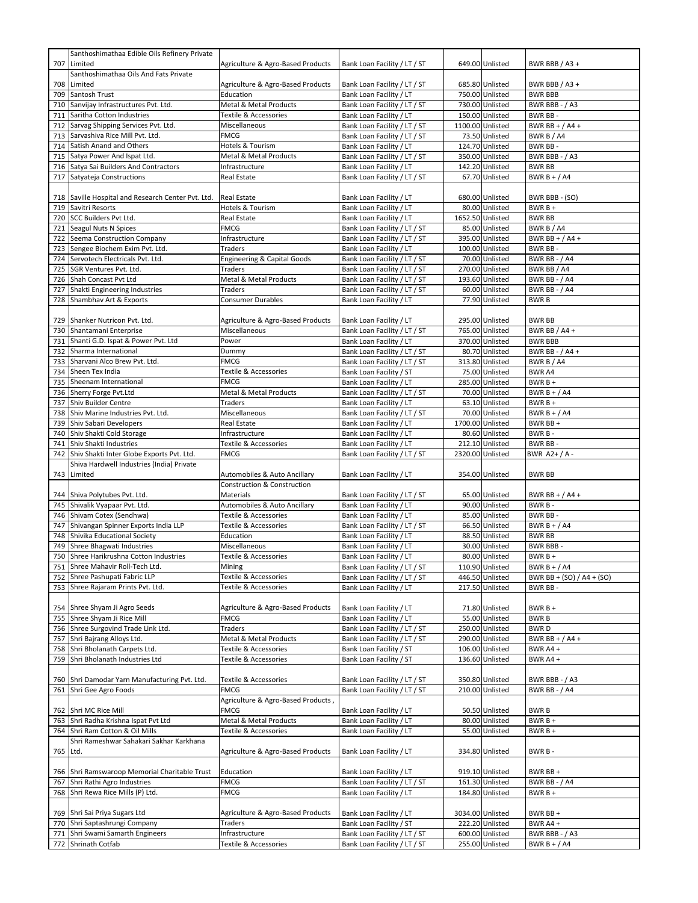|          | Santhoshimathaa Edible Oils Refinery Private            |                                           |                                                              |                  |                                    |                                      |
|----------|---------------------------------------------------------|-------------------------------------------|--------------------------------------------------------------|------------------|------------------------------------|--------------------------------------|
| 707      | Limited                                                 | Agriculture & Agro-Based Products         | Bank Loan Facility / LT / ST                                 |                  | 649.00 Unlisted                    | BWR BBB / A3 +                       |
|          | Santhoshimathaa Oils And Fats Private                   |                                           |                                                              |                  |                                    |                                      |
| 708      | Limited                                                 | Agriculture & Agro-Based Products         | Bank Loan Facility / LT / ST                                 |                  | 685.80 Unlisted                    | BWR BBB $/$ A3 +                     |
| 709      | Santosh Trust                                           | Education                                 | Bank Loan Facility / LT                                      |                  | 750.00 Unlisted                    | <b>BWR BBB</b>                       |
| 710      | Sanvijay Infrastructures Pvt. Ltd.                      | Metal & Metal Products                    | Bank Loan Facility / LT / ST                                 |                  | 730.00 Unlisted                    | BWR BBB - $/$ A3                     |
|          | 711 Saritha Cotton Industries                           | Textile & Accessories                     | Bank Loan Facility / LT                                      |                  | 150.00 Unlisted                    | BWR BB -                             |
| 712      | Sarvag Shipping Services Pvt. Ltd.                      | Miscellaneous                             | Bank Loan Facility / LT / ST                                 |                  | 1100.00 Unlisted                   | BWR BB + $/$ A4 +                    |
|          | 713 Sarvashiva Rice Mill Pvt. Ltd.                      | FMCG                                      | Bank Loan Facility / LT / ST                                 |                  | 73.50 Unlisted                     | BWR B $/$ A4                         |
| 714      | Satish Anand and Others                                 | Hotels & Tourism                          | Bank Loan Facility / LT                                      |                  | 124.70 Unlisted                    | BWR BB-                              |
|          | 715 Satya Power And Ispat Ltd.                          | <b>Metal &amp; Metal Products</b>         | Bank Loan Facility / LT / ST                                 |                  | 350.00 Unlisted                    | BWR BBB - / A3                       |
|          | 716 Satya Sai Builders And Contractors                  | Infrastructure                            | Bank Loan Facility / LT                                      |                  | 142.20 Unlisted                    | <b>BWR BB</b>                        |
| 717      | Satyateja Constructions                                 | Real Estate                               | Bank Loan Facility / LT / ST                                 |                  | 67.70 Unlisted                     | BWR $B + / A4$                       |
|          |                                                         |                                           |                                                              |                  |                                    |                                      |
|          | 718 Saville Hospital and Research Center Pvt. Ltd.      | <b>Real Estate</b>                        | Bank Loan Facility / LT                                      |                  | 680.00 Unlisted                    | BWR BBB - (SO)                       |
|          | 719 Savitri Resorts                                     | Hotels & Tourism                          | Bank Loan Facility / LT                                      |                  | 80.00 Unlisted                     | $BWRB+$                              |
|          | 720 SCC Builders Pvt Ltd.                               | Real Estate                               | Bank Loan Facility / LT                                      |                  | 1652.50 Unlisted                   | <b>BWR BB</b>                        |
|          | 721 Seagul Nuts N Spices                                | <b>FMCG</b>                               | Bank Loan Facility / LT / ST                                 |                  | 85.00 Unlisted                     | BWR B / A4                           |
|          | 722 Seema Construction Company                          | Infrastructure                            | Bank Loan Facility / LT / ST                                 |                  | 395.00 Unlisted                    | BWR BB + $/$ A4 +                    |
|          | 723 Sengee Biochem Exim Pvt. Ltd.                       | Traders                                   | Bank Loan Facility / LT                                      |                  | 100.00 Unlisted                    | BWR BB-                              |
|          | 724 Servotech Electricals Pvt. Ltd.                     | <b>Engineering &amp; Capital Goods</b>    | Bank Loan Facility / LT / ST                                 |                  | 70.00 Unlisted                     | <b>BWR BB - / A4</b>                 |
| 725      | SGR Ventures Pvt. Ltd.                                  | Traders                                   | Bank Loan Facility / LT / ST                                 |                  | 270.00 Unlisted                    | BWR BB / A4                          |
|          | 726 Shah Concast Pvt Ltd                                | Metal & Metal Products                    | Bank Loan Facility / LT / ST                                 |                  | 193.60 Unlisted                    | BWR BB - / A4                        |
| 727      |                                                         | Traders                                   | Bank Loan Facility / LT / ST                                 |                  | 60.00 Unlisted                     | <b>BWR BB - / A4</b>                 |
|          | Shakti Engineering Industries<br>Shambhav Art & Exports | Consumer Durables                         | Bank Loan Facility / LT                                      |                  |                                    |                                      |
| 728      |                                                         |                                           |                                                              |                  | 77.90 Unlisted                     | <b>BWRB</b>                          |
|          |                                                         |                                           |                                                              |                  |                                    |                                      |
|          | 729 Shanker Nutricon Pvt. Ltd.                          | Agriculture & Agro-Based Products         | Bank Loan Facility / LT                                      |                  | 295.00 Unlisted                    | <b>BWR BB</b>                        |
|          | 730 Shantamani Enterprise                               | Miscellaneous                             | Bank Loan Facility / LT / ST                                 |                  | 765.00 Unlisted                    | BWR BB / A4 +                        |
|          | 731 Shanti G.D. Ispat & Power Pvt. Ltd                  | Power                                     | Bank Loan Facility / LT                                      |                  | 370.00 Unlisted                    | <b>BWR BBB</b>                       |
| 732      | Sharma International                                    | Dummy                                     | Bank Loan Facility / LT / ST                                 |                  | 80.70 Unlisted                     | BWR BB - $/$ A4 +                    |
|          | 733 Sharvani Alco Brew Pvt. Ltd.                        | <b>FMCG</b>                               | Bank Loan Facility / LT / ST                                 |                  | 313.80 Unlisted                    | BWR B / A4                           |
|          | 734 Sheen Tex India                                     | Textile & Accessories                     | Bank Loan Facility / ST                                      |                  | 75.00 Unlisted                     | <b>BWR A4</b>                        |
|          | 735 Sheenam International                               | <b>FMCG</b>                               | Bank Loan Facility / LT                                      |                  | 285.00 Unlisted                    | $BWRB+$                              |
|          | 736 Sherry Forge Pvt.Ltd                                | Metal & Metal Products                    | Bank Loan Facility / LT / ST                                 |                  | 70.00 Unlisted                     | BWR $B + / A4$                       |
|          | 737 Shiv Builder Centre                                 | Traders                                   | Bank Loan Facility / LT                                      |                  | 63.10 Unlisted                     | $BWRB+$                              |
|          | 738 Shiv Marine Industries Pvt. Ltd.                    | Miscellaneous                             | Bank Loan Facility / LT / ST                                 |                  | 70.00 Unlisted                     | BWR $B + / A4$                       |
|          | 739 Shiv Sabari Developers                              | Real Estate                               | Bank Loan Facility / LT                                      |                  | 1700.00 Unlisted                   | BWR BB +                             |
| 740      | Shiv Shakti Cold Storage                                | Infrastructure                            | Bank Loan Facility / LT                                      |                  | 80.60 Unlisted                     | BWR B-                               |
| 741      | Shiv Shakti Industries                                  | Textile & Accessories                     | Bank Loan Facility / LT                                      |                  | 212.10 Unlisted                    | BWR BB-                              |
|          |                                                         |                                           |                                                              |                  |                                    |                                      |
| 742      | Shiv Shakti Inter Globe Exports Pvt. Ltd.               | FMCG                                      | Bank Loan Facility / LT / ST                                 | 2320.00 Unlisted |                                    | BWR $A2+ / A -$                      |
|          | Shiva Hardwell Industries (India) Private               |                                           |                                                              |                  |                                    |                                      |
|          | 743 Limited                                             | Automobiles & Auto Ancillary              | Bank Loan Facility / LT                                      |                  | 354.00 Unlisted                    | <b>BWR BB</b>                        |
|          |                                                         | <b>Construction &amp; Construction</b>    |                                                              |                  |                                    |                                      |
|          | 744 Shiva Polytubes Pvt. Ltd.                           | Materials                                 | Bank Loan Facility / LT / ST                                 |                  | 65.00 Unlisted                     | BWR BB + $/$ A4 +                    |
|          | 745 Shivalik Vyapaar Pvt. Ltd.                          | Automobiles & Auto Ancillary              | Bank Loan Facility / LT                                      |                  | 90.00 Unlisted                     | BWR B-                               |
|          | 746 Shivam Cotex (Sendhwa)                              | Textile & Accessories                     | Bank Loan Facility / LT                                      |                  | 85.00 Unlisted                     | BWR BB-                              |
|          | 747 Shivangan Spinner Exports India LLP                 | <b>Textile &amp; Accessories</b>          | Bank Loan Facility / LT / ST                                 |                  | 66.50 Unlisted                     | BWR $B + / A4$                       |
| 748      | Shivika Educational Society                             | Education                                 | Bank Loan Facility / LT                                      |                  | 88.50 Unlisted                     | <b>BWR BB</b>                        |
|          | 749 Shree Bhagwati Industries                           | Miscellaneous                             | Bank Loan Facility / LT                                      |                  | 30.00 Unlisted                     | BWR BBB-                             |
|          | 750 Shree Harikrushna Cotton Industries                 | Textile & Accessories                     | Bank Loan Facility / LT                                      |                  | 80.00 Unlisted                     | BWR B +                              |
|          | 751 Shree Mahavir Roll-Tech Ltd.                        | Mining                                    | Bank Loan Facility / LT / ST                                 |                  | 110.90 Unlisted                    | BWR B + $/$ A4                       |
|          |                                                         |                                           |                                                              |                  |                                    |                                      |
|          | 752 Shree Pashupati Fabric LLP                          | Textile & Accessories                     | Bank Loan Facility / LT / ST                                 |                  | 446.50 Unlisted                    | BWR BB + (SO) / A4 + (SO)<br>BWR BB- |
|          | 753 Shree Rajaram Prints Pvt. Ltd.                      | Textile & Accessories                     | Bank Loan Facility / LT                                      |                  | 217.50 Unlisted                    |                                      |
|          |                                                         |                                           |                                                              |                  |                                    | $BWRB+$                              |
|          | 754 Shree Shyam Ji Agro Seeds                           | Agriculture & Agro-Based Products<br>FMCG | Bank Loan Facility / LT                                      |                  | 71.80 Unlisted<br>55.00 Unlisted   |                                      |
|          | 755 Shree Shyam Ji Rice Mill                            |                                           | Bank Loan Facility / LT                                      |                  |                                    | <b>BWRB</b>                          |
|          | 756 Shree Surgovind Trade Link Ltd.                     | Traders                                   | Bank Loan Facility / LT / ST                                 |                  | 250.00 Unlisted                    | BWR D                                |
|          | 757 Shri Bajrang Alloys Ltd.                            | Metal & Metal Products                    | Bank Loan Facility / LT / ST                                 |                  | 290.00 Unlisted                    | BWR BB + $/$ A4 +                    |
|          | 758 Shri Bholanath Carpets Ltd.                         | Textile & Accessories                     | Bank Loan Facility / ST                                      |                  | 106.00 Unlisted                    | BWR A4 +                             |
|          | 759 Shri Bholanath Industries Ltd                       | Textile & Accessories                     | Bank Loan Facility / ST                                      |                  | 136.60 Unlisted                    | BWR A4 +                             |
|          |                                                         |                                           |                                                              |                  |                                    |                                      |
| 760      | Shri Damodar Yarn Manufacturing Pvt. Ltd.               | Textile & Accessories                     | Bank Loan Facility / LT / ST                                 |                  | 350.80 Unlisted                    | BWR BBB - / A3                       |
|          | 761 Shri Gee Agro Foods                                 | <b>FMCG</b>                               | Bank Loan Facility / LT / ST                                 |                  | 210.00 Unlisted                    | <b>BWR BB - / A4</b>                 |
|          |                                                         | Agriculture & Agro-Based Products,        |                                                              |                  |                                    |                                      |
|          | 762 Shri MC Rice Mill                                   | <b>FMCG</b>                               | Bank Loan Facility / LT                                      |                  | 50.50 Unlisted                     | BWR B                                |
|          | 763 Shri Radha Krishna Ispat Pvt Ltd                    | Metal & Metal Products                    | Bank Loan Facility / LT                                      |                  | 80.00 Unlisted                     | $BWRB+$                              |
|          | 764 Shri Ram Cotton & Oil Mills                         | Textile & Accessories                     | Bank Loan Facility / LT                                      |                  | 55.00 Unlisted                     | $BWRB+$                              |
|          | Shri Rameshwar Sahakari Sakhar Karkhana                 |                                           |                                                              |                  |                                    |                                      |
| 765 Ltd. |                                                         | Agriculture & Agro-Based Products         | Bank Loan Facility / LT                                      |                  | 334.80 Unlisted                    | BWR B-                               |
|          |                                                         |                                           |                                                              |                  |                                    |                                      |
|          | 766 Shri Ramswaroop Memorial Charitable Trust           | Education                                 | Bank Loan Facility / LT                                      |                  | 919.10 Unlisted                    | BWR BB +                             |
|          | 767 Shri Rathi Agro Industries                          | FMCG                                      | Bank Loan Facility / LT / ST                                 |                  | 161.30 Unlisted                    | <b>BWR BB - / A4</b>                 |
|          | 768 Shri Rewa Rice Mills (P) Ltd.                       | <b>FMCG</b>                               | Bank Loan Facility / LT                                      |                  | 184.80 Unlisted                    | $BWRB+$                              |
|          |                                                         |                                           |                                                              |                  |                                    |                                      |
|          | 769 Shri Sai Priya Sugars Ltd                           | Agriculture & Agro-Based Products         | Bank Loan Facility / LT                                      |                  | 3034.00 Unlisted                   | BWR BB +                             |
|          | 770 Shri Saptashrungi Company                           | Traders                                   | Bank Loan Facility / ST                                      |                  | 222.20 Unlisted                    | BWR A4 +                             |
|          | 771 Shri Swami Samarth Engineers<br>772 Shrinath Cotfab | Infrastructure                            | Bank Loan Facility / LT / ST<br>Bank Loan Facility / LT / ST |                  | 600.00 Unlisted<br>255.00 Unlisted | BWR BBB - / A3<br>BWR B + $/$ A4     |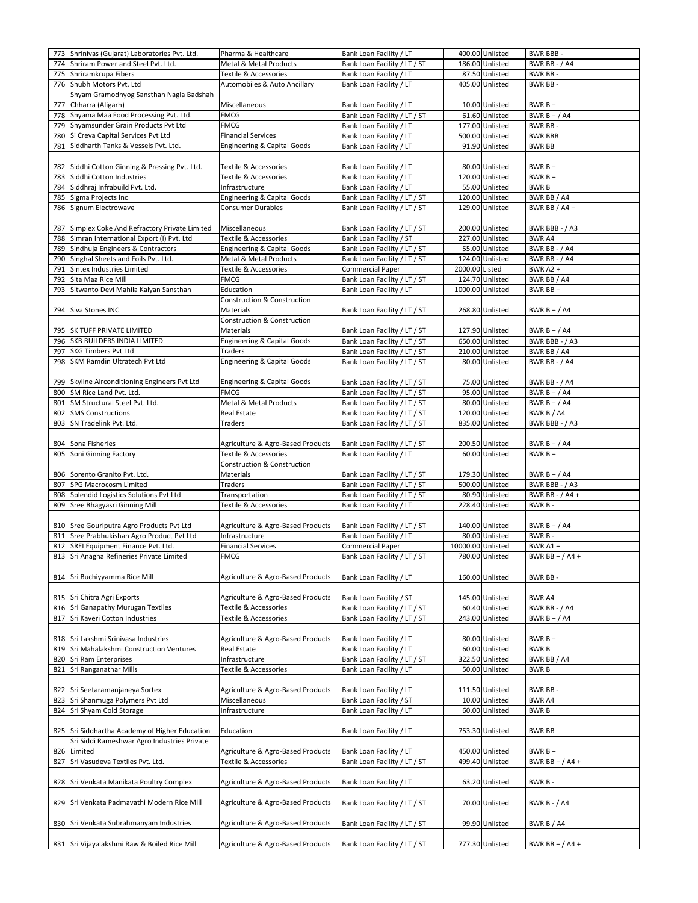|            | 773 Shrinivas (Gujarat) Laboratories Pvt. Ltd.                             | Pharma & Healthcare                                   | Bank Loan Facility / LT                                      |                   | 400.00 Unlisted                   | BWR BBB-                               |
|------------|----------------------------------------------------------------------------|-------------------------------------------------------|--------------------------------------------------------------|-------------------|-----------------------------------|----------------------------------------|
| 774        | Shriram Power and Steel Pvt. Ltd.                                          | <b>Metal &amp; Metal Products</b>                     | Bank Loan Facility / LT / ST                                 |                   | 186.00 Unlisted                   | <b>BWR BB - / A4</b>                   |
| 775        | Shriramkrupa Fibers                                                        | Textile & Accessories                                 | Bank Loan Facility / LT                                      |                   | 87.50 Unlisted                    | BWR BB-                                |
| 776        | Shubh Motors Pvt. Ltd                                                      | Automobiles & Auto Ancillary                          | Bank Loan Facility / LT                                      |                   | 405.00 Unlisted                   | BWR BB-                                |
|            | Shyam Gramodhyog Sansthan Nagla Badshah                                    |                                                       |                                                              |                   |                                   |                                        |
| 777        | Chharra (Aligarh)                                                          | Miscellaneous                                         | Bank Loan Facility / LT                                      |                   | 10.00 Unlisted                    | $BWRB +$                               |
| 778        | Shyama Maa Food Processing Pvt. Ltd.<br>Shyamsunder Grain Products Pvt Ltd | <b>FMCG</b><br><b>FMCG</b>                            | Bank Loan Facility / LT / ST<br>Bank Loan Facility / LT      |                   | 61.60 Unlisted<br>177.00 Unlisted | BWR $B + / A4$                         |
| 779<br>780 | Si Creva Capital Services Pvt Ltd                                          | <b>Financial Services</b>                             | Bank Loan Facility / LT                                      |                   | 500.00 Unlisted                   | BWR BB-<br><b>BWR BBB</b>              |
| 781        | Siddharth Tanks & Vessels Pvt. Ltd.                                        | <b>Engineering &amp; Capital Goods</b>                | Bank Loan Facility / LT                                      |                   | 91.90 Unlisted                    | <b>BWR BB</b>                          |
|            |                                                                            |                                                       |                                                              |                   |                                   |                                        |
| 782        | Siddhi Cotton Ginning & Pressing Pvt. Ltd.                                 | Textile & Accessories                                 | Bank Loan Facility / LT                                      |                   | 80.00 Unlisted                    | $BWRB+$                                |
| 783        | Siddhi Cotton Industries                                                   | Textile & Accessories                                 | Bank Loan Facility / LT                                      |                   | 120.00 Unlisted                   | BWR B +                                |
| 784        | Siddhraj Infrabuild Pvt. Ltd.                                              | Infrastructure                                        | Bank Loan Facility / LT                                      |                   | 55.00 Unlisted                    | <b>BWRB</b>                            |
| 785        | Sigma Projects Inc                                                         | Engineering & Capital Goods                           | Bank Loan Facility / LT / ST                                 |                   | 120.00 Unlisted                   | BWR BB / A4                            |
| 786        | Signum Electrowave                                                         | <b>Consumer Durables</b>                              | Bank Loan Facility / LT / ST                                 |                   | 129.00 Unlisted                   | BWR BB / A4 +                          |
|            |                                                                            |                                                       |                                                              |                   |                                   |                                        |
| 787        | Simplex Coke And Refractory Private Limited                                | Miscellaneous                                         | Bank Loan Facility / LT / ST                                 |                   | 200.00 Unlisted                   | <b>BWR BBB - / A3</b>                  |
| 788        | Simran International Export (I) Pvt. Ltd                                   | Textile & Accessories                                 | Bank Loan Facility / ST                                      |                   | 227.00 Unlisted                   | BWR A4                                 |
| 789        | Sindhuja Engineers & Contractors                                           | <b>Engineering &amp; Capital Goods</b>                | Bank Loan Facility / LT / ST                                 |                   | 55.00 Unlisted                    | <b>BWR BB - / A4</b>                   |
| 790        | Singhal Sheets and Foils Pvt. Ltd.                                         | Metal & Metal Products                                | Bank Loan Facility / LT / ST                                 |                   | 124.00 Unlisted                   | <b>BWR BB - / A4</b>                   |
| 791        | Sintex Industries Limited                                                  | Textile & Accessories                                 | Commercial Paper                                             | 2000.00 Listed    |                                   | BWR A2+                                |
| 792        | Sita Maa Rice Mill                                                         | <b>FMCG</b>                                           | Bank Loan Facility / LT / ST                                 |                   | 124.70 Unlisted                   | BWR BB / A4                            |
| 793        | Sitwanto Devi Mahila Kalyan Sansthan                                       | Education                                             | Bank Loan Facility / LT                                      |                   | 1000.00 Unlisted                  | BWR BB +                               |
|            |                                                                            | Construction & Construction                           |                                                              |                   |                                   |                                        |
|            | 794 Siva Stones INC                                                        | Materials                                             | Bank Loan Facility / LT / ST                                 |                   | 268.80 Unlisted                   | BWR $B + / A4$                         |
|            |                                                                            | Construction & Construction                           |                                                              |                   |                                   |                                        |
|            | 795 SK TUFF PRIVATE LIMITED                                                | Materials                                             | Bank Loan Facility / LT / ST                                 |                   | 127.90 Unlisted                   | BWR $B + / A4$                         |
| 796        | SKB BUILDERS INDIA LIMITED                                                 | Engineering & Capital Goods                           | Bank Loan Facility / LT / ST                                 |                   | 650.00 Unlisted                   | BWR BBB - / A3                         |
| 797        | <b>SKG Timbers Pvt Ltd</b>                                                 | Traders                                               | Bank Loan Facility / LT / ST                                 |                   | 210.00 Unlisted                   | BWR BB / A4                            |
| 798        | SKM Ramdin Ultratech Pvt Ltd                                               | Engineering & Capital Goods                           | Bank Loan Facility / LT / ST                                 |                   | 80.00 Unlisted                    | <b>BWR BB - / A4</b>                   |
|            |                                                                            |                                                       |                                                              |                   |                                   |                                        |
| 800        | 799 Skyline Airconditioning Engineers Pvt Ltd<br>SM Rice Land Pvt. Ltd.    | <b>Engineering &amp; Capital Goods</b><br><b>FMCG</b> | Bank Loan Facility / LT / ST<br>Bank Loan Facility / LT / ST |                   | 75.00 Unlisted<br>95.00 Unlisted  | <b>BWR BB - / A4</b><br>BWR $B + / A4$ |
| 801        | SM Structural Steel Pvt. Ltd.                                              | Metal & Metal Products                                | Bank Loan Facility / LT / ST                                 |                   | 80.00 Unlisted                    | BWR $B + / A4$                         |
| 802        | <b>SMS Constructions</b>                                                   | Real Estate                                           | Bank Loan Facility / LT / ST                                 |                   | 120.00 Unlisted                   | BWR B / A4                             |
| 803        | SN Tradelink Pvt. Ltd.                                                     | Traders                                               | Bank Loan Facility / LT / ST                                 |                   | 835.00 Unlisted                   | BWR BBB - / A3                         |
|            |                                                                            |                                                       |                                                              |                   |                                   |                                        |
| 804        | Sona Fisheries                                                             | Agriculture & Agro-Based Products                     | Bank Loan Facility / LT / ST                                 |                   | 200.50 Unlisted                   | BWR B + $/$ A4                         |
| 805        | Soni Ginning Factory                                                       | Textile & Accessories                                 | Bank Loan Facility / LT                                      |                   | 60.00 Unlisted                    | $BWRB +$                               |
|            |                                                                            | <b>Construction &amp; Construction</b>                |                                                              |                   |                                   |                                        |
|            | 806 Sorento Granito Pvt. Ltd.                                              | Materials                                             | Bank Loan Facility / LT / ST                                 |                   | 179.30 Unlisted                   | BWR B + $/$ A4                         |
|            |                                                                            |                                                       |                                                              |                   | 500.00 Unlisted                   | BWR BBB - / A3                         |
| 807        | SPG Macrocosm Limited                                                      | Traders                                               | Bank Loan Facility / LT / ST                                 |                   |                                   |                                        |
| 808        | Splendid Logistics Solutions Pvt Ltd                                       | Transportation                                        | Bank Loan Facility / LT / ST                                 |                   | 80.90 Unlisted                    | BWR BB - / A4 +                        |
| 809        | Sree Bhagyasri Ginning Mill                                                | Textile & Accessories                                 | Bank Loan Facility / LT                                      |                   | 228.40 Unlisted                   | BWR B-                                 |
|            |                                                                            |                                                       |                                                              |                   |                                   |                                        |
|            | 810 Sree Gouriputra Agro Products Pvt Ltd                                  | Agriculture & Agro-Based Products                     | Bank Loan Facility / LT / ST                                 |                   | 140.00 Unlisted                   | BWR B + $/$ A4                         |
| 811        | Sree Prabhukishan Agro Product Pvt Ltd                                     | Infrastructure                                        | Bank Loan Facility / LT                                      |                   | 80.00 Unlisted                    | BWR B-                                 |
| 812        | SREI Equipment Finance Pvt. Ltd.                                           | <b>Financial Services</b>                             | Commercial Paper                                             | 10000.00 Unlisted |                                   | BWR A1 +                               |
| 813        | Sri Anagha Refineries Private Limited                                      | <b>FMCG</b>                                           | Bank Loan Facility / LT / ST                                 |                   | 780.00 Unlisted                   | BWR BB + $/$ A4 +                      |
|            |                                                                            |                                                       |                                                              |                   |                                   |                                        |
|            | 814 Sri Buchiyyamma Rice Mill                                              | Agriculture & Agro-Based Products                     | Bank Loan Facility / LT                                      |                   | 160.00 Unlisted                   | BWR BB-                                |
|            |                                                                            |                                                       |                                                              |                   |                                   |                                        |
|            | 815 Sri Chitra Agri Exports                                                | Agriculture & Agro-Based Products                     | Bank Loan Facility / ST                                      |                   | 145.00 Unlisted                   | BWR A4                                 |
|            | 816 Sri Ganapathy Murugan Textiles                                         | Textile & Accessories                                 | Bank Loan Facility / LT / ST                                 |                   | 60.40 Unlisted                    | <b>BWR BB - / A4</b>                   |
| 817        | Sri Kaveri Cotton Industries                                               | Textile & Accessories                                 | Bank Loan Facility / LT / ST                                 |                   | 243.00 Unlisted                   | BWR $B + / A4$                         |
|            |                                                                            |                                                       |                                                              |                   |                                   |                                        |
|            | 818 Sri Lakshmi Srinivasa Industries                                       | Agriculture & Agro-Based Products                     | Bank Loan Facility / LT                                      |                   | 80.00 Unlisted                    | $BWRB +$                               |
| 819<br>820 | Sri Mahalakshmi Construction Ventures                                      | Real Estate                                           | Bank Loan Facility / LT                                      |                   | 60.00 Unlisted                    | <b>BWRB</b>                            |
| 821        | Sri Ram Enterprises<br>Sri Ranganathar Mills                               | Infrastructure<br><b>Textile &amp; Accessories</b>    | Bank Loan Facility / LT / ST<br>Bank Loan Facility / LT      |                   | 322.50 Unlisted<br>50.00 Unlisted | BWR BB / A4<br><b>BWRB</b>             |
|            |                                                                            |                                                       |                                                              |                   |                                   |                                        |
| 822        | Sri Seetaramanjaneya Sortex                                                | Agriculture & Agro-Based Products                     | Bank Loan Facility / LT                                      |                   | 111.50 Unlisted                   | BWR BB-                                |
| 823        | Sri Shanmuga Polymers Pvt Ltd                                              | Miscellaneous                                         | Bank Loan Facility / ST                                      |                   | 10.00 Unlisted                    | BWR A4                                 |
| 824        | Sri Shyam Cold Storage                                                     | Infrastructure                                        | Bank Loan Facility / LT                                      |                   | 60.00 Unlisted                    | <b>BWRB</b>                            |
|            |                                                                            |                                                       |                                                              |                   |                                   |                                        |
| 825        | Sri Siddhartha Academy of Higher Education                                 | Education                                             | Bank Loan Facility / LT                                      |                   | 753.30 Unlisted                   | <b>BWR BB</b>                          |
|            | Sri Siddi Rameshwar Agro Industries Private                                |                                                       |                                                              |                   |                                   |                                        |
| 826        | Limited                                                                    | Agriculture & Agro-Based Products                     | Bank Loan Facility / LT                                      |                   | 450.00 Unlisted                   | $BWRB +$                               |
| 827        | Sri Vasudeva Textiles Pvt. Ltd.                                            | Textile & Accessories                                 | Bank Loan Facility / LT / ST                                 |                   | 499.40 Unlisted                   | BWR BB + $/$ A4 +                      |
|            |                                                                            |                                                       |                                                              |                   |                                   |                                        |
| 828        | Sri Venkata Manikata Poultry Complex                                       | Agriculture & Agro-Based Products                     | Bank Loan Facility / LT                                      |                   | 63.20 Unlisted                    | BWR B-                                 |
|            |                                                                            |                                                       |                                                              |                   |                                   |                                        |
| 829        | Sri Venkata Padmavathi Modern Rice Mill                                    | Agriculture & Agro-Based Products                     | Bank Loan Facility / LT / ST                                 |                   | 70.00 Unlisted                    | <b>BWR B - / A4</b>                    |
|            |                                                                            |                                                       |                                                              |                   |                                   |                                        |
|            | 830 Sri Venkata Subrahmanyam Industries                                    | Agriculture & Agro-Based Products                     | Bank Loan Facility / LT / ST                                 |                   | 99.90 Unlisted                    | BWR B / A4                             |
|            | 831 Sri Vijayalakshmi Raw & Boiled Rice Mill                               | Agriculture & Agro-Based Products                     | Bank Loan Facility / LT / ST                                 |                   | 777.30 Unlisted                   | BWR BB + $/$ A4 +                      |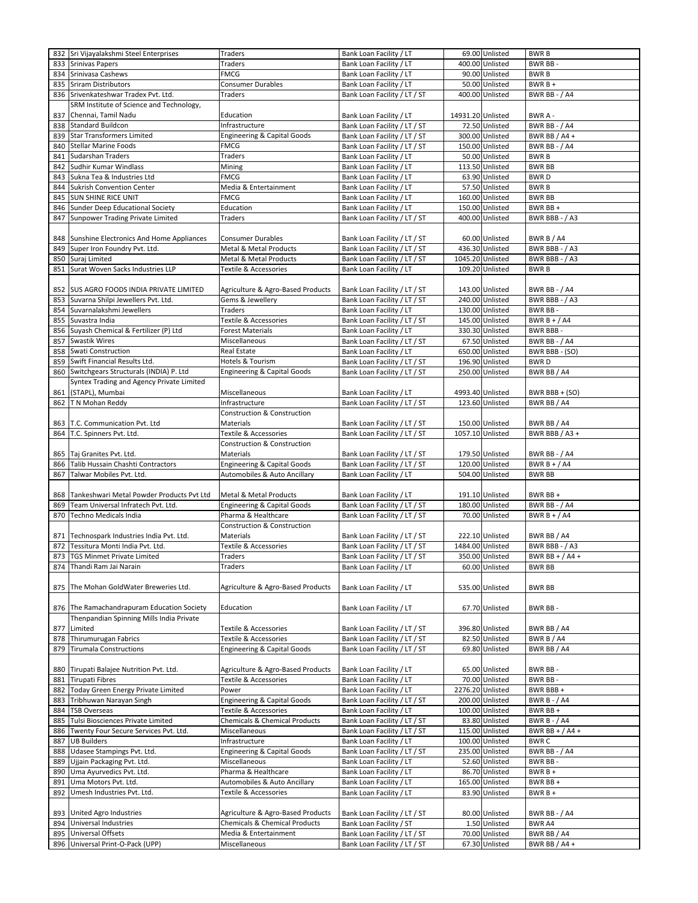|            | 832 Sri Vijayalakshmi Steel Enterprises                  | <b>Traders</b>                           | Bank Loan Facility / LT                                      |                   | 69.00 Unlisted                   | <b>BWRB</b>                    |
|------------|----------------------------------------------------------|------------------------------------------|--------------------------------------------------------------|-------------------|----------------------------------|--------------------------------|
| 833        | <b>Srinivas Papers</b>                                   | Traders                                  | Bank Loan Facility / LT                                      |                   | 400.00 Unlisted                  | BWR BB-                        |
| 834        | Srinivasa Cashews                                        | <b>FMCG</b>                              | Bank Loan Facility / LT                                      |                   | 90.00 Unlisted                   | <b>BWRB</b>                    |
| 835        | Sriram Distributors                                      | <b>Consumer Durables</b>                 | Bank Loan Facility / LT                                      |                   | 50.00 Unlisted                   | $BWRB +$                       |
|            |                                                          | Traders                                  |                                                              |                   | 400.00 Unlisted                  | <b>BWR BB - / A4</b>           |
| 836        | Srivenkateshwar Tradex Pvt. Ltd.                         |                                          | Bank Loan Facility / LT / ST                                 |                   |                                  |                                |
|            | SRM Institute of Science and Technology,                 |                                          |                                                              |                   |                                  |                                |
| 837        | Chennai, Tamil Nadu                                      | Education                                | Bank Loan Facility / LT                                      | 14931.20 Unlisted |                                  | BWR A -                        |
| 838        | Standard Buildcon                                        | Infrastructure                           | Bank Loan Facility / LT / ST                                 |                   | 72.50 Unlisted                   | <b>BWR BB - / A4</b>           |
| 839        | <b>Star Transformers Limited</b>                         | Engineering & Capital Goods              | Bank Loan Facility / LT / ST                                 |                   | 300.00 Unlisted                  | BWR BB / A4 +                  |
| 840        | <b>Stellar Marine Foods</b>                              | <b>FMCG</b>                              | Bank Loan Facility / LT / ST                                 |                   | 150.00 Unlisted                  | <b>BWR BB - / A4</b>           |
| 841        | Sudarshan Traders                                        | Traders                                  | Bank Loan Facility / LT                                      |                   | 50.00 Unlisted                   | <b>BWRB</b>                    |
| 842        | Sudhir Kumar Windlass                                    | Mining                                   | Bank Loan Facility / LT                                      |                   | 113.50 Unlisted                  | <b>BWR BB</b>                  |
| 843        | Sukna Tea & Industries Ltd                               | <b>FMCG</b>                              | Bank Loan Facility / LT                                      |                   | 63.90 Unlisted                   | <b>BWRD</b>                    |
| 844        | Sukrish Convention Center                                | Media & Entertainment                    | Bank Loan Facility / LT                                      |                   | 57.50 Unlisted                   | <b>BWRB</b>                    |
| 845        | <b>SUN SHINE RICE UNIT</b>                               | <b>FMCG</b>                              | Bank Loan Facility / LT                                      |                   | 160.00 Unlisted                  | <b>BWR BB</b>                  |
| 846        | Sunder Deep Educational Society                          | Education                                | Bank Loan Facility / LT                                      |                   | 150.00 Unlisted                  | BWR BB +                       |
| 847        | Sunpower Trading Private Limited                         | Traders                                  | Bank Loan Facility / LT / ST                                 |                   | 400.00 Unlisted                  | BWR BBB - / A3                 |
|            |                                                          |                                          |                                                              |                   |                                  |                                |
| 848        | Sunshine Electronics And Home Appliances                 | <b>Consumer Durables</b>                 | Bank Loan Facility / LT / ST                                 |                   | 60.00 Unlisted                   | BWR B $/$ A4                   |
| 849        | Super Iron Foundry Pvt. Ltd.                             | <b>Metal &amp; Metal Products</b>        | Bank Loan Facility / LT / ST                                 |                   | 436.30 Unlisted                  | BWR BBB - / A3                 |
| 850        | Suraj Limited                                            | Metal & Metal Products                   | Bank Loan Facility / LT / ST                                 | 1045.20 Unlisted  |                                  | BWR BBB - / A3                 |
| 851        | Surat Woven Sacks Industries LLP                         | Textile & Accessories                    | Bank Loan Facility / LT                                      |                   | 109.20 Unlisted                  | <b>BWRB</b>                    |
|            |                                                          |                                          |                                                              |                   |                                  |                                |
|            |                                                          |                                          |                                                              |                   |                                  |                                |
|            | 852 SUS AGRO FOODS INDIA PRIVATE LIMITED                 | Agriculture & Agro-Based Products        | Bank Loan Facility / LT / ST                                 |                   | 143.00 Unlisted                  | <b>BWR BB - / A4</b>           |
| 853        | Suvarna Shilpi Jewellers Pvt. Ltd.                       | Gems & Jewellery                         | Bank Loan Facility / LT / ST                                 |                   | 240.00 Unlisted                  | BWR BBB - / A3                 |
| 854        | Suvarnalakshmi Jewellers                                 | <b>Traders</b>                           | Bank Loan Facility / LT                                      |                   | 130.00 Unlisted                  | BWR BB-                        |
| 855        | Suvastra India                                           | Textile & Accessories                    | Bank Loan Facility / LT / ST                                 |                   | 145.00 Unlisted                  | BWR $B + / A4$                 |
| 856        | Suyash Chemical & Fertilizer (P) Ltd                     | <b>Forest Materials</b>                  | Bank Loan Facility / LT                                      |                   | 330.30 Unlisted                  | <b>BWR BBB-</b>                |
| 857        | <b>Swastik Wires</b>                                     | Miscellaneous                            | Bank Loan Facility / LT / ST                                 |                   | 67.50 Unlisted                   | <b>BWR BB - / A4</b>           |
| 858        | Swati Construction                                       | <b>Real Estate</b>                       | Bank Loan Facility / LT                                      |                   | 650.00 Unlisted                  | BWR BBB - (SO)                 |
| 859        | Swift Financial Results Ltd.                             | Hotels & Tourism                         | Bank Loan Facility / LT / ST                                 |                   | 196.90 Unlisted                  | <b>BWRD</b>                    |
| 860        | Switchgears Structurals (INDIA) P. Ltd                   | Engineering & Capital Goods              | Bank Loan Facility / LT / ST                                 |                   | 250.00 Unlisted                  | BWR BB / A4                    |
|            | Syntex Trading and Agency Private Limited                |                                          |                                                              |                   |                                  |                                |
| 861        | (STAPL), Mumbai                                          | Miscellaneous                            | Bank Loan Facility / LT                                      |                   | 4993.40 Unlisted                 | BWR BBB + $(SO)$               |
| 862        | T N Mohan Reddy                                          | Infrastructure                           | Bank Loan Facility / LT / ST                                 |                   | 123.60 Unlisted                  | BWR BB / A4                    |
|            |                                                          | <b>Construction &amp; Construction</b>   |                                                              |                   |                                  |                                |
|            | 863 T.C. Communication Pvt. Ltd                          | Materials                                | Bank Loan Facility / LT / ST                                 |                   | 150.00 Unlisted                  | BWR BB / A4                    |
|            |                                                          | Textile & Accessories                    | Bank Loan Facility / LT / ST                                 |                   | 1057.10 Unlisted                 | BWR BBB / A3 +                 |
|            | 864 T.C. Spinners Pvt. Ltd.                              |                                          |                                                              |                   |                                  |                                |
|            |                                                          | <b>Construction &amp; Construction</b>   |                                                              |                   |                                  |                                |
| 865        | Taj Granites Pvt. Ltd.                                   | Materials                                | Bank Loan Facility / LT / ST                                 |                   | 179.50 Unlisted                  | <b>BWR BB - / A4</b>           |
| 866        | Talib Hussain Chashti Contractors                        | Engineering & Capital Goods              | Bank Loan Facility / LT / ST                                 |                   | 120.00 Unlisted                  | BWR $B + / A4$                 |
| 867        | Talwar Mobiles Pvt. Ltd.                                 | Automobiles & Auto Ancillary             | Bank Loan Facility / LT                                      |                   | 504.00 Unlisted                  | <b>BWR BB</b>                  |
|            |                                                          |                                          |                                                              |                   |                                  |                                |
| 868        | Tankeshwari Metal Powder Products Pvt Ltd                | Metal & Metal Products                   | Bank Loan Facility / LT                                      |                   | 191.10 Unlisted                  | BWR BB +                       |
| 869        | Team Universal Infratech Pvt. Ltd.                       | Engineering & Capital Goods              | Bank Loan Facility / LT / ST                                 |                   | 180.00 Unlisted                  | <b>BWR BB - / A4</b>           |
| 870        | Techno Medicals India                                    | Pharma & Healthcare                      | Bank Loan Facility / LT / ST                                 |                   | 70.00 Unlisted                   | BWR $B + / A4$                 |
|            |                                                          | <b>Construction &amp; Construction</b>   |                                                              |                   |                                  |                                |
| 871        | Technospark Industries India Pvt. Ltd.                   | Materials                                | Bank Loan Facility / LT / ST                                 |                   | 222.10 Unlisted                  | BWR BB / A4                    |
| 872        | Tessitura Monti India Pvt. Ltd.                          | Textile & Accessories                    | Bank Loan Facility / LT / ST                                 | 1484.00 Unlisted  |                                  | BWR BBB - / A3                 |
|            | 873 TGS Minmet Private Limited                           | <b>Traders</b>                           | Bank Loan Facility / LT / ST                                 |                   | 350.00 Unlisted                  | BWR BB + $/$ A4 +              |
|            | 874 Thandi Ram Jai Narain                                | <b>Traders</b>                           | Bank Loan Facility / LT                                      |                   | 60.00 Unlisted                   | <b>BWR BB</b>                  |
|            |                                                          |                                          |                                                              |                   |                                  |                                |
|            | 875 The Mohan GoldWater Breweries Ltd.                   | Agriculture & Agro-Based Products        | Bank Loan Facility / LT                                      |                   | 535.00 Unlisted                  | <b>BWR BB</b>                  |
|            |                                                          |                                          |                                                              |                   |                                  |                                |
|            | 876 The Ramachandrapuram Education Society               | Education                                | Bank Loan Facility / LT                                      |                   | 67.70 Unlisted                   | BWR BB-                        |
|            | Thenpandian Spinning Mills India Private                 |                                          |                                                              |                   |                                  |                                |
| 877        | Limited                                                  | Textile & Accessories                    | Bank Loan Facility / LT / ST                                 |                   | 396.80 Unlisted                  | BWR BB / A4                    |
| 878        | Thirumurugan Fabrics                                     | <b>Textile &amp; Accessories</b>         | Bank Loan Facility / LT / ST                                 |                   | 82.50 Unlisted                   | BWR B / A4                     |
|            | <b>Tirumala Constructions</b>                            | <b>Engineering &amp; Capital Goods</b>   | Bank Loan Facility / LT / ST                                 |                   | 69.80 Unlisted                   | BWR BB / A4                    |
| 879        |                                                          |                                          |                                                              |                   |                                  |                                |
|            |                                                          |                                          |                                                              |                   |                                  |                                |
|            | 880 Tirupati Balajee Nutrition Pvt. Ltd.                 | Agriculture & Agro-Based Products        | Bank Loan Facility / LT                                      |                   | 65.00 Unlisted                   | BWR BB-                        |
| 881        | <b>Tirupati Fibres</b>                                   | <b>Textile &amp; Accessories</b>         | Bank Loan Facility / LT                                      |                   | 70.00 Unlisted                   | BWR BB-                        |
| 882        | Today Green Energy Private Limited                       | Power                                    | Bank Loan Facility / LT                                      |                   | 2276.20 Unlisted                 | BWR BBB+                       |
| 883        | Tribhuwan Narayan Singh                                  | Engineering & Capital Goods              | Bank Loan Facility / LT / ST                                 |                   | 200.00 Unlisted                  | <b>BWR B - / A4</b>            |
| 884        | <b>TSB Overseas</b>                                      | Textile & Accessories                    | Bank Loan Facility / LT                                      |                   | 100.00 Unlisted                  | BWR BB +                       |
| 885        | Tulsi Biosciences Private Limited                        | <b>Chemicals &amp; Chemical Products</b> | Bank Loan Facility / LT / ST                                 |                   | 83.80 Unlisted                   | <b>BWR B - / A4</b>            |
| 886        | Twenty Four Secure Services Pvt. Ltd.                    | Miscellaneous                            | Bank Loan Facility / LT / ST                                 |                   | 115.00 Unlisted                  | BWR BB + $/$ A4 +              |
| 887        | <b>UB Builders</b>                                       | Infrastructure                           | Bank Loan Facility / LT                                      |                   | 100.00 Unlisted                  | <b>BWRC</b>                    |
| 888        | Udasee Stampings Pvt. Ltd.                               | Engineering & Capital Goods              | Bank Loan Facility / LT / ST                                 |                   | 235.00 Unlisted                  | <b>BWR BB - / A4</b>           |
| 889        | Ujjain Packaging Pvt. Ltd.                               | Miscellaneous                            | Bank Loan Facility / LT                                      |                   | 52.60 Unlisted                   | BWR BB-                        |
| 890        | Uma Ayurvedics Pvt. Ltd.                                 | Pharma & Healthcare                      | Bank Loan Facility / LT                                      |                   | 86.70 Unlisted                   | BWR B +                        |
| 891        | Uma Motors Pvt. Ltd.                                     | Automobiles & Auto Ancillary             | Bank Loan Facility / LT                                      |                   | 165.00 Unlisted                  | BWR BB +                       |
| 892        | Umesh Industries Pvt. Ltd.                               | Textile & Accessories                    | Bank Loan Facility / LT                                      |                   | 83.90 Unlisted                   | $BWRB +$                       |
|            |                                                          |                                          |                                                              |                   |                                  |                                |
| 893        | United Agro Industries                                   | Agriculture & Agro-Based Products        | Bank Loan Facility / LT / ST                                 |                   | 80.00 Unlisted                   | <b>BWR BB - / A4</b>           |
| 894        | Universal Industries                                     | <b>Chemicals &amp; Chemical Products</b> | Bank Loan Facility / ST                                      |                   | 1.50 Unlisted                    | BWR A4                         |
|            |                                                          |                                          |                                                              |                   |                                  |                                |
|            |                                                          |                                          |                                                              |                   |                                  |                                |
| 895<br>896 | <b>Universal Offsets</b><br>Universal Print-O-Pack (UPP) | Media & Entertainment<br>Miscellaneous   | Bank Loan Facility / LT / ST<br>Bank Loan Facility / LT / ST |                   | 70.00 Unlisted<br>67.30 Unlisted | BWR BB / A4<br>BWR BB $/$ A4 + |